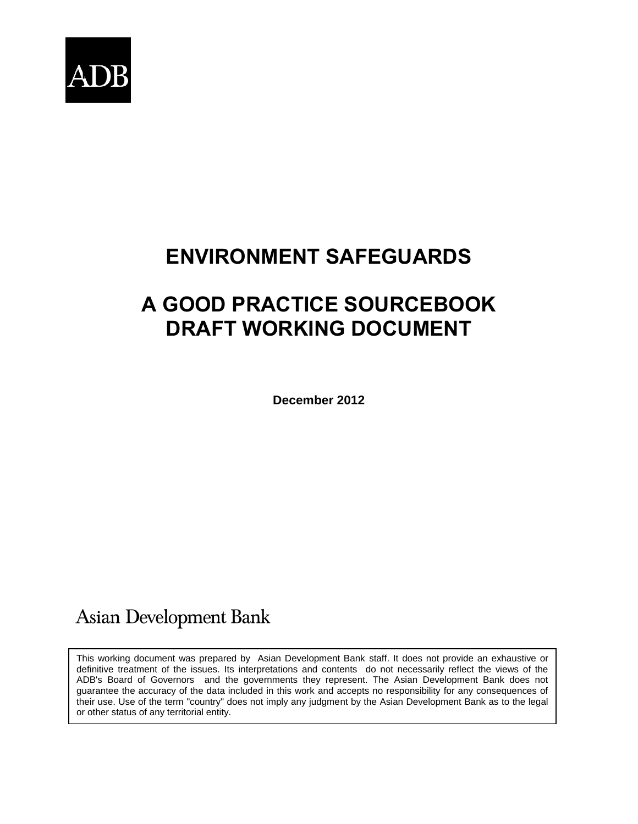

# **ENVIRONMENT SAFEGUARDS**

# **A GOOD PRACTICE SOURCEBOOK DRAFT WORKING DOCUMENT**

**December 2012**

# **Asian Development Bank**

This working document was prepared by Asian Development Bank staff. It does not provide an exhaustive or definitive treatment of the issues. Its interpretations and contents do not necessarily reflect the views of the ADB's Board of Governors and the governments they represent. The Asian Development Bank does not guarantee the accuracy of the data included in this work and accepts no responsibility for any consequences of their use. Use of the term "country" does not imply any judgment by the Asian Development Bank as to the legal or other status of any territorial entity.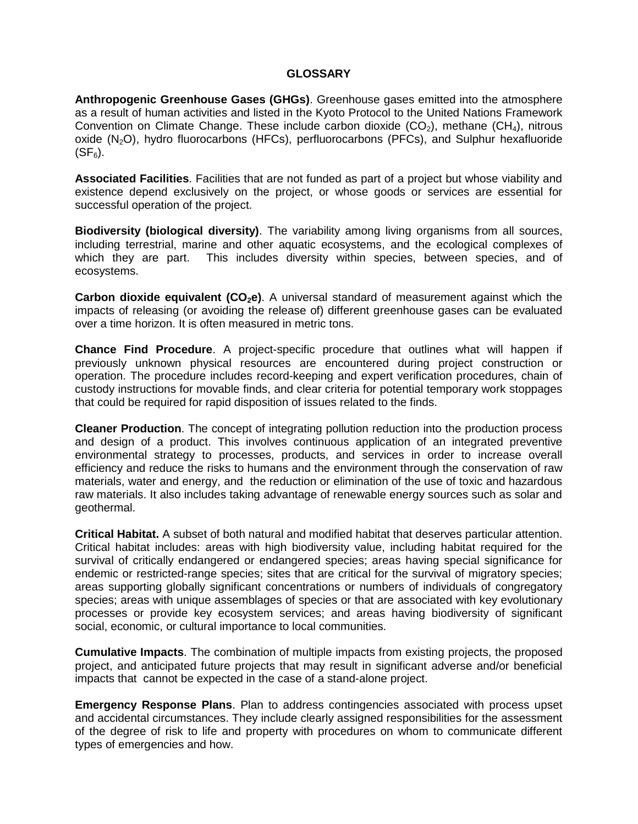#### **GLOSSARY**

**Anthropogenic Greenhouse Gases (GHGs)**. Greenhouse gases emitted into the atmosphere as a result of human activities and listed in the Kyoto Protocol to the United Nations Framework Convention on Climate Change. These include carbon dioxide  $(CO_2)$ , methane  $(CH_4)$ , nitrous oxide  $(N_2O)$ , hydro fluorocarbons (HFCs), perfluorocarbons (PFCs), and Sulphur hexafluoride  $(SF_6)$ .

**Associated Facilities**. Facilities that are not funded as part of a project but whose viability and existence depend exclusively on the project, or whose goods or services are essential for successful operation of the project.

**Biodiversity (biological diversity)**. The variability among living organisms from all sources, including terrestrial, marine and other aquatic ecosystems, and the ecological complexes of which they are part. This includes diversity within species, between species, and of ecosystems.

**Carbon dioxide equivalent (CO2e)**. A universal standard of measurement against which the impacts of releasing (or avoiding the release of) different greenhouse gases can be evaluated over a time horizon. It is often measured in metric tons.

**Chance Find Procedure**. A project-specific procedure that outlines what will happen if previously unknown physical resources are encountered during project construction or operation. The procedure includes record-keeping and expert verification procedures, chain of custody instructions for movable finds, and clear criteria for potential temporary work stoppages that could be required for rapid disposition of issues related to the finds.

**Cleaner Production**. The concept of integrating pollution reduction into the production process and design of a product. This involves continuous application of an integrated preventive environmental strategy to processes, products, and services in order to increase overall efficiency and reduce the risks to humans and the environment through the conservation of raw materials, water and energy, and the reduction or elimination of the use of toxic and hazardous raw materials. It also includes taking advantage of renewable energy sources such as solar and geothermal.

**Critical Habitat.** A subset of both natural and modified habitat that deserves particular attention. Critical habitat includes: areas with high biodiversity value, including habitat required for the survival of critically endangered or endangered species; areas having special significance for endemic or restricted-range species; sites that are critical for the survival of migratory species; areas supporting globally significant concentrations or numbers of individuals of congregatory species; areas with unique assemblages of species or that are associated with key evolutionary processes or provide key ecosystem services; and areas having biodiversity of significant social, economic, or cultural importance to local communities.

**Cumulative Impacts**. The combination of multiple impacts from existing projects, the proposed project, and anticipated future projects that may result in significant adverse and/or beneficial impacts that cannot be expected in the case of a stand-alone project.

**Emergency Response Plans**. Plan to address contingencies associated with process upset and accidental circumstances. They include clearly assigned responsibilities for the assessment of the degree of risk to life and property with procedures on whom to communicate different types of emergencies and how.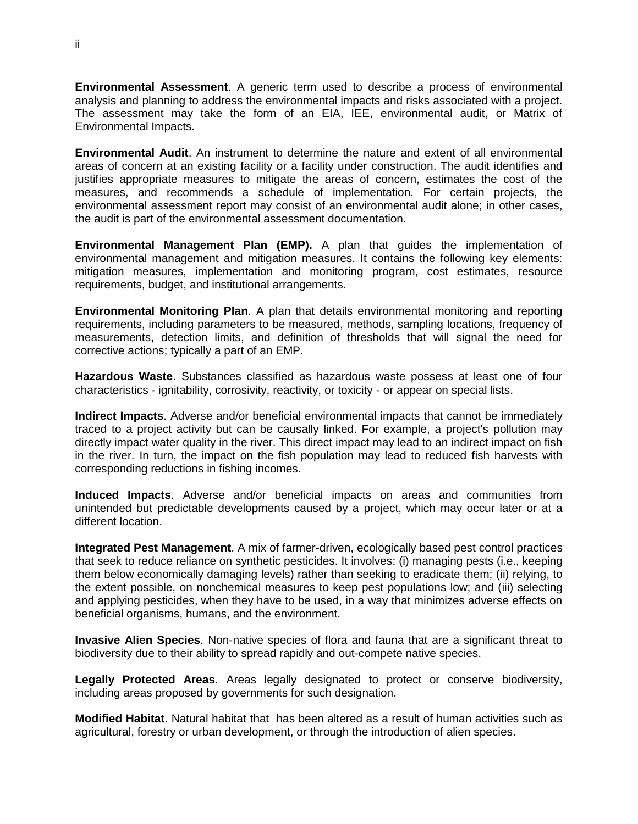**Environmental Assessment**. A generic term used to describe a process of environmental analysis and planning to address the environmental impacts and risks associated with a project. The assessment may take the form of an EIA, IEE, environmental audit, or Matrix of Environmental Impacts.

**Environmental Audit**. An instrument to determine the nature and extent of all environmental areas of concern at an existing facility or a facility under construction. The audit identifies and justifies appropriate measures to mitigate the areas of concern, estimates the cost of the measures, and recommends a schedule of implementation. For certain projects, the environmental assessment report may consist of an environmental audit alone; in other cases, the audit is part of the environmental assessment documentation.

**Environmental Management Plan (EMP).** A plan that guides the implementation of environmental management and mitigation measures. It contains the following key elements: mitigation measures, implementation and monitoring program, cost estimates, resource requirements, budget, and institutional arrangements.

**Environmental Monitoring Plan**. A plan that details environmental monitoring and reporting requirements, including parameters to be measured, methods, sampling locations, frequency of measurements, detection limits, and definition of thresholds that will signal the need for corrective actions; typically a part of an EMP.

**Hazardous Waste**. Substances classified as hazardous waste possess at least one of four characteristics - ignitability, corrosivity, reactivity, or toxicity - or appear on special lists.

**Indirect Impacts**. Adverse and/or beneficial environmental impacts that cannot be immediately traced to a project activity but can be causally linked. For example, a project's pollution may directly impact water quality in the river. This direct impact may lead to an indirect impact on fish in the river. In turn, the impact on the fish population may lead to reduced fish harvests with corresponding reductions in fishing incomes.

**Induced Impacts**. Adverse and/or beneficial impacts on areas and communities from unintended but predictable developments caused by a project, which may occur later or at a different location.

**Integrated Pest Management**. A mix of farmer-driven, ecologically based pest control practices that seek to reduce reliance on synthetic pesticides. It involves: (i) managing pests (i.e., keeping them below economically damaging levels) rather than seeking to eradicate them; (ii) relying, to the extent possible, on nonchemical measures to keep pest populations low; and (iii) selecting and applying pesticides, when they have to be used, in a way that minimizes adverse effects on beneficial organisms, humans, and the environment.

**Invasive Alien Species**. Non-native species of flora and fauna that are a significant threat to biodiversity due to their ability to spread rapidly and out-compete native species.

**Legally Protected Areas**. Areas legally designated to protect or conserve biodiversity, including areas proposed by governments for such designation.

**Modified Habitat**. Natural habitat that has been altered as a result of human activities such as agricultural, forestry or urban development, or through the introduction of alien species.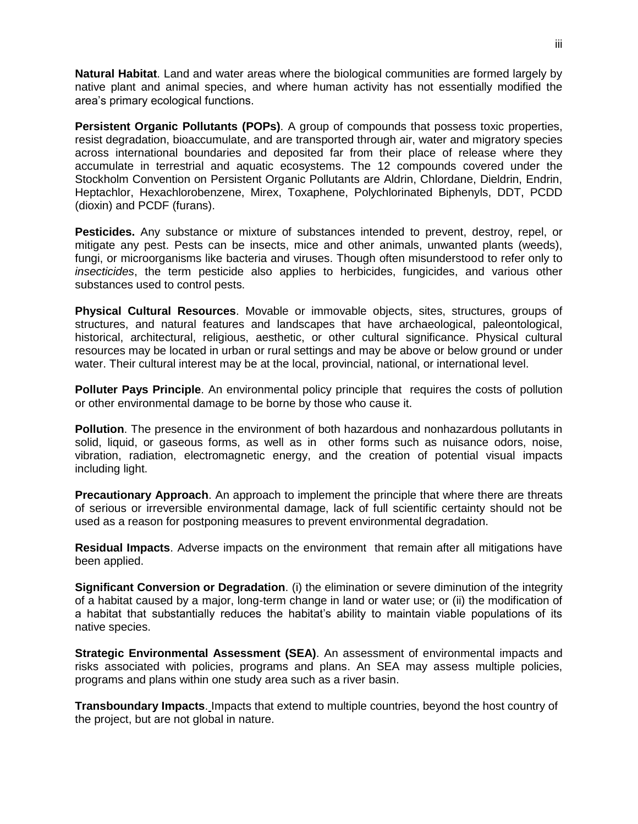**Natural Habitat**. Land and water areas where the biological communities are formed largely by native plant and animal species, and where human activity has not essentially modified the area's primary ecological functions.

**Persistent Organic Pollutants (POPs)**. A group of compounds that possess toxic properties, resist degradation, bioaccumulate, and are transported through air, water and migratory species across international boundaries and deposited far from their place of release where they accumulate in terrestrial and aquatic ecosystems. The 12 compounds covered under the Stockholm Convention on Persistent Organic Pollutants are Aldrin, Chlordane, Dieldrin, Endrin, Heptachlor, Hexachlorobenzene, Mirex, Toxaphene, Polychlorinated Biphenyls, DDT, PCDD (dioxin) and PCDF (furans).

**Pesticides.** Any substance or mixture of substances intended to prevent, destroy, repel, or mitigate any pest. Pests can be insects, mice and other animals, unwanted plants (weeds), fungi, or microorganisms like bacteria and viruses. Though often misunderstood to refer only to *insecticides*, the term pesticide also applies to herbicides, fungicides, and various other substances used to control pests.

**Physical Cultural Resources**. Movable or immovable objects, sites, structures, groups of structures, and natural features and landscapes that have archaeological, paleontological, historical, architectural, religious, aesthetic, or other cultural significance. Physical cultural resources may be located in urban or rural settings and may be above or below ground or under water. Their cultural interest may be at the local, provincial, national, or international level.

**Polluter Pays Principle**. An environmental policy principle that requires the costs of pollution or other environmental damage to be borne by those who cause it.

**Pollution**. The presence in the environment of both hazardous and nonhazardous pollutants in solid, liquid, or gaseous forms, as well as in other forms such as nuisance odors, noise, vibration, radiation, electromagnetic energy, and the creation of potential visual impacts including light.

**Precautionary Approach**. An approach to implement the principle that where there are threats of serious or irreversible environmental damage, lack of full scientific certainty should not be used as a reason for postponing measures to prevent environmental degradation.

**Residual Impacts**. Adverse impacts on the environment that remain after all mitigations have been applied.

**Significant Conversion or Degradation**. (i) the elimination or severe diminution of the integrity of a habitat caused by a major, long-term change in land or water use; or (ii) the modification of a habitat that substantially reduces the habitat's ability to maintain viable populations of its native species.

**Strategic Environmental Assessment (SEA)**. An assessment of environmental impacts and risks associated with policies, programs and plans. An SEA may assess multiple policies, programs and plans within one study area such as a river basin.

**Transboundary Impacts**. Impacts that extend to multiple countries, beyond the host country of the project, but are not global in nature.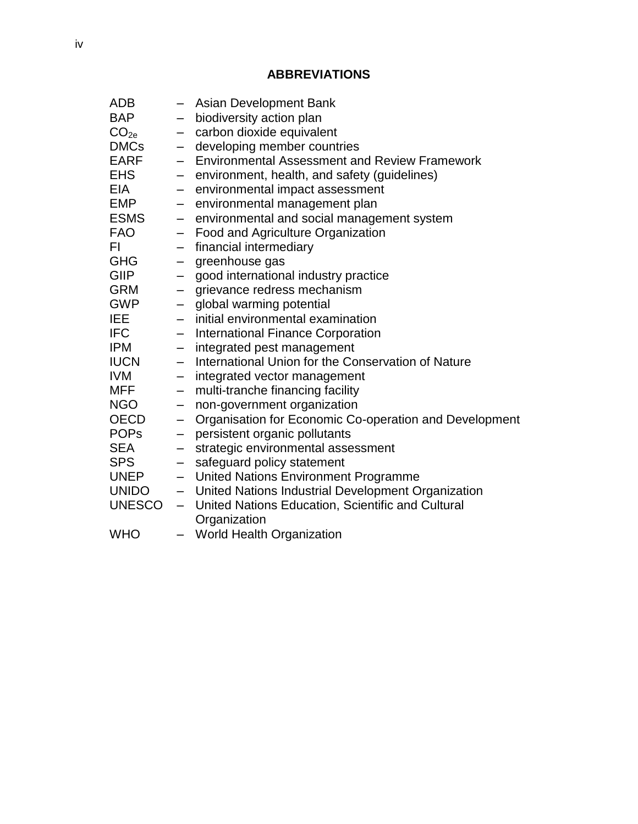# **ABBREVIATIONS**

| <b>ADB</b>       |                          | Asian Development Bank                                 |
|------------------|--------------------------|--------------------------------------------------------|
| <b>BAP</b>       |                          | biodiversity action plan                               |
| CO <sub>2e</sub> | -                        | carbon dioxide equivalent                              |
| <b>DMCs</b>      | $-$                      | developing member countries                            |
| <b>EARF</b>      |                          | <b>Environmental Assessment and Review Framework</b>   |
| <b>EHS</b>       | $\qquad \qquad -$        | environment, health, and safety (guidelines)           |
| <b>EIA</b>       |                          | environmental impact assessment                        |
| <b>EMP</b>       | $\qquad \qquad -$        | environmental management plan                          |
| <b>ESMS</b>      | $\qquad \qquad -$        | environmental and social management system             |
| <b>FAO</b>       |                          | Food and Agriculture Organization                      |
| FI.              | $\qquad \qquad -$        | financial intermediary                                 |
| <b>GHG</b>       |                          | greenhouse gas                                         |
| <b>GIIP</b>      | $\qquad \qquad -$        | good international industry practice                   |
| <b>GRM</b>       | $\qquad \qquad -$        | grievance redress mechanism                            |
| <b>GWP</b>       |                          | global warming potential                               |
| <b>IEE</b>       | $\overline{\phantom{0}}$ | initial environmental examination                      |
| <b>IFC</b>       | $\qquad \qquad -$        | <b>International Finance Corporation</b>               |
| <b>IPM</b>       | $-$                      | integrated pest management                             |
| <b>IUCN</b>      | $\overline{\phantom{0}}$ | International Union for the Conservation of Nature     |
| <b>IVM</b>       | $\qquad \qquad -$        | integrated vector management                           |
| <b>MFF</b>       | -                        | multi-tranche financing facility                       |
| <b>NGO</b>       | —                        | non-government organization                            |
| <b>OECD</b>      | $\qquad \qquad -$        | Organisation for Economic Co-operation and Development |
| <b>POPS</b>      | $\overline{\phantom{0}}$ | persistent organic pollutants                          |
| <b>SEA</b>       | —                        | strategic environmental assessment                     |
| <b>SPS</b>       | —                        | safeguard policy statement                             |
| <b>UNEP</b>      |                          | - United Nations Environment Programme                 |
| <b>UNIDO</b>     |                          | - United Nations Industrial Development Organization   |
| <b>UNESCO</b>    | $\equiv$                 | United Nations Education, Scientific and Cultural      |
|                  |                          | Organization                                           |
| <b>WHO</b>       | $-$                      | World Health Organization                              |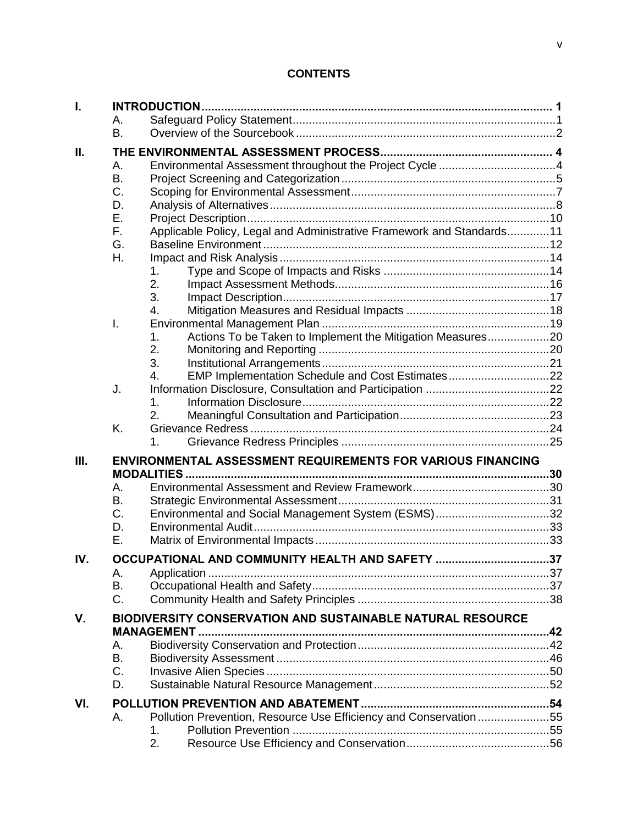# **CONTENTS**

| I.   |                                                            |                                                                       |  |  |  |  |  |
|------|------------------------------------------------------------|-----------------------------------------------------------------------|--|--|--|--|--|
|      | Α.                                                         |                                                                       |  |  |  |  |  |
|      | <b>B.</b>                                                  |                                                                       |  |  |  |  |  |
| Ш.   |                                                            |                                                                       |  |  |  |  |  |
|      | А.                                                         |                                                                       |  |  |  |  |  |
|      | <b>B.</b>                                                  |                                                                       |  |  |  |  |  |
|      | C.                                                         |                                                                       |  |  |  |  |  |
|      | D.                                                         |                                                                       |  |  |  |  |  |
|      | Е.                                                         |                                                                       |  |  |  |  |  |
|      | F.                                                         | Applicable Policy, Legal and Administrative Framework and Standards11 |  |  |  |  |  |
|      | G.                                                         |                                                                       |  |  |  |  |  |
|      | Η.                                                         |                                                                       |  |  |  |  |  |
|      |                                                            | 1.                                                                    |  |  |  |  |  |
|      |                                                            | 2.                                                                    |  |  |  |  |  |
|      |                                                            | 3.                                                                    |  |  |  |  |  |
|      |                                                            | $\overline{4}$ .                                                      |  |  |  |  |  |
|      | $\mathsf{L}$                                               |                                                                       |  |  |  |  |  |
|      |                                                            | Actions To be Taken to Implement the Mitigation Measures20<br>1.      |  |  |  |  |  |
|      |                                                            | 2.                                                                    |  |  |  |  |  |
|      |                                                            | 3.                                                                    |  |  |  |  |  |
|      |                                                            | EMP Implementation Schedule and Cost Estimates22<br>4.                |  |  |  |  |  |
|      | J.                                                         |                                                                       |  |  |  |  |  |
|      |                                                            | 1.                                                                    |  |  |  |  |  |
|      |                                                            | 2.                                                                    |  |  |  |  |  |
|      | K.                                                         |                                                                       |  |  |  |  |  |
|      |                                                            | 1.                                                                    |  |  |  |  |  |
| III. |                                                            | ENVIRONMENTAL ASSESSMENT REQUIREMENTS FOR VARIOUS FINANCING           |  |  |  |  |  |
|      |                                                            |                                                                       |  |  |  |  |  |
|      | А.                                                         |                                                                       |  |  |  |  |  |
|      | Β.                                                         |                                                                       |  |  |  |  |  |
|      | C.                                                         | Environmental and Social Management System (ESMS)32                   |  |  |  |  |  |
|      | D.                                                         |                                                                       |  |  |  |  |  |
|      | Ε.                                                         |                                                                       |  |  |  |  |  |
|      |                                                            |                                                                       |  |  |  |  |  |
| IV.  |                                                            | OCCUPATIONAL AND COMMUNITY HEALTH AND SAFETY 37                       |  |  |  |  |  |
|      | А.                                                         |                                                                       |  |  |  |  |  |
|      | В.                                                         |                                                                       |  |  |  |  |  |
|      | C.                                                         |                                                                       |  |  |  |  |  |
| V.   | BIODIVERSITY CONSERVATION AND SUSTAINABLE NATURAL RESOURCE |                                                                       |  |  |  |  |  |
|      |                                                            | <b>MANAGEMENT</b>                                                     |  |  |  |  |  |
|      | А.                                                         |                                                                       |  |  |  |  |  |
|      | B.                                                         |                                                                       |  |  |  |  |  |
|      | C.                                                         |                                                                       |  |  |  |  |  |
|      | D.                                                         |                                                                       |  |  |  |  |  |
| VI.  |                                                            |                                                                       |  |  |  |  |  |
|      | А.                                                         | Pollution Prevention, Resource Use Efficiency and Conservation55      |  |  |  |  |  |
|      |                                                            | 1.                                                                    |  |  |  |  |  |
|      |                                                            | 2.                                                                    |  |  |  |  |  |
|      |                                                            |                                                                       |  |  |  |  |  |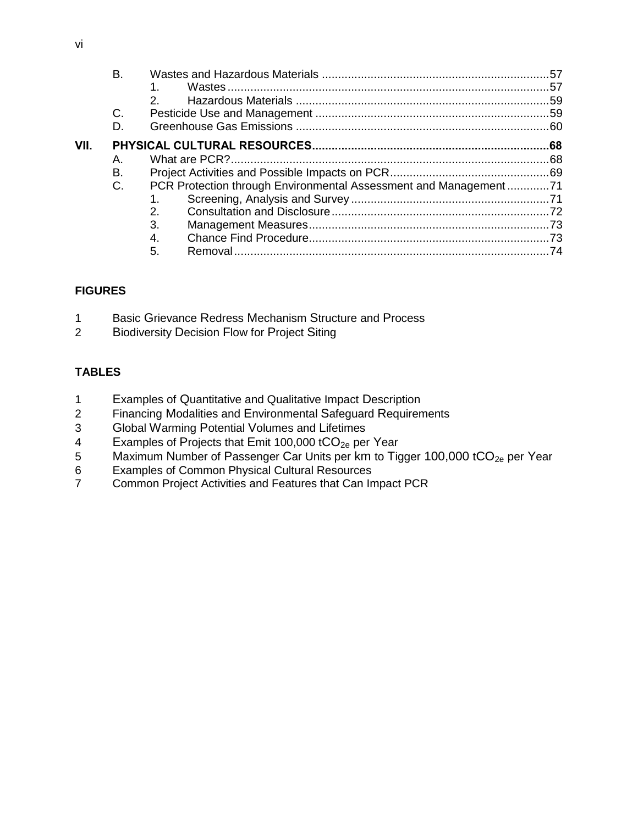|      | Β. |                                                                  |  |
|------|----|------------------------------------------------------------------|--|
|      |    |                                                                  |  |
|      |    |                                                                  |  |
|      | C. |                                                                  |  |
|      | D. |                                                                  |  |
| VII. |    |                                                                  |  |
|      | А. |                                                                  |  |
|      | Β. |                                                                  |  |
|      | C. | PCR Protection through Environmental Assessment and Management71 |  |
|      |    |                                                                  |  |
|      |    | 2.                                                               |  |
|      |    | 3.                                                               |  |
|      |    | 4.                                                               |  |
|      |    | 5.                                                               |  |

## **FIGURES**

- 1 Basic Grievance Redress M[echanism](#page-34-0) Structure and Process
- 2 B[iodiversity](#page-55-0) Decision Flow for Project Siting

# **TABLES**

- 1 Examples of Q[uantitative and Qualitative Impact](#page-24-1) Description
- 2 Financing Modalities and E[nvironmental](#page-41-0) Safeguard Requirements
- 3 Global Warming Potential V[olumes and](#page-68-0) Lifetimes
- 4 Examples of Projects that E[mit 100,000 t](#page-69-0)CO<sub>2e</sub> per Year
- 5 Maximum Number of Passenger C[ar Units per](#page-70-0) km to Tigger 100,000 tCO<sub>2e</sub> per Year
- 6 [Examples of Common Physical Cultural Resources](#page-75-2)
- 7 Common Project Activities and Features that Can Impact PCR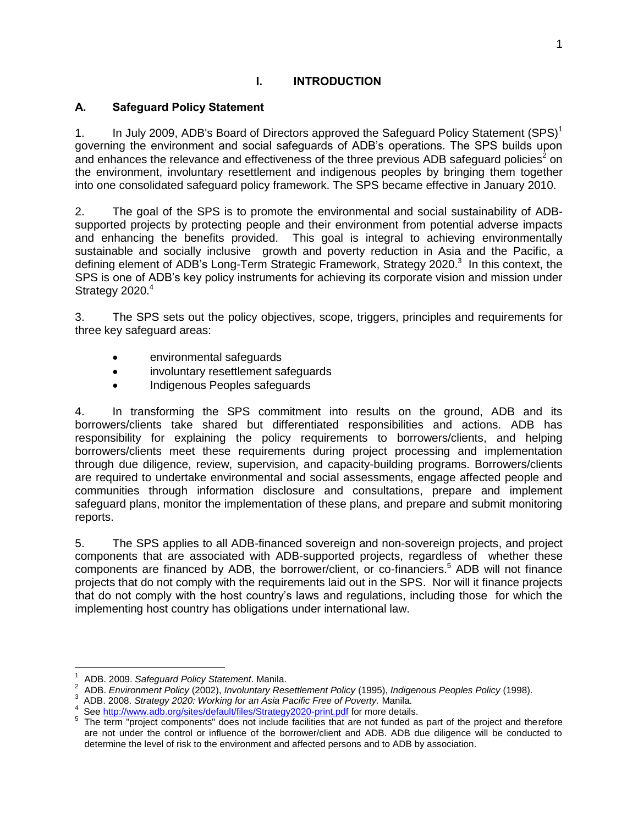#### **I. INTRODUCTION**

#### <span id="page-8-1"></span><span id="page-8-0"></span>**A. Safeguard Policy Statement**

1. In July 2009, ADB's Board of Directors approved the Safeguard Policy Statement  $(SPS)^1$ governing the environment and social safeguards of ADB's operations. The SPS builds upon and enhances the relevance and effectiveness of the three previous ADB safeguard policies<sup>2</sup> on the environment, involuntary resettlement and indigenous peoples by bringing them together into one consolidated safeguard policy framework. The SPS became effective in January 2010.

2. The goal of the SPS is to promote the environmental and social sustainability of ADBsupported projects by protecting people and their environment from potential adverse impacts and enhancing the benefits provided. This goal is integral to achieving environmentally sustainable and socially inclusive growth and poverty reduction in Asia and the Pacific, a defining element of ADB's Long-Term Strategic Framework, Strategy 2020.<sup>3</sup> In this context, the SPS is one of ADB's key policy instruments for achieving its corporate vision and mission under Strategy 2020.<sup>4</sup>

3. The SPS sets out the policy objectives, scope, triggers, principles and requirements for three key safeguard areas:

- environmental safeguards
- involuntary resettlement safeguards
- Indigenous Peoples safeguards

4. In transforming the SPS commitment into results on the ground, ADB and its borrowers/clients take shared but differentiated responsibilities and actions. ADB has responsibility for explaining the policy requirements to borrowers/clients, and helping borrowers/clients meet these requirements during project processing and implementation through due diligence, review, supervision, and capacity-building programs. Borrowers/clients are required to undertake environmental and social assessments, engage affected people and communities through information disclosure and consultations, prepare and implement safeguard plans, monitor the implementation of these plans, and prepare and submit monitoring reports.

5. The SPS applies to all ADB-financed sovereign and non-sovereign projects, and project components that are associated with ADB-supported projects, regardless of whether these components are financed by ADB, the borrower/client, or co-financiers.<sup>5</sup> ADB will not finance projects that do not comply with the requirements laid out in the SPS. Nor will it finance projects that do not comply with the host country's laws and regulations, including those for which the implementing host country has obligations under international law.

 $\overline{a}$ 1 ADB. 2009. *Safeguard Policy Statement*. Manila.

<sup>2</sup> ADB. *Environment Policy* (2002), *Involuntary Resettlement Policy* (1995), *Indigenous Peoples Policy* (1998).

<sup>3</sup> ADB. 2008. *Strategy 2020: Working for an Asia Pacific Free of Poverty.* Manila.

<sup>4</sup> See <http://www.adb.org/sites/default/files/Strategy2020-print.pdf> for more details.

<sup>&</sup>lt;sup>5</sup> The term "project components" does not include facilities that are not funded as part of the project and therefore are not under the control or influence of the borrower/client and ADB. ADB due diligence will be conducted to determine the level of risk to the environment and affected persons and to ADB by association.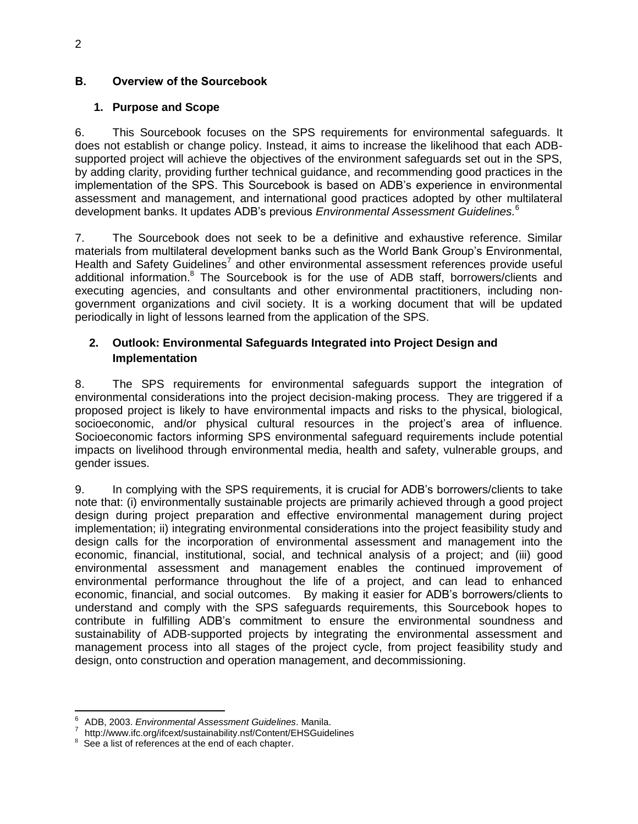#### <span id="page-9-0"></span>**B. Overview of the Sourcebook**

#### **1. Purpose and Scope**

6. This Sourcebook focuses on the SPS requirements for environmental safeguards. It does not establish or change policy. Instead, it aims to increase the likelihood that each ADBsupported project will achieve the objectives of the environment safeguards set out in the SPS, by adding clarity, providing further technical guidance, and recommending good practices in the implementation of the SPS. This Sourcebook is based on ADB's experience in environmental assessment and management, and international good practices adopted by other multilateral development banks. It updates ADB's previous *Environmental Assessment Guidelines.* 6

7. The Sourcebook does not seek to be a definitive and exhaustive reference. Similar materials from multilateral development banks such as the World Bank Group's Environmental, Health and Safety Guidelines<sup>7</sup> and other environmental assessment references provide useful additional information.<sup>8</sup> The Sourcebook is for the use of ADB staff, borrowers/clients and executing agencies, and consultants and other environmental practitioners, including nongovernment organizations and civil society. It is a working document that will be updated periodically in light of lessons learned from the application of the SPS.

#### **2. Outlook: Environmental Safeguards Integrated into Project Design and Implementation**

8. The SPS requirements for environmental safeguards support the integration of environmental considerations into the project decision-making process. They are triggered if a proposed project is likely to have environmental impacts and risks to the physical, biological, socioeconomic, and/or physical cultural resources in the project's area of influence. Socioeconomic factors informing SPS environmental safeguard requirements include potential impacts on livelihood through environmental media, health and safety, vulnerable groups, and gender issues.

9. In complying with the SPS requirements, it is crucial for ADB's borrowers/clients to take note that: (i) environmentally sustainable projects are primarily achieved through a good project design during project preparation and effective environmental management during project implementation; ii) integrating environmental considerations into the project feasibility study and design calls for the incorporation of environmental assessment and management into the economic, financial, institutional, social, and technical analysis of a project; and (iii) good environmental assessment and management enables the continued improvement of environmental performance throughout the life of a project, and can lead to enhanced economic, financial, and social outcomes. By making it easier for ADB's borrowers/clients to understand and comply with the SPS safeguards requirements, this Sourcebook hopes to contribute in fulfilling ADB's commitment to ensure the environmental soundness and sustainability of ADB-supported projects by integrating the environmental assessment and management process into all stages of the project cycle, from project feasibility study and design, onto construction and operation management, and decommissioning.

 $\overline{a}$ 

<sup>6</sup> ADB, 2003. *Environmental Assessment Guidelines*. Manila.

<sup>7</sup> http://www.ifc.org/ifcext/sustainability.nsf/Content/EHSGuidelines

<sup>&</sup>lt;sup>8</sup> See a list of references at the end of each chapter.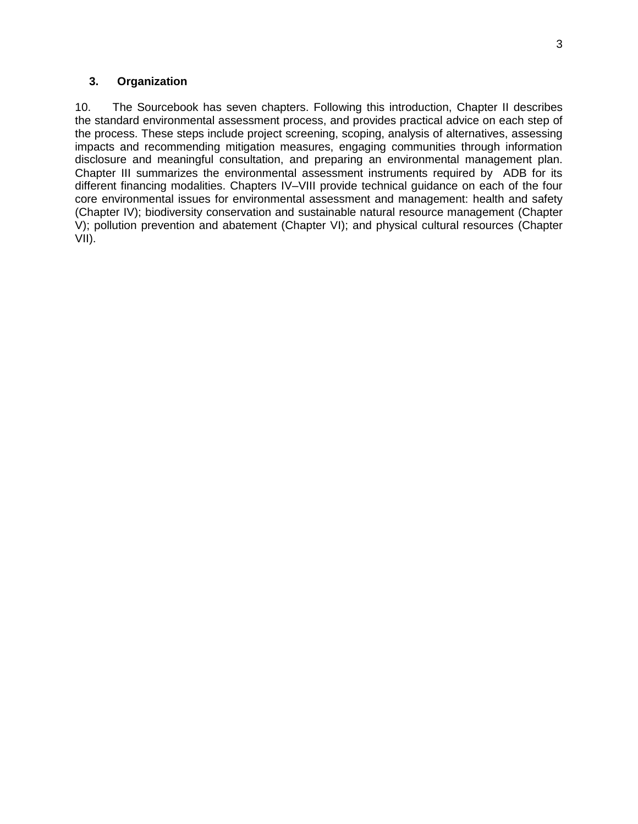#### **3. Organization**

10. The Sourcebook has seven chapters. Following this introduction, Chapter II describes the standard environmental assessment process, and provides practical advice on each step of the process. These steps include project screening, scoping, analysis of alternatives, assessing impacts and recommending mitigation measures, engaging communities through information disclosure and meaningful consultation, and preparing an environmental management plan. Chapter III summarizes the environmental assessment instruments required by ADB for its different financing modalities. Chapters IV–VIII provide technical guidance on each of the four core environmental issues for environmental assessment and management: health and safety (Chapter IV); biodiversity conservation and sustainable natural resource management (Chapter V); pollution prevention and abatement (Chapter VI); and physical cultural resources (Chapter VII).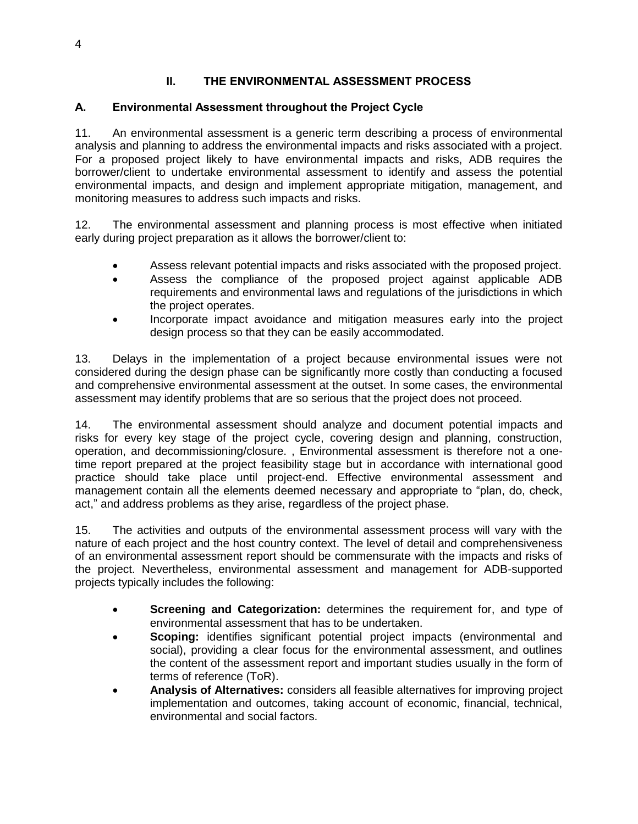## **II. THE ENVIRONMENTAL ASSESSMENT PROCESS**

#### <span id="page-11-1"></span><span id="page-11-0"></span>**A. Environmental Assessment throughout the Project Cycle**

11. An environmental assessment is a generic term describing a process of environmental analysis and planning to address the environmental impacts and risks associated with a project. For a proposed project likely to have environmental impacts and risks, ADB requires the borrower/client to undertake environmental assessment to identify and assess the potential environmental impacts, and design and implement appropriate mitigation, management, and monitoring measures to address such impacts and risks.

12. The environmental assessment and planning process is most effective when initiated early during project preparation as it allows the borrower/client to:

- Assess relevant potential impacts and risks associated with the proposed project.
- Assess the compliance of the proposed project against applicable ADB requirements and environmental laws and regulations of the jurisdictions in which the project operates.
- Incorporate impact avoidance and mitigation measures early into the project design process so that they can be easily accommodated.

13. Delays in the implementation of a project because environmental issues were not considered during the design phase can be significantly more costly than conducting a focused and comprehensive environmental assessment at the outset. In some cases, the environmental assessment may identify problems that are so serious that the project does not proceed.

14. The environmental assessment should analyze and document potential impacts and risks for every key stage of the project cycle, covering design and planning, construction, operation, and decommissioning/closure. , Environmental assessment is therefore not a onetime report prepared at the project feasibility stage but in accordance with international good practice should take place until project-end. Effective environmental assessment and management contain all the elements deemed necessary and appropriate to "plan, do, check, act," and address problems as they arise, regardless of the project phase.

15. The activities and outputs of the environmental assessment process will vary with the nature of each project and the host country context. The level of detail and comprehensiveness of an environmental assessment report should be commensurate with the impacts and risks of the project. Nevertheless, environmental assessment and management for ADB-supported projects typically includes the following:

- **Screening and Categorization:** determines the requirement for, and type of environmental assessment that has to be undertaken.
- **Scoping:** identifies significant potential project impacts (environmental and social), providing a clear focus for the environmental assessment, and outlines the content of the assessment report and important studies usually in the form of terms of reference (ToR).
- **Analysis of Alternatives:** considers all feasible alternatives for improving project implementation and outcomes, taking account of economic, financial, technical, environmental and social factors.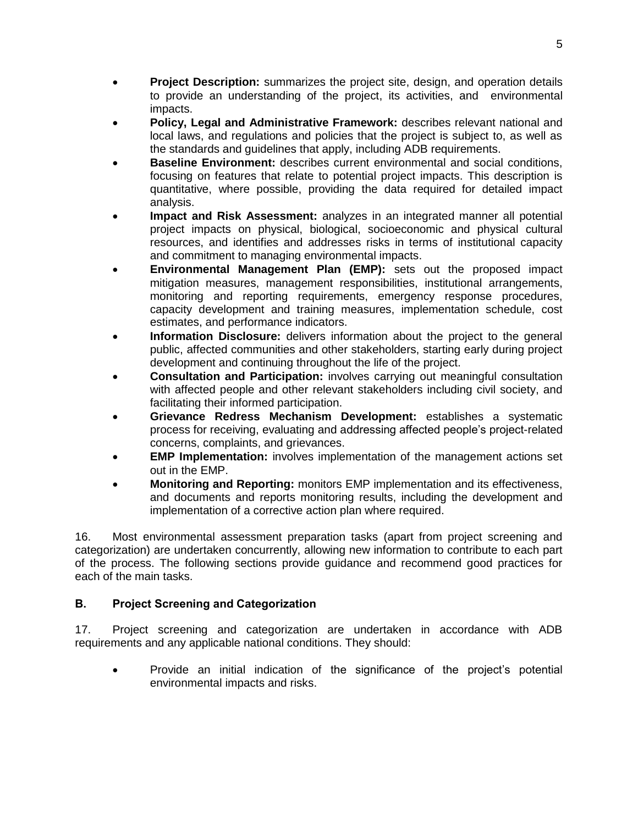- **Project Description:** summarizes the project site, design, and operation details to provide an understanding of the project, its activities, and environmental impacts.
- **Policy, Legal and Administrative Framework:** describes relevant national and local laws, and regulations and policies that the project is subject to, as well as the standards and guidelines that apply, including ADB requirements.
- **Baseline Environment:** describes current environmental and social conditions, focusing on features that relate to potential project impacts. This description is quantitative, where possible, providing the data required for detailed impact analysis.
- **Impact and Risk Assessment:** analyzes in an integrated manner all potential project impacts on physical, biological, socioeconomic and physical cultural resources, and identifies and addresses risks in terms of institutional capacity and commitment to managing environmental impacts.
- **Environmental Management Plan (EMP):** sets out the proposed impact mitigation measures, management responsibilities, institutional arrangements, monitoring and reporting requirements, emergency response procedures, capacity development and training measures, implementation schedule, cost estimates, and performance indicators.
- **Information Disclosure:** delivers information about the project to the general public, affected communities and other stakeholders, starting early during project development and continuing throughout the life of the project.
- **Consultation and Participation:** involves carrying out meaningful consultation with affected people and other relevant stakeholders including civil society, and facilitating their informed participation.
- **Grievance Redress Mechanism Development:** establishes a systematic process for receiving, evaluating and addressing affected people's project-related concerns, complaints, and grievances.
- **EMP Implementation:** involves implementation of the management actions set out in the EMP.
- **Monitoring and Reporting:** monitors EMP implementation and its effectiveness, and documents and reports monitoring results, including the development and implementation of a corrective action plan where required.

16. Most environmental assessment preparation tasks (apart from project screening and categorization) are undertaken concurrently, allowing new information to contribute to each part of the process. The following sections provide guidance and recommend good practices for each of the main tasks.

# <span id="page-12-0"></span>**B. Project Screening and Categorization**

17. Project screening and categorization are undertaken in accordance with ADB requirements and any applicable national conditions. They should:

 Provide an initial indication of the significance of the project's potential environmental impacts and risks.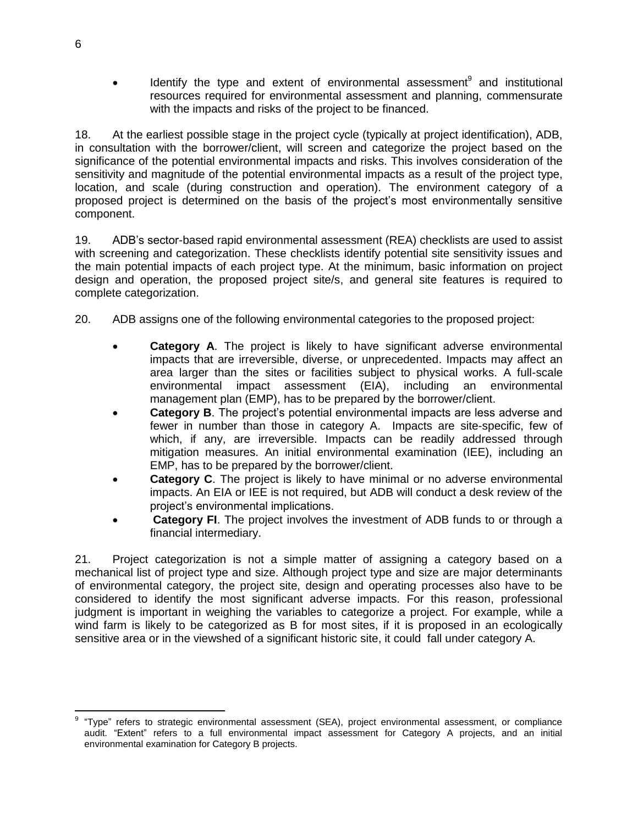$\bullet$  Identify the type and extent of environmental assessment<sup>9</sup> and institutional resources required for environmental assessment and planning, commensurate with the impacts and risks of the project to be financed.

18. At the earliest possible stage in the project cycle (typically at project identification), ADB, in consultation with the borrower/client, will screen and categorize the project based on the significance of the potential environmental impacts and risks. This involves consideration of the sensitivity and magnitude of the potential environmental impacts as a result of the project type, location, and scale (during construction and operation). The environment category of a proposed project is determined on the basis of the project's most environmentally sensitive component.

19. ADB's sector-based rapid environmental assessment (REA) checklists are used to assist with screening and categorization. These checklists identify potential site sensitivity issues and the main potential impacts of each project type. At the minimum, basic information on project design and operation, the proposed project site/s, and general site features is required to complete categorization.

- 20. ADB assigns one of the following environmental categories to the proposed project:
	- **Category A**. The project is likely to have significant adverse environmental impacts that are irreversible, diverse, or unprecedented. Impacts may affect an area larger than the sites or facilities subject to physical works. A full-scale environmental impact assessment (EIA), including an environmental management plan (EMP), has to be prepared by the borrower/client.
	- **Category B**. The project's potential environmental impacts are less adverse and fewer in number than those in category A. Impacts are site-specific, few of which, if any, are irreversible. Impacts can be readily addressed through mitigation measures. An initial environmental examination (IEE), including an EMP, has to be prepared by the borrower/client.
	- **Category C**. The project is likely to have minimal or no adverse environmental impacts. An EIA or IEE is not required, but ADB will conduct a desk review of the project's environmental implications.
	- **Category FI**. The project involves the investment of ADB funds to or through a financial intermediary.

21. Project categorization is not a simple matter of assigning a category based on a mechanical list of project type and size. Although project type and size are major determinants of environmental category, the project site, design and operating processes also have to be considered to identify the most significant adverse impacts. For this reason, professional judgment is important in weighing the variables to categorize a project. For example, while a wind farm is likely to be categorized as B for most sites, if it is proposed in an ecologically sensitive area or in the viewshed of a significant historic site, it could fall under category A.

 $\overline{a}$ 9 "Type" refers to strategic environmental assessment (SEA), project environmental assessment, or compliance audit. "Extent" refers to a full environmental impact assessment for Category A projects, and an initial environmental examination for Category B projects.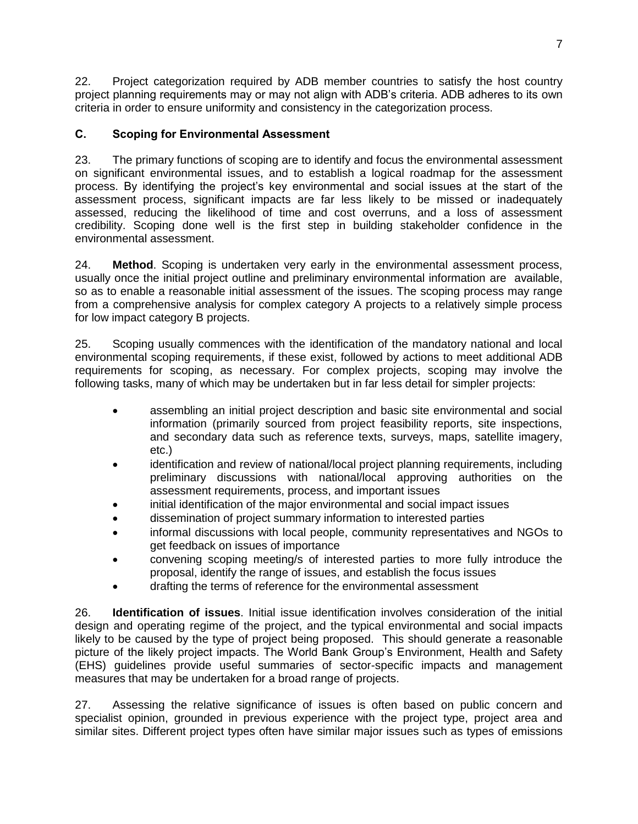22. Project categorization required by ADB member countries to satisfy the host country project planning requirements may or may not align with ADB's criteria. ADB adheres to its own criteria in order to ensure uniformity and consistency in the categorization process.

#### <span id="page-14-0"></span>**C. Scoping for Environmental Assessment**

23. The primary functions of scoping are to identify and focus the environmental assessment on significant environmental issues, and to establish a logical roadmap for the assessment process. By identifying the project's key environmental and social issues at the start of the assessment process, significant impacts are far less likely to be missed or inadequately assessed, reducing the likelihood of time and cost overruns, and a loss of assessment credibility. Scoping done well is the first step in building stakeholder confidence in the environmental assessment.

24. **Method**. Scoping is undertaken very early in the environmental assessment process, usually once the initial project outline and preliminary environmental information are available, so as to enable a reasonable initial assessment of the issues. The scoping process may range from a comprehensive analysis for complex category A projects to a relatively simple process for low impact category B projects.

25. Scoping usually commences with the identification of the mandatory national and local environmental scoping requirements, if these exist, followed by actions to meet additional ADB requirements for scoping, as necessary. For complex projects, scoping may involve the following tasks, many of which may be undertaken but in far less detail for simpler projects:

- assembling an initial project description and basic site environmental and social information (primarily sourced from project feasibility reports, site inspections, and secondary data such as reference texts, surveys, maps, satellite imagery, etc.)
- identification and review of national/local project planning requirements, including preliminary discussions with national/local approving authorities on the assessment requirements, process, and important issues
- initial identification of the major environmental and social impact issues
- dissemination of project summary information to interested parties
- informal discussions with local people, community representatives and NGOs to get feedback on issues of importance
- convening scoping meeting/s of interested parties to more fully introduce the proposal, identify the range of issues, and establish the focus issues
- drafting the terms of reference for the environmental assessment

26. **Identification of issues**. Initial issue identification involves consideration of the initial design and operating regime of the project, and the typical environmental and social impacts likely to be caused by the type of project being proposed. This should generate a reasonable picture of the likely project impacts. The World Bank Group's Environment, Health and Safety (EHS) guidelines provide useful summaries of sector-specific impacts and management measures that may be undertaken for a broad range of projects.

27. Assessing the relative significance of issues is often based on public concern and specialist opinion, grounded in previous experience with the project type, project area and similar sites. Different project types often have similar major issues such as types of emissions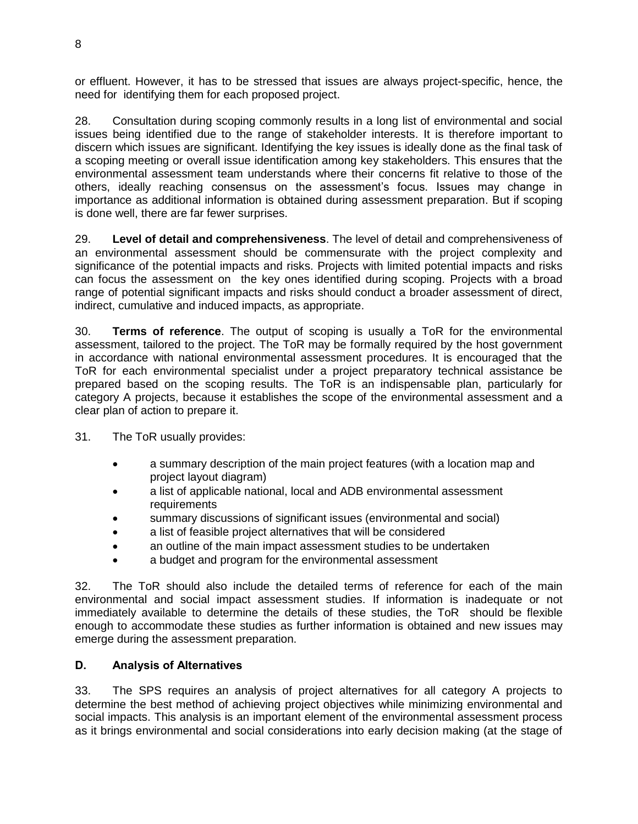or effluent. However, it has to be stressed that issues are always project-specific, hence, the need for identifying them for each proposed project.

28. Consultation during scoping commonly results in a long list of environmental and social issues being identified due to the range of stakeholder interests. It is therefore important to discern which issues are significant. Identifying the key issues is ideally done as the final task of a scoping meeting or overall issue identification among key stakeholders. This ensures that the environmental assessment team understands where their concerns fit relative to those of the others, ideally reaching consensus on the assessment's focus. Issues may change in importance as additional information is obtained during assessment preparation. But if scoping is done well, there are far fewer surprises.

29. **Level of detail and comprehensiveness**. The level of detail and comprehensiveness of an environmental assessment should be commensurate with the project complexity and significance of the potential impacts and risks. Projects with limited potential impacts and risks can focus the assessment on the key ones identified during scoping. Projects with a broad range of potential significant impacts and risks should conduct a broader assessment of direct, indirect, cumulative and induced impacts, as appropriate.

30. **Terms of reference**. The output of scoping is usually a ToR for the environmental assessment, tailored to the project. The ToR may be formally required by the host government in accordance with national environmental assessment procedures. It is encouraged that the ToR for each environmental specialist under a project preparatory technical assistance be prepared based on the scoping results. The ToR is an indispensable plan, particularly for category A projects, because it establishes the scope of the environmental assessment and a clear plan of action to prepare it.

31. The ToR usually provides:

- a summary description of the main project features (with a location map and project layout diagram)
- a list of applicable national, local and ADB environmental assessment requirements
- summary discussions of significant issues (environmental and social)
- a list of feasible project alternatives that will be considered
- an outline of the main impact assessment studies to be undertaken
- a budget and program for the environmental assessment

32. The ToR should also include the detailed terms of reference for each of the main environmental and social impact assessment studies. If information is inadequate or not immediately available to determine the details of these studies, the ToR should be flexible enough to accommodate these studies as further information is obtained and new issues may emerge during the assessment preparation.

#### <span id="page-15-0"></span>**D. Analysis of Alternatives**

33. The SPS requires an analysis of project alternatives for all category A projects to determine the best method of achieving project objectives while minimizing environmental and social impacts. This analysis is an important element of the environmental assessment process as it brings environmental and social considerations into early decision making (at the stage of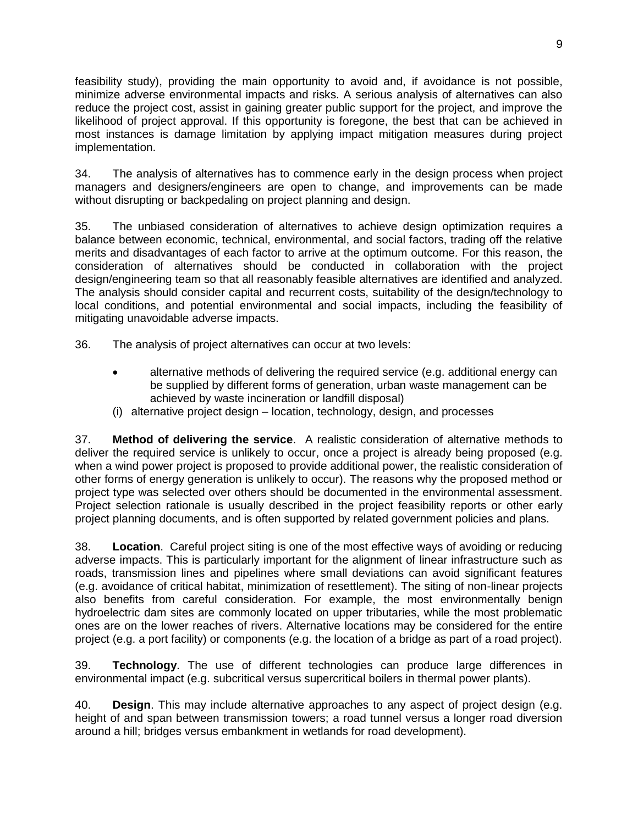feasibility study), providing the main opportunity to avoid and, if avoidance is not possible, minimize adverse environmental impacts and risks. A serious analysis of alternatives can also reduce the project cost, assist in gaining greater public support for the project, and improve the likelihood of project approval. If this opportunity is foregone, the best that can be achieved in most instances is damage limitation by applying impact mitigation measures during project implementation.

34. The analysis of alternatives has to commence early in the design process when project managers and designers/engineers are open to change, and improvements can be made without disrupting or backpedaling on project planning and design.

35. The unbiased consideration of alternatives to achieve design optimization requires a balance between economic, technical, environmental, and social factors, trading off the relative merits and disadvantages of each factor to arrive at the optimum outcome. For this reason, the consideration of alternatives should be conducted in collaboration with the project design/engineering team so that all reasonably feasible alternatives are identified and analyzed. The analysis should consider capital and recurrent costs, suitability of the design/technology to local conditions, and potential environmental and social impacts, including the feasibility of mitigating unavoidable adverse impacts.

36. The analysis of project alternatives can occur at two levels:

- alternative methods of delivering the required service (e.g. additional energy can be supplied by different forms of generation, urban waste management can be achieved by waste incineration or landfill disposal)
- (i) alternative project design location, technology, design, and processes

37. **Method of delivering the service**. A realistic consideration of alternative methods to deliver the required service is unlikely to occur, once a project is already being proposed (e.g. when a wind power project is proposed to provide additional power, the realistic consideration of other forms of energy generation is unlikely to occur). The reasons why the proposed method or project type was selected over others should be documented in the environmental assessment. Project selection rationale is usually described in the project feasibility reports or other early project planning documents, and is often supported by related government policies and plans.

38. **Location**. Careful project siting is one of the most effective ways of avoiding or reducing adverse impacts. This is particularly important for the alignment of linear infrastructure such as roads, transmission lines and pipelines where small deviations can avoid significant features (e.g. avoidance of critical habitat, minimization of resettlement). The siting of non-linear projects also benefits from careful consideration. For example, the most environmentally benign hydroelectric dam sites are commonly located on upper tributaries, while the most problematic ones are on the lower reaches of rivers. Alternative locations may be considered for the entire project (e.g. a port facility) or components (e.g. the location of a bridge as part of a road project).

39. **Technology**. The use of different technologies can produce large differences in environmental impact (e.g. subcritical versus supercritical boilers in thermal power plants).

40. **Design**. This may include alternative approaches to any aspect of project design (e.g. height of and span between transmission towers; a road tunnel versus a longer road diversion around a hill; bridges versus embankment in wetlands for road development).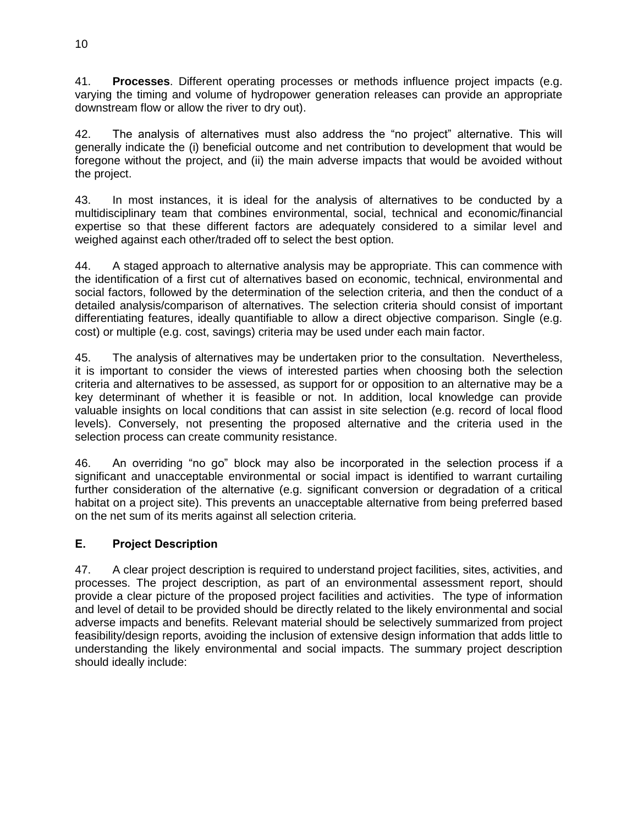41. **Processes**. Different operating processes or methods influence project impacts (e.g. varying the timing and volume of hydropower generation releases can provide an appropriate downstream flow or allow the river to dry out).

42. The analysis of alternatives must also address the "no project" alternative. This will generally indicate the (i) beneficial outcome and net contribution to development that would be foregone without the project, and (ii) the main adverse impacts that would be avoided without the project.

43. In most instances, it is ideal for the analysis of alternatives to be conducted by a multidisciplinary team that combines environmental, social, technical and economic/financial expertise so that these different factors are adequately considered to a similar level and weighed against each other/traded off to select the best option.

44. A staged approach to alternative analysis may be appropriate. This can commence with the identification of a first cut of alternatives based on economic, technical, environmental and social factors, followed by the determination of the selection criteria, and then the conduct of a detailed analysis/comparison of alternatives. The selection criteria should consist of important differentiating features, ideally quantifiable to allow a direct objective comparison. Single (e.g. cost) or multiple (e.g. cost, savings) criteria may be used under each main factor.

45. The analysis of alternatives may be undertaken prior to the consultation. Nevertheless, it is important to consider the views of interested parties when choosing both the selection criteria and alternatives to be assessed, as support for or opposition to an alternative may be a key determinant of whether it is feasible or not. In addition, local knowledge can provide valuable insights on local conditions that can assist in site selection (e.g. record of local flood levels). Conversely, not presenting the proposed alternative and the criteria used in the selection process can create community resistance.

46. An overriding "no go" block may also be incorporated in the selection process if a significant and unacceptable environmental or social impact is identified to warrant curtailing further consideration of the alternative (e.g. significant conversion or degradation of a critical habitat on a project site). This prevents an unacceptable alternative from being preferred based on the net sum of its merits against all selection criteria.

#### <span id="page-17-0"></span>**E. Project Description**

47. A clear project description is required to understand project facilities, sites, activities, and processes. The project description, as part of an environmental assessment report, should provide a clear picture of the proposed project facilities and activities. The type of information and level of detail to be provided should be directly related to the likely environmental and social adverse impacts and benefits. Relevant material should be selectively summarized from project feasibility/design reports, avoiding the inclusion of extensive design information that adds little to understanding the likely environmental and social impacts. The summary project description should ideally include: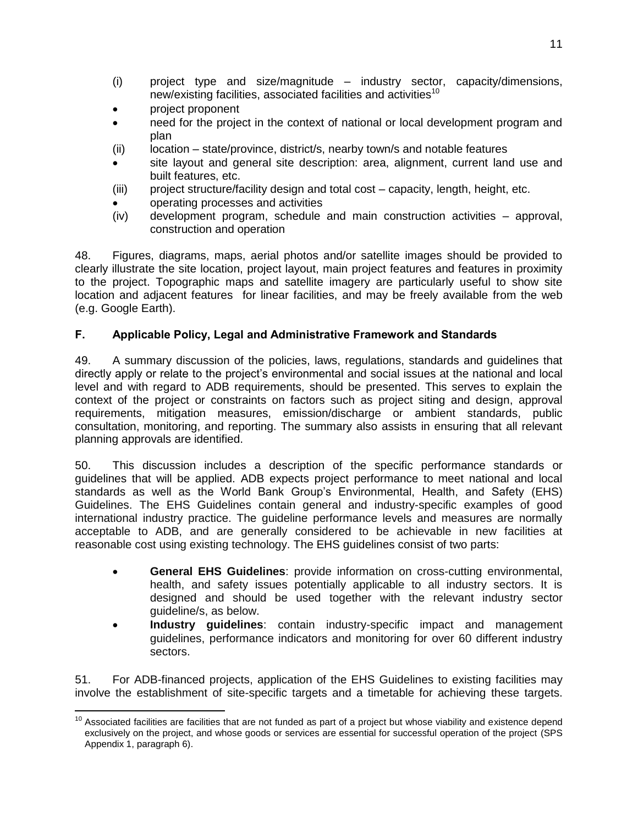- (i) project type and size/magnitude industry sector, capacity/dimensions, new/existing facilities, associated facilities and activities<sup>10</sup>
- project proponent
- need for the project in the context of national or local development program and plan
- (ii) location state/province, district/s, nearby town/s and notable features
- site layout and general site description: area, alignment, current land use and built features, etc.
- (iii) project structure/facility design and total cost capacity, length, height, etc.
- operating processes and activities
- (iv) development program, schedule and main construction activities approval, construction and operation

48. Figures, diagrams, maps, aerial photos and/or satellite images should be provided to clearly illustrate the site location, project layout, main project features and features in proximity to the project. Topographic maps and satellite imagery are particularly useful to show site location and adjacent features for linear facilities, and may be freely available from the web (e.g. Google Earth).

## <span id="page-18-0"></span>**F. Applicable Policy, Legal and Administrative Framework and Standards**

49. A summary discussion of the policies, laws, regulations, standards and guidelines that directly apply or relate to the project's environmental and social issues at the national and local level and with regard to ADB requirements, should be presented. This serves to explain the context of the project or constraints on factors such as project siting and design, approval requirements, mitigation measures, emission/discharge or ambient standards, public consultation, monitoring, and reporting. The summary also assists in ensuring that all relevant planning approvals are identified.

50. This discussion includes a description of the specific performance standards or guidelines that will be applied. ADB expects project performance to meet national and local standards as well as the World Bank Group's Environmental, Health, and Safety (EHS) Guidelines. The EHS Guidelines contain general and industry-specific examples of good international industry practice. The guideline performance levels and measures are normally acceptable to ADB, and are generally considered to be achievable in new facilities at reasonable cost using existing technology. The EHS guidelines consist of two parts:

- **General EHS Guidelines**: provide information on cross-cutting environmental, health, and safety issues potentially applicable to all industry sectors. It is designed and should be used together with the relevant industry sector guideline/s, as below.
- **Industry guidelines**: contain industry-specific impact and management guidelines, performance indicators and monitoring for over 60 different industry sectors.

51. For ADB-financed projects, application of the EHS Guidelines to existing facilities may involve the establishment of site-specific targets and a timetable for achieving these targets.

 $\overline{a}$  $10$  Associated facilities are facilities that are not funded as part of a project but whose viability and existence depend exclusively on the project, and whose goods or services are essential for successful operation of the project (SPS Appendix 1, paragraph 6).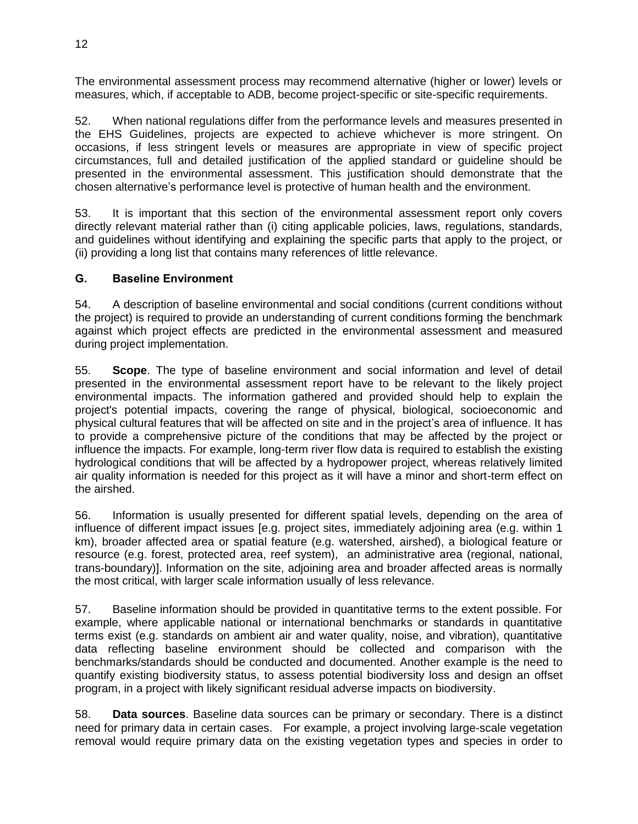The environmental assessment process may recommend alternative (higher or lower) levels or measures, which, if acceptable to ADB, become project-specific or site-specific requirements.

52. When national regulations differ from the performance levels and measures presented in the EHS Guidelines, projects are expected to achieve whichever is more stringent. On occasions, if less stringent levels or measures are appropriate in view of specific project circumstances, full and detailed justification of the applied standard or guideline should be presented in the environmental assessment. This justification should demonstrate that the chosen alternative's performance level is protective of human health and the environment.

53. It is important that this section of the environmental assessment report only covers directly relevant material rather than (i) citing applicable policies, laws, regulations, standards, and guidelines without identifying and explaining the specific parts that apply to the project, or (ii) providing a long list that contains many references of little relevance.

#### <span id="page-19-0"></span>**G. Baseline Environment**

54. A description of baseline environmental and social conditions (current conditions without the project) is required to provide an understanding of current conditions forming the benchmark against which project effects are predicted in the environmental assessment and measured during project implementation.

55. **Scope**. The type of baseline environment and social information and level of detail presented in the environmental assessment report have to be relevant to the likely project environmental impacts. The information gathered and provided should help to explain the project's potential impacts, covering the range of physical, biological, socioeconomic and physical cultural features that will be affected on site and in the project's area of influence. It has to provide a comprehensive picture of the conditions that may be affected by the project or influence the impacts. For example, long-term river flow data is required to establish the existing hydrological conditions that will be affected by a hydropower project, whereas relatively limited air quality information is needed for this project as it will have a minor and short-term effect on the airshed.

56. Information is usually presented for different spatial levels, depending on the area of influence of different impact issues [e.g. project sites, immediately adjoining area (e.g. within 1 km), broader affected area or spatial feature (e.g. watershed, airshed), a biological feature or resource (e.g. forest, protected area, reef system), an administrative area (regional, national, trans-boundary)]. Information on the site, adjoining area and broader affected areas is normally the most critical, with larger scale information usually of less relevance.

57. Baseline information should be provided in quantitative terms to the extent possible. For example, where applicable national or international benchmarks or standards in quantitative terms exist (e.g. standards on ambient air and water quality, noise, and vibration), quantitative data reflecting baseline environment should be collected and comparison with the benchmarks/standards should be conducted and documented. Another example is the need to quantify existing biodiversity status, to assess potential biodiversity loss and design an offset program, in a project with likely significant residual adverse impacts on biodiversity.

58. **Data sources**. Baseline data sources can be primary or secondary. There is a distinct need for primary data in certain cases. For example, a project involving large-scale vegetation removal would require primary data on the existing vegetation types and species in order to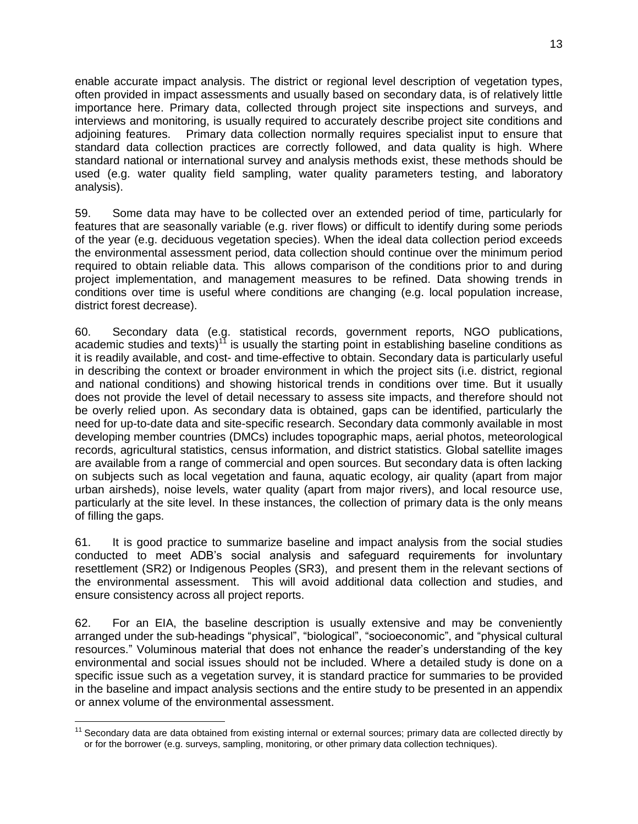enable accurate impact analysis. The district or regional level description of vegetation types, often provided in impact assessments and usually based on secondary data, is of relatively little importance here. Primary data, collected through project site inspections and surveys, and interviews and monitoring, is usually required to accurately describe project site conditions and adjoining features. Primary data collection normally requires specialist input to ensure that standard data collection practices are correctly followed, and data quality is high. Where standard national or international survey and analysis methods exist, these methods should be used (e.g. water quality field sampling, water quality parameters testing, and laboratory analysis).

59. Some data may have to be collected over an extended period of time, particularly for features that are seasonally variable (e.g. river flows) or difficult to identify during some periods of the year (e.g. deciduous vegetation species). When the ideal data collection period exceeds the environmental assessment period, data collection should continue over the minimum period required to obtain reliable data. This allows comparison of the conditions prior to and during project implementation, and management measures to be refined. Data showing trends in conditions over time is useful where conditions are changing (e.g. local population increase, district forest decrease).

60. Secondary data (e.g. statistical records, government reports, NGO publications, academic studies and texts)<sup>11</sup> is usually the starting point in establishing baseline conditions as it is readily available, and cost- and time-effective to obtain. Secondary data is particularly useful in describing the context or broader environment in which the project sits (i.e. district, regional and national conditions) and showing historical trends in conditions over time. But it usually does not provide the level of detail necessary to assess site impacts, and therefore should not be overly relied upon. As secondary data is obtained, gaps can be identified, particularly the need for up-to-date data and site-specific research. Secondary data commonly available in most developing member countries (DMCs) includes topographic maps, aerial photos, meteorological records, agricultural statistics, census information, and district statistics. Global satellite images are available from a range of commercial and open sources. But secondary data is often lacking on subjects such as local vegetation and fauna, aquatic ecology, air quality (apart from major urban airsheds), noise levels, water quality (apart from major rivers), and local resource use, particularly at the site level. In these instances, the collection of primary data is the only means of filling the gaps.

61. It is good practice to summarize baseline and impact analysis from the social studies conducted to meet ADB's social analysis and safeguard requirements for involuntary resettlement (SR2) or Indigenous Peoples (SR3), and present them in the relevant sections of the environmental assessment. This will avoid additional data collection and studies, and ensure consistency across all project reports.

62. For an EIA, the baseline description is usually extensive and may be conveniently arranged under the sub-headings "physical", "biological", "socioeconomic", and "physical cultural resources." Voluminous material that does not enhance the reader's understanding of the key environmental and social issues should not be included. Where a detailed study is done on a specific issue such as a vegetation survey, it is standard practice for summaries to be provided in the baseline and impact analysis sections and the entire study to be presented in an appendix or annex volume of the environmental assessment.

 $\overline{a}$  $11$  Secondary data are data obtained from existing internal or external sources; primary data are collected directly by or for the borrower (e.g. surveys, sampling, monitoring, or other primary data collection techniques).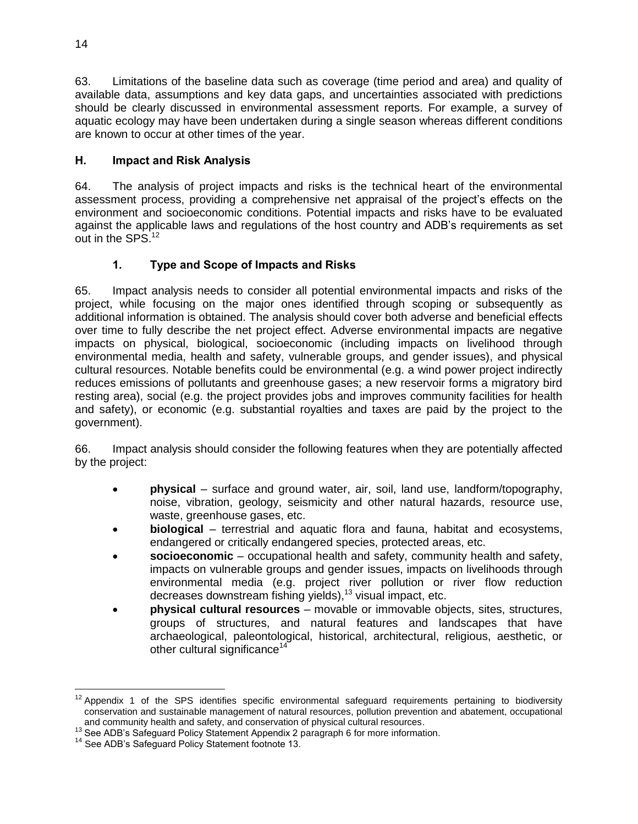63. Limitations of the baseline data such as coverage (time period and area) and quality of available data, assumptions and key data gaps, and uncertainties associated with predictions should be clearly discussed in environmental assessment reports. For example, a survey of aquatic ecology may have been undertaken during a single season whereas different conditions are known to occur at other times of the year.

## <span id="page-21-0"></span>**H. Impact and Risk Analysis**

64. The analysis of project impacts and risks is the technical heart of the environmental assessment process, providing a comprehensive net appraisal of the project's effects on the environment and socioeconomic conditions. Potential impacts and risks have to be evaluated against the applicable laws and regulations of the host country and ADB's requirements as set out in the SPS.<sup>12</sup>

# **1. Type and Scope of Impacts and Risks**

<span id="page-21-1"></span>65. Impact analysis needs to consider all potential environmental impacts and risks of the project, while focusing on the major ones identified through scoping or subsequently as additional information is obtained. The analysis should cover both adverse and beneficial effects over time to fully describe the net project effect. Adverse environmental impacts are negative impacts on physical, biological, socioeconomic (including impacts on livelihood through environmental media, health and safety, vulnerable groups, and gender issues), and physical cultural resources. Notable benefits could be environmental (e.g. a wind power project indirectly reduces emissions of pollutants and greenhouse gases; a new reservoir forms a migratory bird resting area), social (e.g. the project provides jobs and improves community facilities for health and safety), or economic (e.g. substantial royalties and taxes are paid by the project to the government).

66. Impact analysis should consider the following features when they are potentially affected by the project:

- **physical** surface and ground water, air, soil, land use, landform/topography, noise, vibration, geology, seismicity and other natural hazards, resource use, waste, greenhouse gases, etc.
- **biological** terrestrial and aquatic flora and fauna, habitat and ecosystems, endangered or critically endangered species, protected areas, etc.
- **socioeconomic** occupational health and safety, community health and safety, impacts on vulnerable groups and gender issues, impacts on livelihoods through environmental media (e.g. project river pollution or river flow reduction decreases downstream fishing yields), <sup>13</sup> visual impact, etc.
- **physical cultural resources** movable or immovable objects, sites, structures, groups of structures, and natural features and landscapes that have archaeological, paleontological, historical, architectural, religious, aesthetic, or other cultural significance<sup>14</sup>

 $\overline{a}$  $12$  Appendix 1 of the SPS identifies specific environmental safeguard requirements pertaining to biodiversity conservation and sustainable management of natural resources, pollution prevention and abatement, occupational and community health and safety, and conservation of physical cultural resources.

<sup>&</sup>lt;sup>13</sup> See ADB's Safeguard Policy Statement Appendix 2 paragraph 6 for more information.

<sup>&</sup>lt;sup>14</sup> See ADB's Safeguard Policy Statement footnote 13.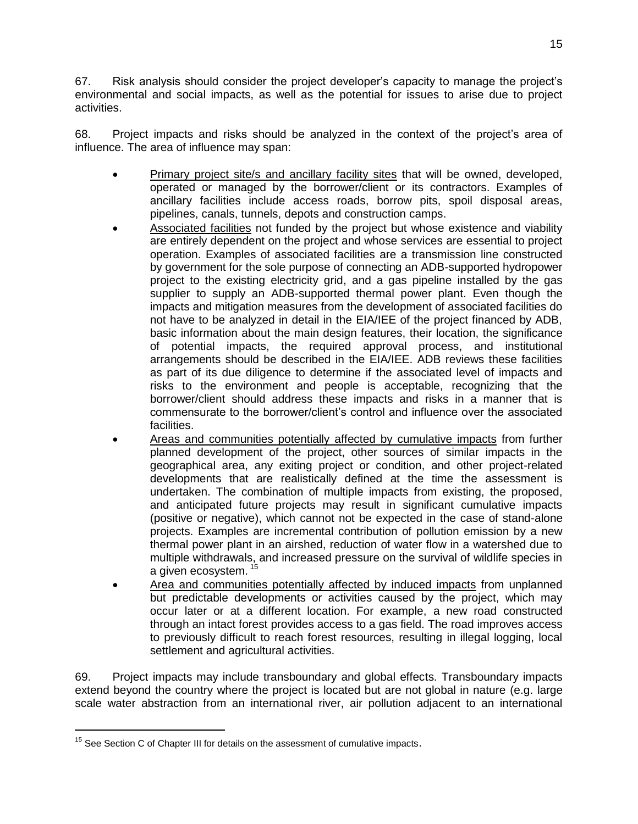67. Risk analysis should consider the project developer's capacity to manage the project's environmental and social impacts, as well as the potential for issues to arise due to project activities.

68. Project impacts and risks should be analyzed in the context of the project's area of influence. The area of influence may span:

- Primary project site/s and ancillary facility sites that will be owned, developed, operated or managed by the borrower/client or its contractors. Examples of ancillary facilities include access roads, borrow pits, spoil disposal areas, pipelines, canals, tunnels, depots and construction camps.
- Associated facilities not funded by the project but whose existence and viability are entirely dependent on the project and whose services are essential to project operation. Examples of associated facilities are a transmission line constructed by government for the sole purpose of connecting an ADB-supported hydropower project to the existing electricity grid, and a gas pipeline installed by the gas supplier to supply an ADB-supported thermal power plant. Even though the impacts and mitigation measures from the development of associated facilities do not have to be analyzed in detail in the EIA/IEE of the project financed by ADB, basic information about the main design features, their location, the significance of potential impacts, the required approval process, and institutional arrangements should be described in the EIA/IEE. ADB reviews these facilities as part of its due diligence to determine if the associated level of impacts and risks to the environment and people is acceptable, recognizing that the borrower/client should address these impacts and risks in a manner that is commensurate to the borrower/client's control and influence over the associated facilities.
- Areas and communities potentially affected by cumulative impacts from further planned development of the project, other sources of similar impacts in the geographical area, any exiting project or condition, and other project-related developments that are realistically defined at the time the assessment is undertaken. The combination of multiple impacts from existing, the proposed, and anticipated future projects may result in significant cumulative impacts (positive or negative), which cannot not be expected in the case of stand-alone projects. Examples are incremental contribution of pollution emission by a new thermal power plant in an airshed, reduction of water flow in a watershed due to multiple withdrawals, and increased pressure on the survival of wildlife species in a given ecosystem.<sup>15</sup>
- Area and communities potentially affected by induced impacts from unplanned but predictable developments or activities caused by the project, which may occur later or at a different location. For example, a new road constructed through an intact forest provides access to a gas field. The road improves access to previously difficult to reach forest resources, resulting in illegal logging, local settlement and agricultural activities.

69. Project impacts may include transboundary and global effects. Transboundary impacts extend beyond the country where the project is located but are not global in nature (e.g. large scale water abstraction from an international river, air pollution adjacent to an international

 $\overline{a}$ 

 $15$  See Section C of Chapter III for details on the assessment of cumulative impacts.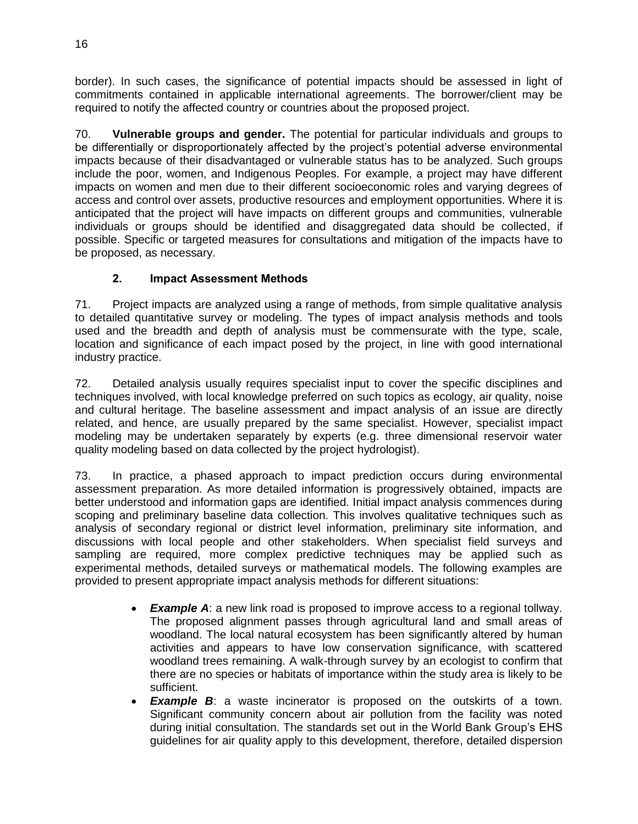border). In such cases, the significance of potential impacts should be assessed in light of commitments contained in applicable international agreements. The borrower/client may be required to notify the affected country or countries about the proposed project.

70. **Vulnerable groups and gender.** The potential for particular individuals and groups to be differentially or disproportionately affected by the project's potential adverse environmental impacts because of their disadvantaged or vulnerable status has to be analyzed. Such groups include the poor, women, and Indigenous Peoples. For example, a project may have different impacts on women and men due to their different socioeconomic roles and varying degrees of access and control over assets, productive resources and employment opportunities. Where it is anticipated that the project will have impacts on different groups and communities, vulnerable individuals or groups should be identified and disaggregated data should be collected, if possible. Specific or targeted measures for consultations and mitigation of the impacts have to be proposed, as necessary.

# **2. Impact Assessment Methods**

<span id="page-23-0"></span>71. Project impacts are analyzed using a range of methods, from simple qualitative analysis to detailed quantitative survey or modeling. The types of impact analysis methods and tools used and the breadth and depth of analysis must be commensurate with the type, scale, location and significance of each impact posed by the project, in line with good international industry practice.

72. Detailed analysis usually requires specialist input to cover the specific disciplines and techniques involved, with local knowledge preferred on such topics as ecology, air quality, noise and cultural heritage. The baseline assessment and impact analysis of an issue are directly related, and hence, are usually prepared by the same specialist. However, specialist impact modeling may be undertaken separately by experts (e.g. three dimensional reservoir water quality modeling based on data collected by the project hydrologist).

73. In practice, a phased approach to impact prediction occurs during environmental assessment preparation. As more detailed information is progressively obtained, impacts are better understood and information gaps are identified. Initial impact analysis commences during scoping and preliminary baseline data collection. This involves qualitative techniques such as analysis of secondary regional or district level information, preliminary site information, and discussions with local people and other stakeholders. When specialist field surveys and sampling are required, more complex predictive techniques may be applied such as experimental methods, detailed surveys or mathematical models. The following examples are provided to present appropriate impact analysis methods for different situations:

- *Example A*: a new link road is proposed to improve access to a regional tollway. The proposed alignment passes through agricultural land and small areas of woodland. The local natural ecosystem has been significantly altered by human activities and appears to have low conservation significance, with scattered woodland trees remaining. A walk-through survey by an ecologist to confirm that there are no species or habitats of importance within the study area is likely to be sufficient.
- *Example B*: a waste incinerator is proposed on the outskirts of a town. Significant community concern about air pollution from the facility was noted during initial consultation. The standards set out in the World Bank Group's EHS guidelines for air quality apply to this development, therefore, detailed dispersion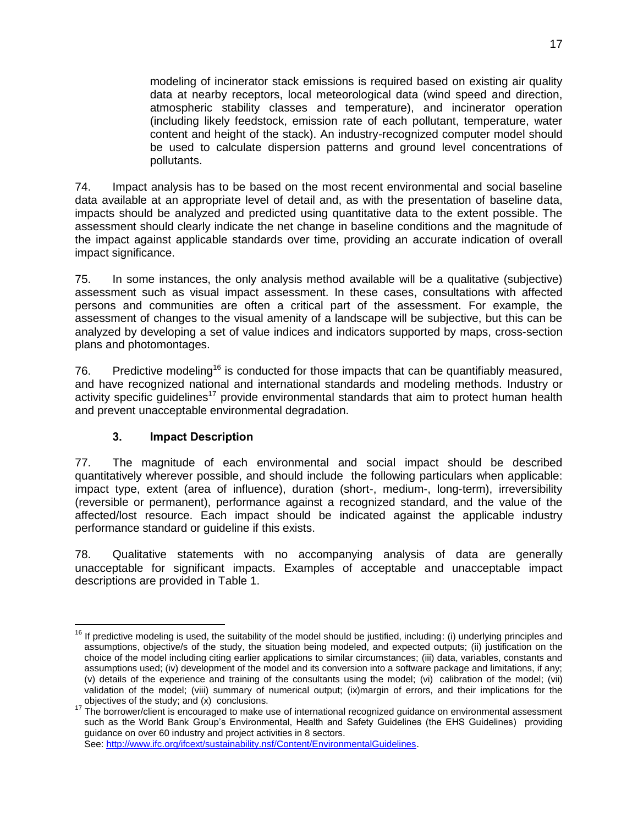modeling of incinerator stack emissions is required based on existing air quality data at nearby receptors, local meteorological data (wind speed and direction, atmospheric stability classes and temperature), and incinerator operation (including likely feedstock, emission rate of each pollutant, temperature, water content and height of the stack). An industry-recognized computer model should be used to calculate dispersion patterns and ground level concentrations of pollutants.

74. Impact analysis has to be based on the most recent environmental and social baseline data available at an appropriate level of detail and, as with the presentation of baseline data, impacts should be analyzed and predicted using quantitative data to the extent possible. The assessment should clearly indicate the net change in baseline conditions and the magnitude of the impact against applicable standards over time, providing an accurate indication of overall impact significance.

75. In some instances, the only analysis method available will be a qualitative (subjective) assessment such as visual impact assessment. In these cases, consultations with affected persons and communities are often a critical part of the assessment. For example, the assessment of changes to the visual amenity of a landscape will be subjective, but this can be analyzed by developing a set of value indices and indicators supported by maps, cross-section plans and photomontages.

76. Predictive modeling<sup>16</sup> is conducted for those impacts that can be quantifiably measured, and have recognized national and international standards and modeling methods. Industry or activity specific quidelines<sup>17</sup> provide environmental standards that aim to protect human health and prevent unacceptable environmental degradation.

#### **3. Impact Description**

<span id="page-24-0"></span>77. The magnitude of each environmental and social impact should be described quantitatively wherever possible, and should include the following particulars when applicable: impact type, extent (area of influence), duration (short-, medium-, long-term), irreversibility (reversible or permanent), performance against a recognized standard, and the value of the affected/lost resource. Each impact should be indicated against the applicable industry performance standard or guideline if this exists.

78. Qualitative statements with no accompanying analysis of data are generally unacceptable for significant impacts. Examples of acceptable and unacceptable impact descriptions are provided in Table 1.

See: [http://www.ifc.org/ifcext/sustainability.nsf/Content/EnvironmentalGuidelines.](http://www.ifc.org/ifcext/sustainability.nsf/Content/EnvironmentalGuidelines)

<span id="page-24-1"></span> $\overline{a}$ <sup>16</sup> If predictive modeling is used, the suitability of the model should be justified, including: (i) underlying principles and assumptions, objective/s of the study, the situation being modeled, and expected outputs; (ii) justification on the choice of the model including citing earlier applications to similar circumstances; (iii) data, variables, constants and assumptions used; (iv) development of the model and its conversion into a software package and limitations, if any; (v) details of the experience and training of the consultants using the model; (vi) calibration of the model; (vii) validation of the model; (viii) summary of numerical output; (ix)margin of errors, and their implications for the objectives of the study; and (x) conclusions.

<sup>17</sup> The borrower/client is encouraged to make use of international recognized guidance on environmental assessment such as the World Bank Group's Environmental, Health and Safety Guidelines (the EHS Guidelines) providing guidance on over 60 industry and project activities in 8 sectors.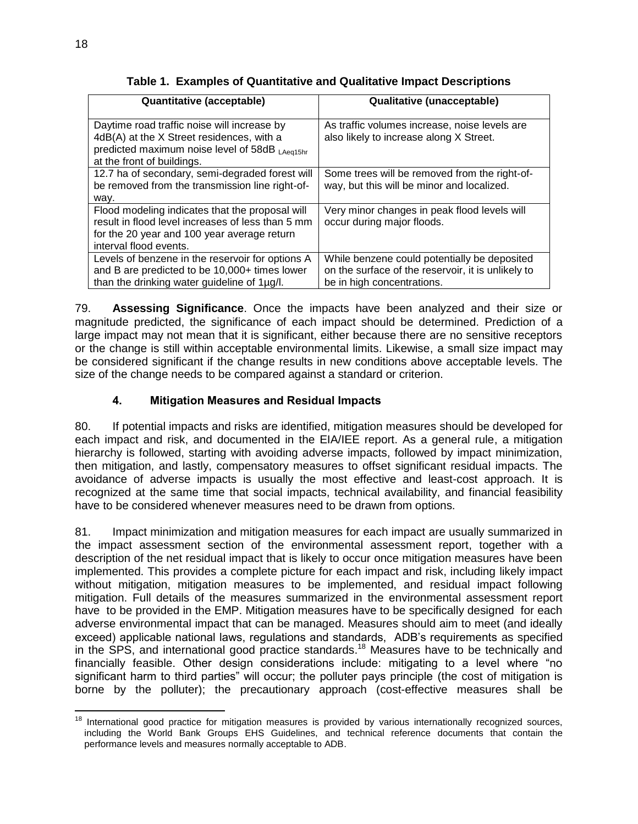**Table 1. Examples of Quantitative and Qualitative Impact Descriptions**

| Quantitative (acceptable)                                                                                                                                                     | <b>Qualitative (unacceptable)</b>                                                                                                |
|-------------------------------------------------------------------------------------------------------------------------------------------------------------------------------|----------------------------------------------------------------------------------------------------------------------------------|
| Daytime road traffic noise will increase by<br>4dB(A) at the X Street residences, with a<br>predicted maximum noise level of 58dB LAeq15hr<br>at the front of buildings.      | As traffic volumes increase, noise levels are<br>also likely to increase along X Street.                                         |
| 12.7 ha of secondary, semi-degraded forest will<br>be removed from the transmission line right-of-<br>way.                                                                    | Some trees will be removed from the right-of-<br>way, but this will be minor and localized.                                      |
| Flood modeling indicates that the proposal will<br>result in flood level increases of less than 5 mm<br>for the 20 year and 100 year average return<br>interval flood events. | Very minor changes in peak flood levels will<br>occur during major floods.                                                       |
| Levels of benzene in the reservoir for options A<br>and B are predicted to be 10,000+ times lower<br>than the drinking water guideline of 1µg/l.                              | While benzene could potentially be deposited<br>on the surface of the reservoir, it is unlikely to<br>be in high concentrations. |

79. **Assessing Significance**. Once the impacts have been analyzed and their size or magnitude predicted, the significance of each impact should be determined. Prediction of a large impact may not mean that it is significant, either because there are no sensitive receptors or the change is still within acceptable environmental limits. Likewise, a small size impact may be considered significant if the change results in new conditions above acceptable levels. The size of the change needs to be compared against a standard or criterion.

## **4. Mitigation Measures and Residual Impacts**

<span id="page-25-0"></span>80. If potential impacts and risks are identified, mitigation measures should be developed for each impact and risk, and documented in the EIA/IEE report. As a general rule, a mitigation hierarchy is followed, starting with avoiding adverse impacts, followed by impact minimization, then mitigation, and lastly, compensatory measures to offset significant residual impacts. The avoidance of adverse impacts is usually the most effective and least-cost approach. It is recognized at the same time that social impacts, technical availability, and financial feasibility have to be considered whenever measures need to be drawn from options.

81. Impact minimization and mitigation measures for each impact are usually summarized in the impact assessment section of the environmental assessment report, together with a description of the net residual impact that is likely to occur once mitigation measures have been implemented. This provides a complete picture for each impact and risk, including likely impact without mitigation, mitigation measures to be implemented, and residual impact following mitigation. Full details of the measures summarized in the environmental assessment report have to be provided in the EMP. Mitigation measures have to be specifically designed for each adverse environmental impact that can be managed. Measures should aim to meet (and ideally exceed) applicable national laws, regulations and standards, ADB's requirements as specified in the SPS, and international good practice standards.<sup>18</sup> Measures have to be technically and financially feasible. Other design considerations include: mitigating to a level where "no significant harm to third parties" will occur; the polluter pays principle (the cost of mitigation is borne by the polluter); the precautionary approach (cost-effective measures shall be

 $\overline{a}$ <sup>18</sup> International good practice for mitigation measures is provided by various internationally recognized sources, including the World Bank Groups EHS Guidelines, and technical reference documents that contain the performance levels and measures normally acceptable to ADB.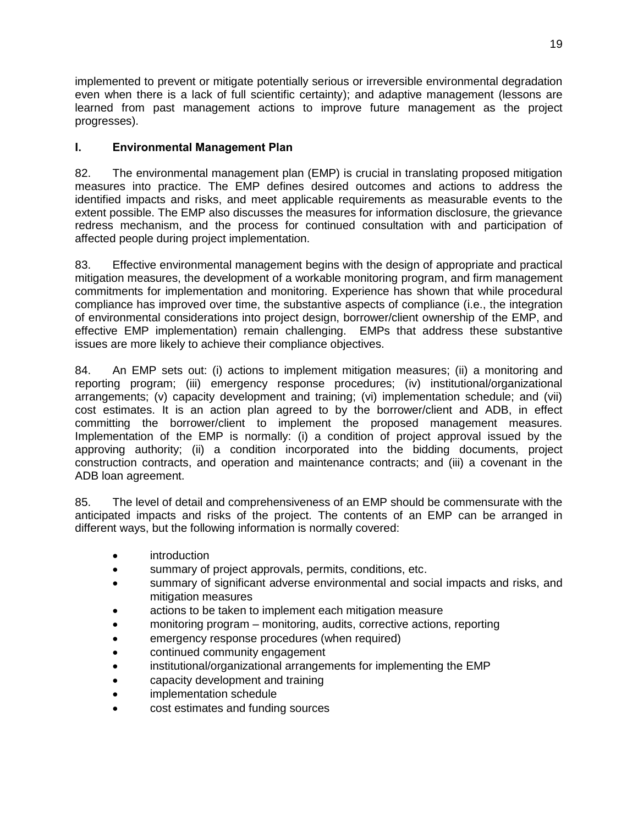implemented to prevent or mitigate potentially serious or irreversible environmental degradation even when there is a lack of full scientific certainty); and adaptive management (lessons are learned from past management actions to improve future management as the project progresses).

## <span id="page-26-0"></span>**I. Environmental Management Plan**

82. The environmental management plan (EMP) is crucial in translating proposed mitigation measures into practice. The EMP defines desired outcomes and actions to address the identified impacts and risks, and meet applicable requirements as measurable events to the extent possible. The EMP also discusses the measures for information disclosure, the grievance redress mechanism, and the process for continued consultation with and participation of affected people during project implementation.

83. Effective environmental management begins with the design of appropriate and practical mitigation measures, the development of a workable monitoring program, and firm management commitments for implementation and monitoring. Experience has shown that while procedural compliance has improved over time, the substantive aspects of compliance (i.e., the integration of environmental considerations into project design, borrower/client ownership of the EMP, and effective EMP implementation) remain challenging. EMPs that address these substantive issues are more likely to achieve their compliance objectives.

84. An EMP sets out: (i) actions to implement mitigation measures; (ii) a monitoring and reporting program; (iii) emergency response procedures; (iv) institutional/organizational arrangements; (v) capacity development and training; (vi) implementation schedule; and (vii) cost estimates. It is an action plan agreed to by the borrower/client and ADB, in effect committing the borrower/client to implement the proposed management measures. Implementation of the EMP is normally: (i) a condition of project approval issued by the approving authority; (ii) a condition incorporated into the bidding documents, project construction contracts, and operation and maintenance contracts; and (iii) a covenant in the ADB loan agreement.

85. The level of detail and comprehensiveness of an EMP should be commensurate with the anticipated impacts and risks of the project. The contents of an EMP can be arranged in different ways, but the following information is normally covered:

- **•** introduction
- summary of project approvals, permits, conditions, etc.
- summary of significant adverse environmental and social impacts and risks, and mitigation measures
- actions to be taken to implement each mitigation measure
- monitoring program monitoring, audits, corrective actions, reporting
- emergency response procedures (when required)
- continued community engagement
- institutional/organizational arrangements for implementing the EMP
- capacity development and training
- implementation schedule
- cost estimates and funding sources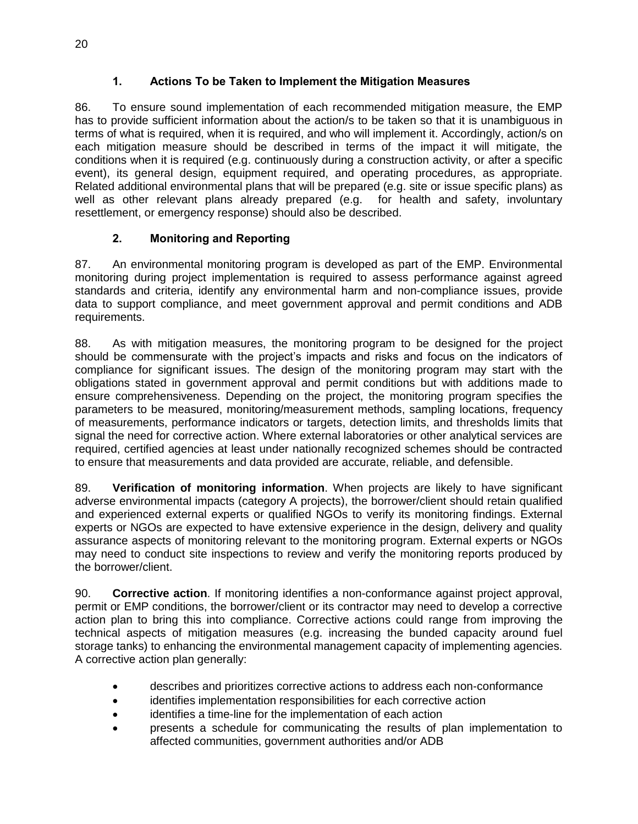# **1. Actions To be Taken to Implement the Mitigation Measures**

<span id="page-27-0"></span>86. To ensure sound implementation of each recommended mitigation measure, the EMP has to provide sufficient information about the action/s to be taken so that it is unambiguous in terms of what is required, when it is required, and who will implement it. Accordingly, action/s on each mitigation measure should be described in terms of the impact it will mitigate, the conditions when it is required (e.g. continuously during a construction activity, or after a specific event), its general design, equipment required, and operating procedures, as appropriate. Related additional environmental plans that will be prepared (e.g. site or issue specific plans) as well as other relevant plans already prepared (e.g. for health and safety, involuntary resettlement, or emergency response) should also be described.

# **2. Monitoring and Reporting**

<span id="page-27-1"></span>87. An environmental monitoring program is developed as part of the EMP. Environmental monitoring during project implementation is required to assess performance against agreed standards and criteria, identify any environmental harm and non-compliance issues, provide data to support compliance, and meet government approval and permit conditions and ADB requirements.

88. As with mitigation measures, the monitoring program to be designed for the project should be commensurate with the project's impacts and risks and focus on the indicators of compliance for significant issues. The design of the monitoring program may start with the obligations stated in government approval and permit conditions but with additions made to ensure comprehensiveness. Depending on the project, the monitoring program specifies the parameters to be measured, monitoring/measurement methods, sampling locations, frequency of measurements, performance indicators or targets, detection limits, and thresholds limits that signal the need for corrective action. Where external laboratories or other analytical services are required, certified agencies at least under nationally recognized schemes should be contracted to ensure that measurements and data provided are accurate, reliable, and defensible.

89. **Verification of monitoring information**. When projects are likely to have significant adverse environmental impacts (category A projects), the borrower/client should retain qualified and experienced external experts or qualified NGOs to verify its monitoring findings. External experts or NGOs are expected to have extensive experience in the design, delivery and quality assurance aspects of monitoring relevant to the monitoring program. External experts or NGOs may need to conduct site inspections to review and verify the monitoring reports produced by the borrower/client.

90. **Corrective action**. If monitoring identifies a non-conformance against project approval, permit or EMP conditions, the borrower/client or its contractor may need to develop a corrective action plan to bring this into compliance. Corrective actions could range from improving the technical aspects of mitigation measures (e.g. increasing the bunded capacity around fuel storage tanks) to enhancing the environmental management capacity of implementing agencies. A corrective action plan generally:

- describes and prioritizes corrective actions to address each non-conformance
- identifies implementation responsibilities for each corrective action
- identifies a time-line for the implementation of each action
- presents a schedule for communicating the results of plan implementation to affected communities, government authorities and/or ADB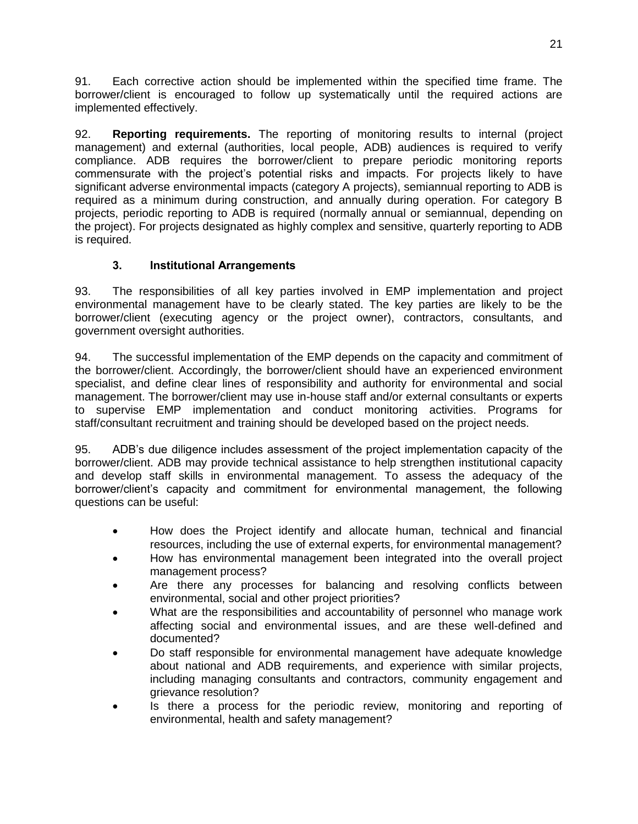91. Each corrective action should be implemented within the specified time frame. The borrower/client is encouraged to follow up systematically until the required actions are implemented effectively.

92. **Reporting requirements.** The reporting of monitoring results to internal (project management) and external (authorities, local people, ADB) audiences is required to verify compliance. ADB requires the borrower/client to prepare periodic monitoring reports commensurate with the project's potential risks and impacts. For projects likely to have significant adverse environmental impacts (category A projects), semiannual reporting to ADB is required as a minimum during construction, and annually during operation. For category B projects, periodic reporting to ADB is required (normally annual or semiannual, depending on the project). For projects designated as highly complex and sensitive, quarterly reporting to ADB is required.

## **3. Institutional Arrangements**

<span id="page-28-0"></span>93. The responsibilities of all key parties involved in EMP implementation and project environmental management have to be clearly stated. The key parties are likely to be the borrower/client (executing agency or the project owner), contractors, consultants, and government oversight authorities.

94. The successful implementation of the EMP depends on the capacity and commitment of the borrower/client. Accordingly, the borrower/client should have an experienced environment specialist, and define clear lines of responsibility and authority for environmental and social management. The borrower/client may use in-house staff and/or external consultants or experts to supervise EMP implementation and conduct monitoring activities. Programs for staff/consultant recruitment and training should be developed based on the project needs.

95. ADB's due diligence includes assessment of the project implementation capacity of the borrower/client. ADB may provide technical assistance to help strengthen institutional capacity and develop staff skills in environmental management. To assess the adequacy of the borrower/client's capacity and commitment for environmental management, the following questions can be useful:

- How does the Project identify and allocate human, technical and financial resources, including the use of external experts, for environmental management?
- How has environmental management been integrated into the overall project management process?
- Are there any processes for balancing and resolving conflicts between environmental, social and other project priorities?
- What are the responsibilities and accountability of personnel who manage work affecting social and environmental issues, and are these well-defined and documented?
- Do staff responsible for environmental management have adequate knowledge about national and ADB requirements, and experience with similar projects, including managing consultants and contractors, community engagement and grievance resolution?
- Is there a process for the periodic review, monitoring and reporting of environmental, health and safety management?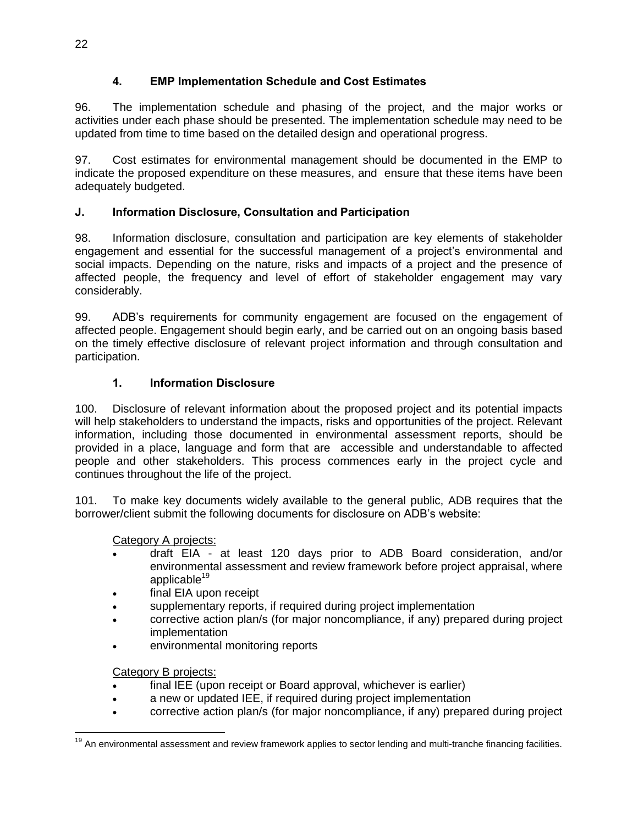# **4. EMP Implementation Schedule and Cost Estimates**

<span id="page-29-0"></span>96. The implementation schedule and phasing of the project, and the major works or activities under each phase should be presented. The implementation schedule may need to be updated from time to time based on the detailed design and operational progress.

97. Cost estimates for environmental management should be documented in the EMP to indicate the proposed expenditure on these measures, and ensure that these items have been adequately budgeted.

# <span id="page-29-1"></span>**J. Information Disclosure, Consultation and Participation**

98. Information disclosure, consultation and participation are key elements of stakeholder engagement and essential for the successful management of a project's environmental and social impacts. Depending on the nature, risks and impacts of a project and the presence of affected people, the frequency and level of effort of stakeholder engagement may vary considerably.

99. ADB's requirements for community engagement are focused on the engagement of affected people. Engagement should begin early, and be carried out on an ongoing basis based on the timely effective disclosure of relevant project information and through consultation and participation.

# **1. Information Disclosure**

<span id="page-29-2"></span>100. Disclosure of relevant information about the proposed project and its potential impacts will help stakeholders to understand the impacts, risks and opportunities of the project. Relevant information, including those documented in environmental assessment reports, should be provided in a place, language and form that are accessible and understandable to affected people and other stakeholders. This process commences early in the project cycle and continues throughout the life of the project.

101. To make key documents widely available to the general public, ADB requires that the borrower/client submit the following documents for disclosure on ADB's website:

# Category A projects:

- draft EIA at least 120 days prior to ADB Board consideration, and/or environmental assessment and review framework before project appraisal, where applicable $19$
- final EIA upon receipt
- supplementary reports, if required during project implementation
- corrective action plan/s (for major noncompliance, if any) prepared during project implementation
- environmental monitoring reports

# Category B projects:

- final IEE (upon receipt or Board approval, whichever is earlier)
- a new or updated IEE, if required during project implementation
- corrective action plan/s (for major noncompliance, if any) prepared during project

 $\overline{a}$ <sup>19</sup> An environmental assessment and review framework applies to sector lending and multi-tranche financing facilities.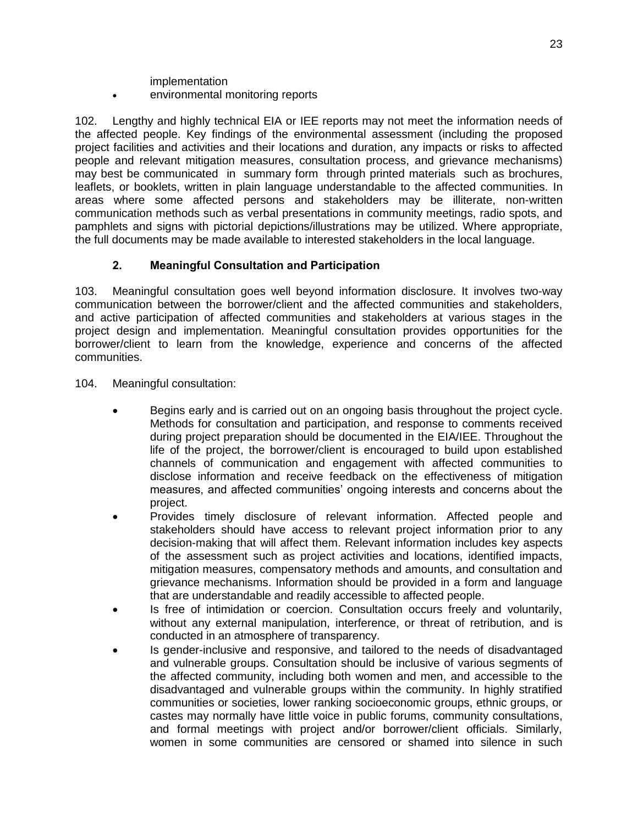implementation

environmental monitoring reports

102. Lengthy and highly technical EIA or IEE reports may not meet the information needs of the affected people. Key findings of the environmental assessment (including the proposed project facilities and activities and their locations and duration, any impacts or risks to affected people and relevant mitigation measures, consultation process, and grievance mechanisms) may best be communicated in summary form through printed materials such as brochures, leaflets, or booklets, written in plain language understandable to the affected communities. In areas where some affected persons and stakeholders may be illiterate, non-written communication methods such as verbal presentations in community meetings, radio spots, and pamphlets and signs with pictorial depictions/illustrations may be utilized. Where appropriate, the full documents may be made available to interested stakeholders in the local language.

## **2. Meaningful Consultation and Participation**

<span id="page-30-0"></span>103. Meaningful consultation goes well beyond information disclosure. It involves two-way communication between the borrower/client and the affected communities and stakeholders, and active participation of affected communities and stakeholders at various stages in the project design and implementation. Meaningful consultation provides opportunities for the borrower/client to learn from the knowledge, experience and concerns of the affected communities.

104. Meaningful consultation:

- Begins early and is carried out on an ongoing basis throughout the project cycle. Methods for consultation and participation, and response to comments received during project preparation should be documented in the EIA/IEE. Throughout the life of the project, the borrower/client is encouraged to build upon established channels of communication and engagement with affected communities to disclose information and receive feedback on the effectiveness of mitigation measures, and affected communities' ongoing interests and concerns about the project.
- Provides timely disclosure of relevant information. Affected people and stakeholders should have access to relevant project information prior to any decision-making that will affect them. Relevant information includes key aspects of the assessment such as project activities and locations, identified impacts, mitigation measures, compensatory methods and amounts, and consultation and grievance mechanisms. Information should be provided in a form and language that are understandable and readily accessible to affected people.
- Is free of intimidation or coercion. Consultation occurs freely and voluntarily, without any external manipulation, interference, or threat of retribution, and is conducted in an atmosphere of transparency.
- Is gender-inclusive and responsive, and tailored to the needs of disadvantaged and vulnerable groups. Consultation should be inclusive of various segments of the affected community, including both women and men, and accessible to the disadvantaged and vulnerable groups within the community. In highly stratified communities or societies, lower ranking socioeconomic groups, ethnic groups, or castes may normally have little voice in public forums, community consultations, and formal meetings with project and/or borrower/client officials. Similarly, women in some communities are censored or shamed into silence in such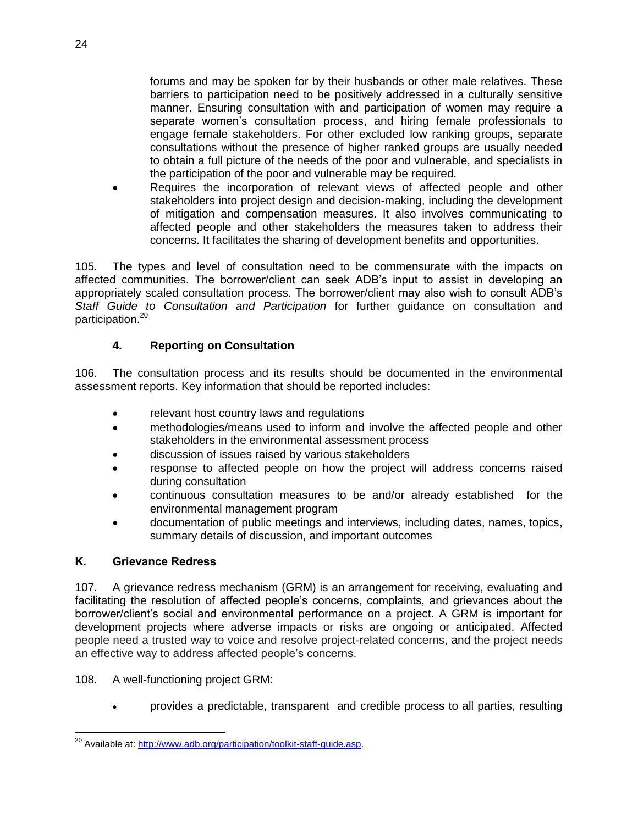forums and may be spoken for by their husbands or other male relatives. These barriers to participation need to be positively addressed in a culturally sensitive manner. Ensuring consultation with and participation of women may require a separate women's consultation process, and hiring female professionals to engage female stakeholders. For other excluded low ranking groups, separate consultations without the presence of higher ranked groups are usually needed to obtain a full picture of the needs of the poor and vulnerable, and specialists in the participation of the poor and vulnerable may be required.

 Requires the incorporation of relevant views of affected people and other stakeholders into project design and decision-making, including the development of mitigation and compensation measures. It also involves communicating to affected people and other stakeholders the measures taken to address their concerns. It facilitates the sharing of development benefits and opportunities.

105. The types and level of consultation need to be commensurate with the impacts on affected communities. The borrower/client can seek ADB's input to assist in developing an appropriately scaled consultation process. The borrower/client may also wish to consult ADB's *Staff Guide to Consultation and Participation* for further guidance on consultation and participation.<sup>20</sup>

#### **4. Reporting on Consultation**

106. The consultation process and its results should be documented in the environmental assessment reports. Key information that should be reported includes:

- relevant host country laws and regulations
- methodologies/means used to inform and involve the affected people and other stakeholders in the environmental assessment process
- discussion of issues raised by various stakeholders
- response to affected people on how the project will address concerns raised during consultation
- continuous consultation measures to be and/or already established for the environmental management program
- documentation of public meetings and interviews, including dates, names, topics, summary details of discussion, and important outcomes

#### <span id="page-31-0"></span>**K. Grievance Redress**

 $\overline{a}$ 

107. A grievance redress mechanism (GRM) is an arrangement for receiving, evaluating and facilitating the resolution of affected people's concerns, complaints, and grievances about the borrower/client's social and environmental performance on a project. A GRM is important for development projects where adverse impacts or risks are ongoing or anticipated. Affected people need a trusted way to voice and resolve project-related concerns, and the project needs an effective way to address affected people's concerns.

108. A well-functioning project GRM:

provides a predictable, transparent and credible process to all parties, resulting

<sup>&</sup>lt;sup>20</sup> Available at[: http://www.adb.org/participation/toolkit-staff-guide.asp.](http://www.adb.org/participation/toolkit-staff-guide.asp)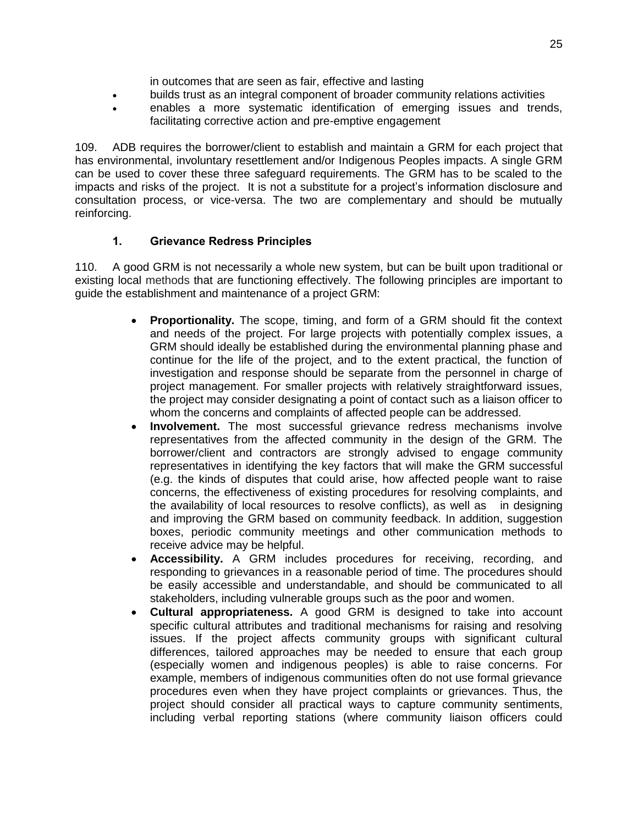in outcomes that are seen as fair, effective and lasting

- builds trust as an integral component of broader community relations activities
- enables a more systematic identification of emerging issues and trends, facilitating corrective action and pre-emptive engagement

109. ADB requires the borrower/client to establish and maintain a GRM for each project that has environmental, involuntary resettlement and/or Indigenous Peoples impacts. A single GRM can be used to cover these three safeguard requirements. The GRM has to be scaled to the impacts and risks of the project. It is not a substitute for a project's information disclosure and consultation process, or vice-versa. The two are complementary and should be mutually reinforcing.

#### **1. Grievance Redress Principles**

<span id="page-32-0"></span>110. A good GRM is not necessarily a whole new system, but can be built upon traditional or existing local methods that are functioning effectively. The following principles are important to guide the establishment and maintenance of a project GRM:

- **Proportionality.** The scope, timing, and form of a GRM should fit the context and needs of the project. For large projects with potentially complex issues, a GRM should ideally be established during the environmental planning phase and continue for the life of the project, and to the extent practical, the function of investigation and response should be separate from the personnel in charge of project management. For smaller projects with relatively straightforward issues, the project may consider designating a point of contact such as a liaison officer to whom the concerns and complaints of affected people can be addressed.
- **Involvement.** The most successful grievance redress mechanisms involve representatives from the affected community in the design of the GRM. The borrower/client and contractors are strongly advised to engage community representatives in identifying the key factors that will make the GRM successful (e.g. the kinds of disputes that could arise, how affected people want to raise concerns, the effectiveness of existing procedures for resolving complaints, and the availability of local resources to resolve conflicts), as well as in designing and improving the GRM based on community feedback. In addition, suggestion boxes, periodic community meetings and other communication methods to receive advice may be helpful.
- **Accessibility.** A GRM includes procedures for receiving, recording, and responding to grievances in a reasonable period of time. The procedures should be easily accessible and understandable, and should be communicated to all stakeholders, including vulnerable groups such as the poor and women.
- **Cultural appropriateness.** A good GRM is designed to take into account specific cultural attributes and traditional mechanisms for raising and resolving issues. If the project affects community groups with significant cultural differences, tailored approaches may be needed to ensure that each group (especially women and indigenous peoples) is able to raise concerns. For example, members of indigenous communities often do not use formal grievance procedures even when they have project complaints or grievances. Thus, the project should consider all practical ways to capture community sentiments, including verbal reporting stations (where community liaison officers could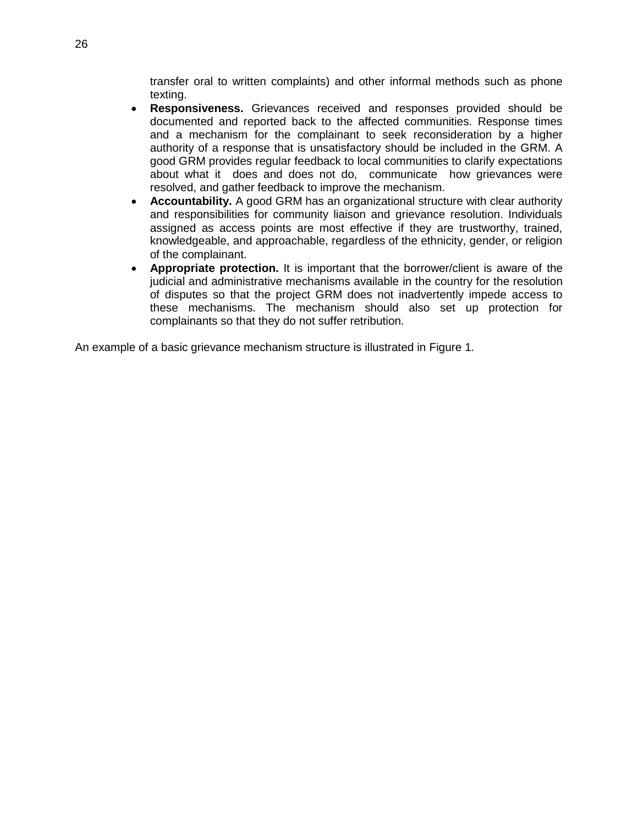transfer oral to written complaints) and other informal methods such as phone texting.

- **Responsiveness.** Grievances received and responses provided should be documented and reported back to the affected communities. Response times and a mechanism for the complainant to seek reconsideration by a higher authority of a response that is unsatisfactory should be included in the GRM. A good GRM provides regular feedback to local communities to clarify expectations about what it does and does not do, communicate how grievances were resolved, and gather feedback to improve the mechanism.
- **Accountability.** A good GRM has an organizational structure with clear authority and responsibilities for community liaison and grievance resolution. Individuals assigned as access points are most effective if they are trustworthy, trained, knowledgeable, and approachable, regardless of the ethnicity, gender, or religion of the complainant.
- **Appropriate protection.** It is important that the borrower/client is aware of the judicial and administrative mechanisms available in the country for the resolution of disputes so that the project GRM does not inadvertently impede access to these mechanisms. The mechanism should also set up protection for complainants so that they do not suffer retribution.

An example of a basic grievance mechanism structure is illustrated in Figure 1.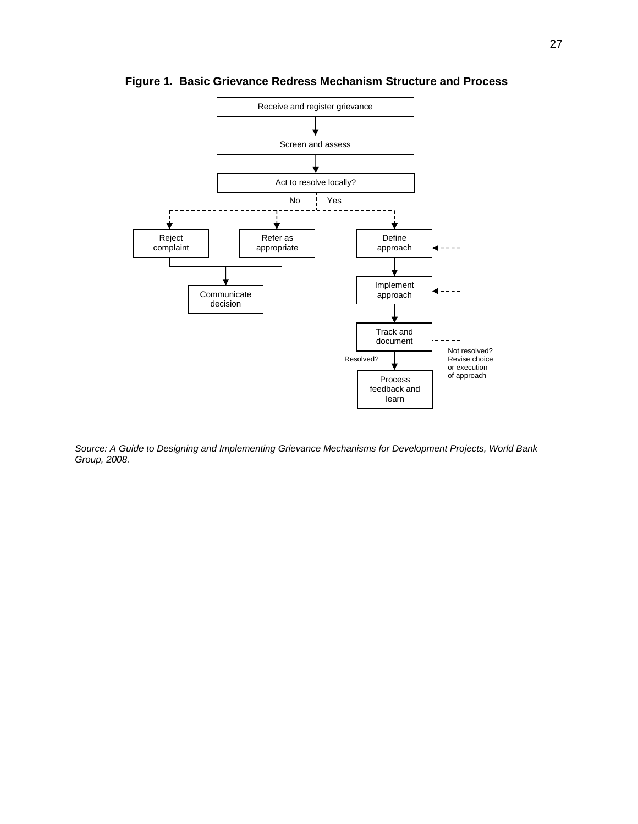

<span id="page-34-0"></span>**Figure 1. Basic Grievance Redress Mechanism Structure and Process**

*Source: A Guide to Designing and Implementing Grievance Mechanisms for Development Projects, World Bank Group, 2008.*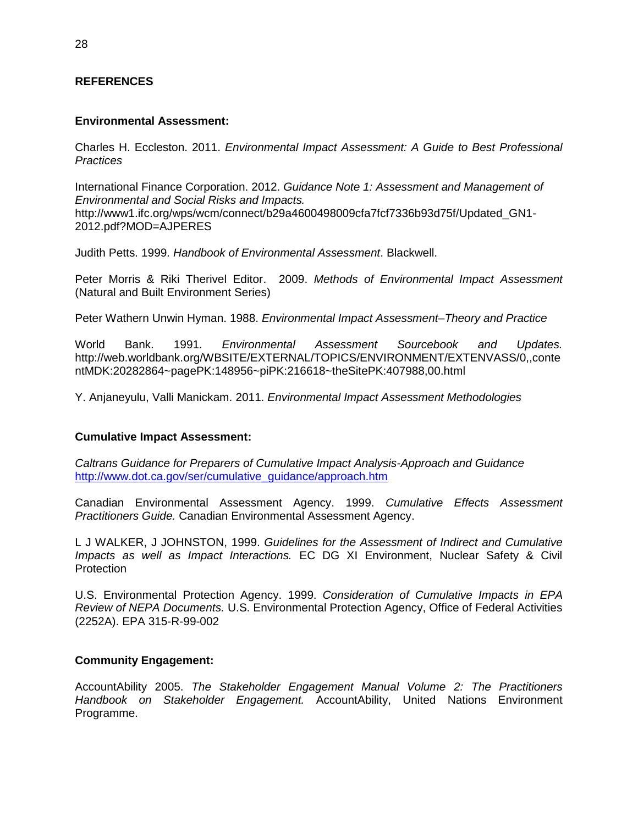#### **REFERENCES**

#### **Environmental Assessment:**

Charles H. Eccleston. 2011. *Environmental Impact Assessment: A Guide to Best Professional Practices*

International Finance Corporation. 2012. *Guidance Note 1: Assessment and Management of Environmental and Social Risks and Impacts.*  http://www1.ifc.org/wps/wcm/connect/b29a4600498009cfa7fcf7336b93d75f/Updated\_GN1- 2012.pdf?MOD=AJPERES

Judith Petts. 1999. *Handbook of Environmental Assessment*. Blackwell.

Peter Morris & Riki Therivel Editor. 2009. *Methods of Environmental Impact Assessment*  (Natural and Built Environment Series)

Peter Wathern Unwin Hyman. 1988. *Environmental Impact Assessment–Theory and Practice*

World Bank. 1991. *Environmental Assessment Sourcebook and Updates.*  http://web.worldbank.org/WBSITE/EXTERNAL/TOPICS/ENVIRONMENT/EXTENVASS/0,,conte ntMDK:20282864~pagePK:148956~piPK:216618~theSitePK:407988,00.html

Y. Anjaneyulu, Valli Manickam. 2011. *Environmental Impact Assessment Methodologies*

#### **Cumulative Impact Assessment:**

*Caltrans Guidance for Preparers of Cumulative Impact Analysis-Approach and Guidance* [http://www.dot.ca.gov/ser/cumulative\\_guidance/approach.htm](http://www.dot.ca.gov/ser/cumulative_guidance/approach.htm)

Canadian Environmental Assessment Agency. 1999. *Cumulative Effects Assessment Practitioners Guide.* Canadian Environmental Assessment Agency.

L J WALKER, J JOHNSTON, 1999. *Guidelines for the Assessment of Indirect and Cumulative Impacts as well as Impact Interactions.* EC DG XI Environment, Nuclear Safety & Civil **Protection** 

U.S. Environmental Protection Agency. 1999. *Consideration of Cumulative Impacts in EPA Review of NEPA Documents.* U.S. Environmental Protection Agency, Office of Federal Activities (2252A). EPA 315-R-99-002

#### **Community Engagement:**

AccountAbility 2005. *The Stakeholder Engagement Manual Volume 2: The Practitioners Handbook on Stakeholder Engagement.* AccountAbility, United Nations Environment Programme.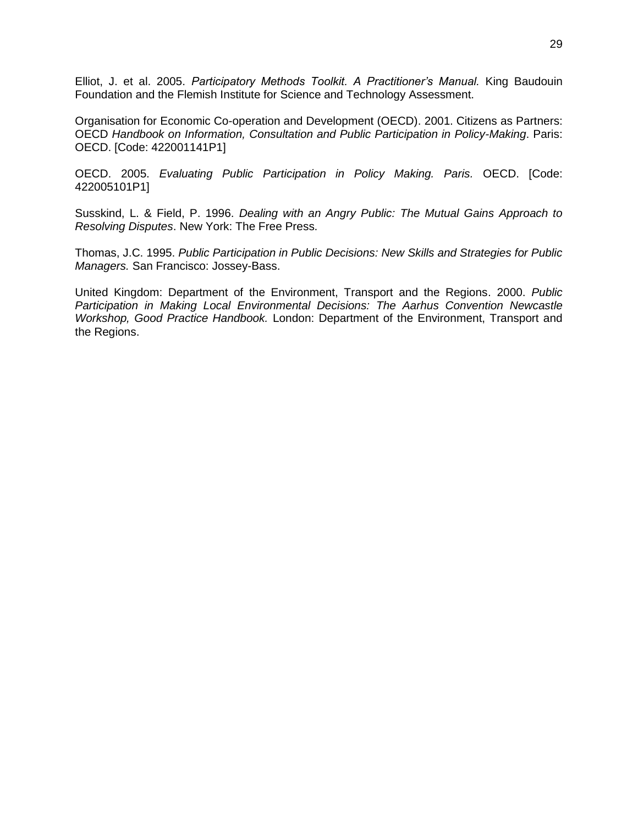Elliot, J. et al. 2005. *Participatory Methods Toolkit. A Practitioner's Manual.* King Baudouin Foundation and the Flemish Institute for Science and Technology Assessment.

Organisation for Economic Co-operation and Development (OECD). 2001. Citizens as Partners: OECD *Handbook on Information, Consultation and Public Participation in Policy-Making*. Paris: OECD. [Code: 422001141P1]

OECD. 2005. *Evaluating Public Participation in Policy Making. Paris.* OECD. [Code: 422005101P1]

Susskind, L. & Field, P. 1996. *Dealing with an Angry Public: The Mutual Gains Approach to Resolving Disputes*. New York: The Free Press.

Thomas, J.C. 1995. *Public Participation in Public Decisions: New Skills and Strategies for Public Managers.* San Francisco: Jossey-Bass.

United Kingdom: Department of the Environment, Transport and the Regions. 2000. *Public Participation in Making Local Environmental Decisions: The Aarhus Convention Newcastle Workshop, Good Practice Handbook.* London: Department of the Environment, Transport and the Regions.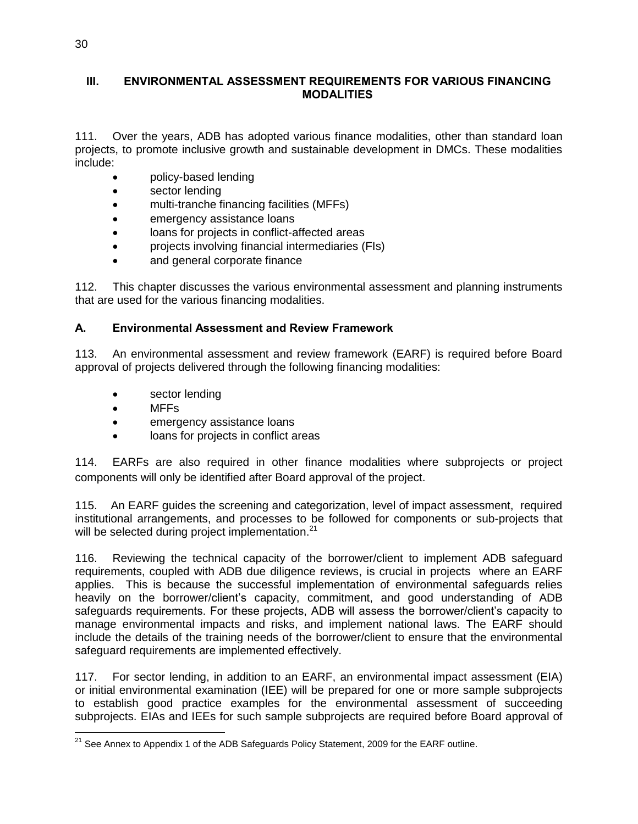#### **III. ENVIRONMENTAL ASSESSMENT REQUIREMENTS FOR VARIOUS FINANCING MODALITIES**

111. Over the years, ADB has adopted various finance modalities, other than standard loan projects, to promote inclusive growth and sustainable development in DMCs. These modalities include:

- policy-based lending
- sector lending
- multi-tranche financing facilities (MFFs)
- emergency assistance loans
- loans for projects in conflict-affected areas
- projects involving financial intermediaries (FIs)
- and general corporate finance

112. This chapter discusses the various environmental assessment and planning instruments that are used for the various financing modalities.

## **A. Environmental Assessment and Review Framework**

113. An environmental assessment and review framework (EARF) is required before Board approval of projects delivered through the following financing modalities:

- sector lending
- MFFs
- emergency assistance loans
- loans for projects in conflict areas

114. EARFs are also required in other finance modalities where subprojects or project components will only be identified after Board approval of the project.

115. An EARF guides the screening and categorization, level of impact assessment, required institutional arrangements, and processes to be followed for components or sub-projects that will be selected during project implementation.<sup>21</sup>

116. Reviewing the technical capacity of the borrower/client to implement ADB safeguard requirements, coupled with ADB due diligence reviews, is crucial in projects where an EARF applies. This is because the successful implementation of environmental safeguards relies heavily on the borrower/client's capacity, commitment, and good understanding of ADB safeguards requirements. For these projects, ADB will assess the borrower/client's capacity to manage environmental impacts and risks, and implement national laws. The EARF should include the details of the training needs of the borrower/client to ensure that the environmental safeguard requirements are implemented effectively.

117. For sector lending, in addition to an EARF, an environmental impact assessment (EIA) or initial environmental examination (IEE) will be prepared for one or more sample subprojects to establish good practice examples for the environmental assessment of succeeding subprojects. EIAs and IEEs for such sample subprojects are required before Board approval of

 $\overline{a}$ <sup>21</sup> See Annex to Appendix 1 of the ADB Safeguards Policy Statement, 2009 for the EARF outline.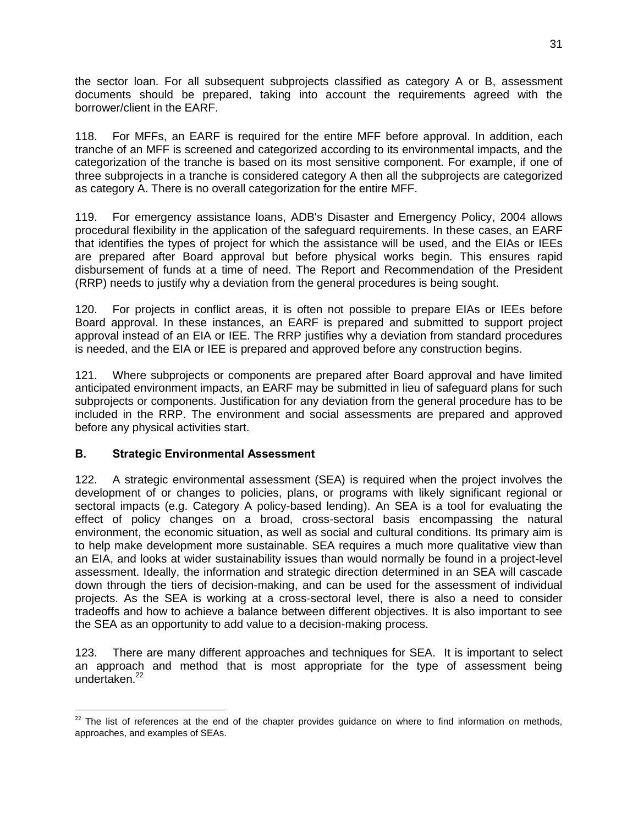the sector loan. For all subsequent subprojects classified as category A or B, assessment documents should be prepared, taking into account the requirements agreed with the borrower/client in the EARF.

118. For MFFs, an EARF is required for the entire MFF before approval. In addition, each tranche of an MFF is screened and categorized according to its environmental impacts, and the categorization of the tranche is based on its most sensitive component. For example, if one of three subprojects in a tranche is considered category A then all the subprojects are categorized as category A. There is no overall categorization for the entire MFF.

119. For emergency assistance loans, ADB's Disaster and Emergency Policy, 2004 allows procedural flexibility in the application of the safeguard requirements. In these cases, an EARF that identifies the types of project for which the assistance will be used, and the EIAs or IEEs are prepared after Board approval but before physical works begin. This ensures rapid disbursement of funds at a time of need. The Report and Recommendation of the President (RRP) needs to justify why a deviation from the general procedures is being sought.

120. For projects in conflict areas, it is often not possible to prepare EIAs or IEEs before Board approval. In these instances, an EARF is prepared and submitted to support project approval instead of an EIA or IEE. The RRP justifies why a deviation from standard procedures is needed, and the EIA or IEE is prepared and approved before any construction begins.

121. Where subprojects or components are prepared after Board approval and have limited anticipated environment impacts, an EARF may be submitted in lieu of safeguard plans for such subprojects or components. Justification for any deviation from the general procedure has to be included in the RRP. The environment and social assessments are prepared and approved before any physical activities start.

## **B. Strategic Environmental Assessment**

122. A strategic environmental assessment (SEA) is required when the project involves the development of or changes to policies, plans, or programs with likely significant regional or sectoral impacts (e.g. Category A policy-based lending). An SEA is a tool for evaluating the effect of policy changes on a broad, cross-sectoral basis encompassing the natural environment, the economic situation, as well as social and cultural conditions. Its primary aim is to help make development more sustainable. SEA requires a much more qualitative view than an EIA, and looks at wider sustainability issues than would normally be found in a project-level assessment. Ideally, the information and strategic direction determined in an SEA will cascade down through the tiers of decision-making, and can be used for the assessment of individual projects. As the SEA is working at a cross-sectoral level, there is also a need to consider tradeoffs and how to achieve a balance between different objectives. It is also important to see the SEA as an opportunity to add value to a decision-making process.

123. There are many different approaches and techniques for SEA. It is important to select an approach and method that is most appropriate for the type of assessment being undertaken. 22

 $\overline{a}$  $22$  The list of references at the end of the chapter provides guidance on where to find information on methods, approaches, and examples of SEAs.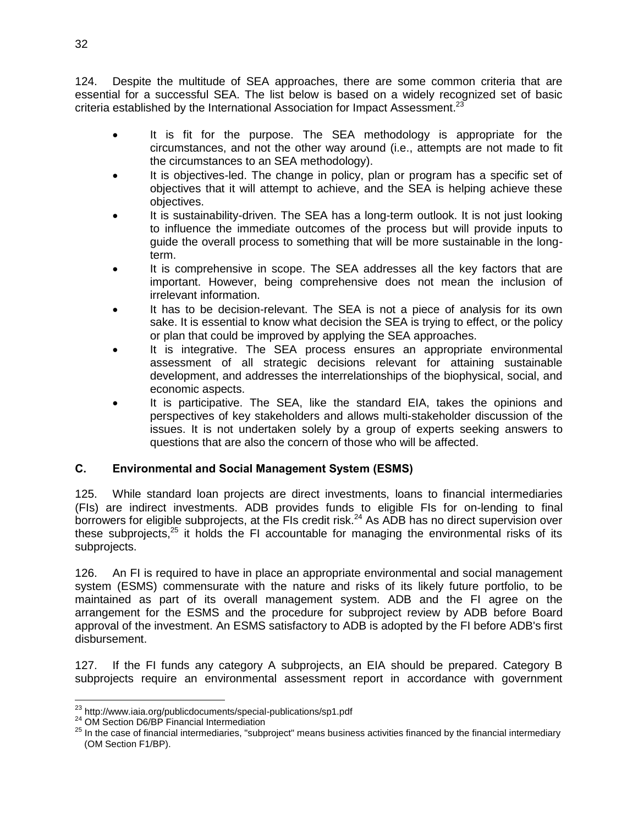124. Despite the multitude of SEA approaches, there are some common criteria that are essential for a successful SEA. The list below is based on a widely recognized set of basic criteria established by the International Association for Impact Assessment.<sup>23</sup>

- It is fit for the purpose. The SEA methodology is appropriate for the circumstances, and not the other way around (i.e., attempts are not made to fit the circumstances to an SEA methodology).
- It is objectives-led. The change in policy, plan or program has a specific set of objectives that it will attempt to achieve, and the SEA is helping achieve these objectives.
- It is sustainability-driven. The SEA has a long-term outlook. It is not just looking to influence the immediate outcomes of the process but will provide inputs to guide the overall process to something that will be more sustainable in the longterm.
- It is comprehensive in scope. The SEA addresses all the key factors that are important. However, being comprehensive does not mean the inclusion of irrelevant information.
- It has to be decision-relevant. The SEA is not a piece of analysis for its own sake. It is essential to know what decision the SEA is trying to effect, or the policy or plan that could be improved by applying the SEA approaches.
- It is integrative. The SEA process ensures an appropriate environmental assessment of all strategic decisions relevant for attaining sustainable development, and addresses the interrelationships of the biophysical, social, and economic aspects.
- It is participative. The SEA, like the standard EIA, takes the opinions and perspectives of key stakeholders and allows multi-stakeholder discussion of the issues. It is not undertaken solely by a group of experts seeking answers to questions that are also the concern of those who will be affected.

## **C. Environmental and Social Management System (ESMS)**

125. While standard loan projects are direct investments, loans to financial intermediaries (FIs) are indirect investments. ADB provides funds to eligible FIs for on-lending to final borrowers for eligible subprojects, at the FIs credit risk.<sup>24</sup> As ADB has no direct supervision over these subprojects, $25$  it holds the FI accountable for managing the environmental risks of its subprojects.

126. An FI is required to have in place an appropriate environmental and social management system (ESMS) commensurate with the nature and risks of its likely future portfolio, to be maintained as part of its overall management system. ADB and the FI agree on the arrangement for the ESMS and the procedure for subproject review by ADB before Board approval of the investment. An ESMS satisfactory to ADB is adopted by the FI before ADB's first disbursement.

127. If the FI funds any category A subprojects, an EIA should be prepared. Category B subprojects require an environmental assessment report in accordance with government

 $\overline{a}$ <sup>23</sup> http://www.iaia.org/publicdocuments/special-publications/sp1.pdf

<sup>&</sup>lt;sup>24</sup> OM Section D6/BP Financial Intermediation

 $25$  In the case of financial intermediaries, "subproject" means business activities financed by the financial intermediary (OM Section F1/BP).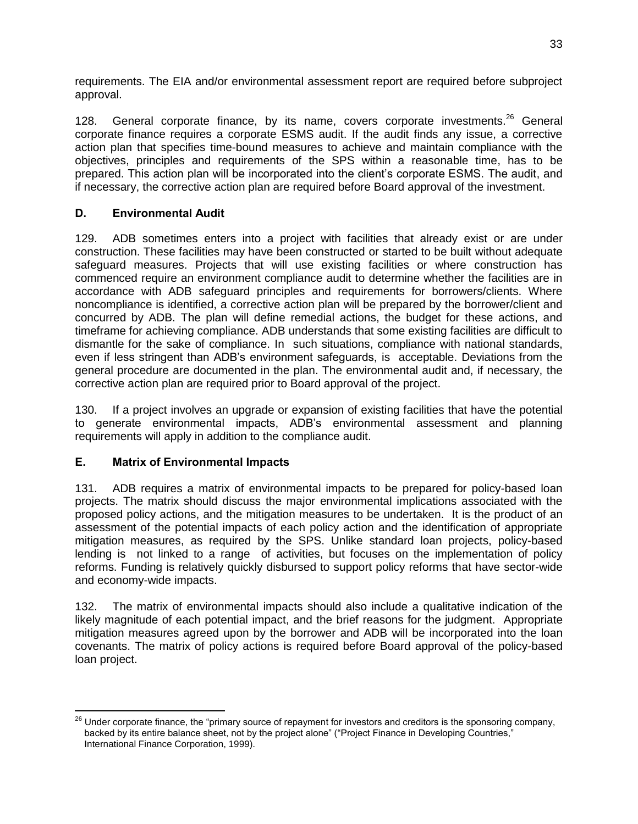requirements. The EIA and/or environmental assessment report are required before subproject approval.

128. General corporate finance, by its name, covers corporate investments.<sup>26</sup> General corporate finance requires a corporate ESMS audit. If the audit finds any issue, a corrective action plan that specifies time-bound measures to achieve and maintain compliance with the objectives, principles and requirements of the SPS within a reasonable time, has to be prepared. This action plan will be incorporated into the client's corporate ESMS. The audit, and if necessary, the corrective action plan are required before Board approval of the investment.

### **D. Environmental Audit**

129. ADB sometimes enters into a project with facilities that already exist or are under construction. These facilities may have been constructed or started to be built without adequate safeguard measures. Projects that will use existing facilities or where construction has commenced require an environment compliance audit to determine whether the facilities are in accordance with ADB safeguard principles and requirements for borrowers/clients. Where noncompliance is identified, a corrective action plan will be prepared by the borrower/client and concurred by ADB. The plan will define remedial actions, the budget for these actions, and timeframe for achieving compliance. ADB understands that some existing facilities are difficult to dismantle for the sake of compliance. In such situations, compliance with national standards, even if less stringent than ADB's environment safeguards, is acceptable. Deviations from the general procedure are documented in the plan. The environmental audit and, if necessary, the corrective action plan are required prior to Board approval of the project.

130. If a project involves an upgrade or expansion of existing facilities that have the potential to generate environmental impacts, ADB's environmental assessment and planning requirements will apply in addition to the compliance audit.

## **E. Matrix of Environmental Impacts**

131. ADB requires a matrix of environmental impacts to be prepared for policy-based loan projects. The matrix should discuss the major environmental implications associated with the proposed policy actions, and the mitigation measures to be undertaken. It is the product of an assessment of the potential impacts of each policy action and the identification of appropriate mitigation measures, as required by the SPS. Unlike standard loan projects, policy-based lending is not linked to a range of activities, but focuses on the implementation of policy reforms. Funding is relatively quickly disbursed to support policy reforms that have sector-wide and economy-wide impacts.

132. The matrix of environmental impacts should also include a qualitative indication of the likely magnitude of each potential impact, and the brief reasons for the judgment. Appropriate mitigation measures agreed upon by the borrower and ADB will be incorporated into the loan covenants. The matrix of policy actions is required before Board approval of the policy-based loan project.

 $\overline{a}$  $^{26}$  Under corporate finance, the "primary source of repayment for investors and creditors is the sponsoring company, backed by its entire balance sheet, not by the project alone" ("Project Finance in Developing Countries," International Finance Corporation, 1999).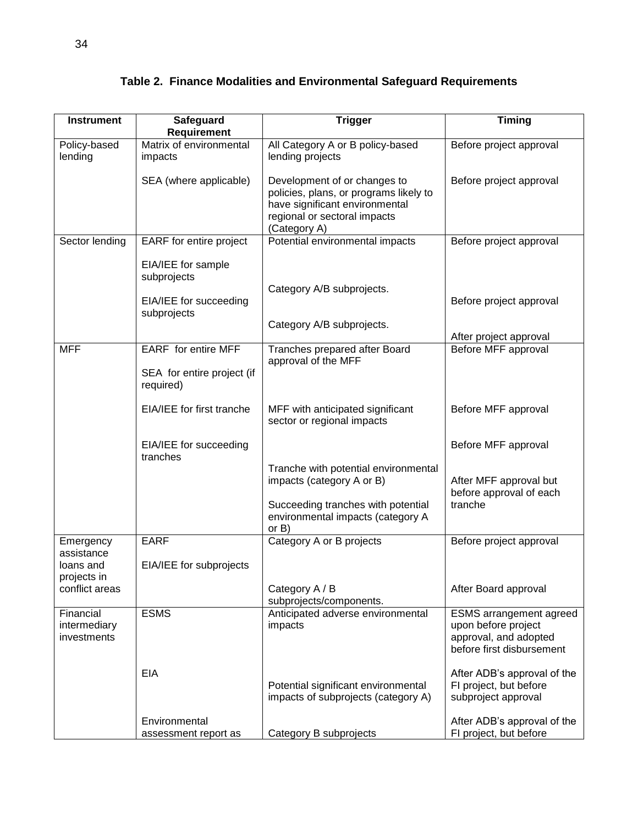| <b>Instrument</b>                        |                                         |                                                                                                                                                          | Timing                                                                                                      |
|------------------------------------------|-----------------------------------------|----------------------------------------------------------------------------------------------------------------------------------------------------------|-------------------------------------------------------------------------------------------------------------|
|                                          | Safeguard<br>Requirement                | <b>Trigger</b>                                                                                                                                           |                                                                                                             |
| Policy-based<br>lending                  | Matrix of environmental<br>impacts      | All Category A or B policy-based<br>lending projects                                                                                                     | Before project approval                                                                                     |
|                                          | SEA (where applicable)                  | Development of or changes to<br>policies, plans, or programs likely to<br>have significant environmental<br>regional or sectoral impacts<br>(Category A) | Before project approval                                                                                     |
| Sector lending                           | EARF for entire project                 | Potential environmental impacts                                                                                                                          | Before project approval                                                                                     |
|                                          | EIA/IEE for sample<br>subprojects       |                                                                                                                                                          |                                                                                                             |
|                                          | EIA/IEE for succeeding<br>subprojects   | Category A/B subprojects.                                                                                                                                | Before project approval                                                                                     |
|                                          |                                         | Category A/B subprojects.                                                                                                                                | After project approval                                                                                      |
| <b>MFF</b>                               | EARF for entire MFF                     | Tranches prepared after Board                                                                                                                            | Before MFF approval                                                                                         |
|                                          | SEA for entire project (if<br>required) | approval of the MFF                                                                                                                                      |                                                                                                             |
|                                          | EIA/IEE for first tranche               | MFF with anticipated significant<br>sector or regional impacts                                                                                           | Before MFF approval                                                                                         |
|                                          | EIA/IEE for succeeding<br>tranches      |                                                                                                                                                          | Before MFF approval                                                                                         |
|                                          |                                         | Tranche with potential environmental<br>impacts (category A or B)                                                                                        | After MFF approval but<br>before approval of each                                                           |
|                                          |                                         | Succeeding tranches with potential<br>environmental impacts (category A<br>or B)                                                                         | tranche                                                                                                     |
| Emergency                                | <b>EARF</b>                             | Category A or B projects                                                                                                                                 | Before project approval                                                                                     |
| assistance<br>loans and<br>projects in   | EIA/IEE for subprojects                 |                                                                                                                                                          |                                                                                                             |
| conflict areas                           |                                         | Category A / B<br>subprojects/components.                                                                                                                | After Board approval                                                                                        |
| Financial<br>intermediary<br>investments | <b>ESMS</b>                             | Anticipated adverse environmental<br>impacts                                                                                                             | <b>ESMS</b> arrangement agreed<br>upon before project<br>approval, and adopted<br>before first disbursement |
|                                          | <b>EIA</b>                              | Potential significant environmental<br>impacts of subprojects (category A)                                                                               | After ADB's approval of the<br>FI project, but before<br>subproject approval                                |
|                                          | Environmental<br>assessment report as   | Category B subprojects                                                                                                                                   | After ADB's approval of the<br>FI project, but before                                                       |

# **Table 2. Finance Modalities and Environmental Safeguard Requirements**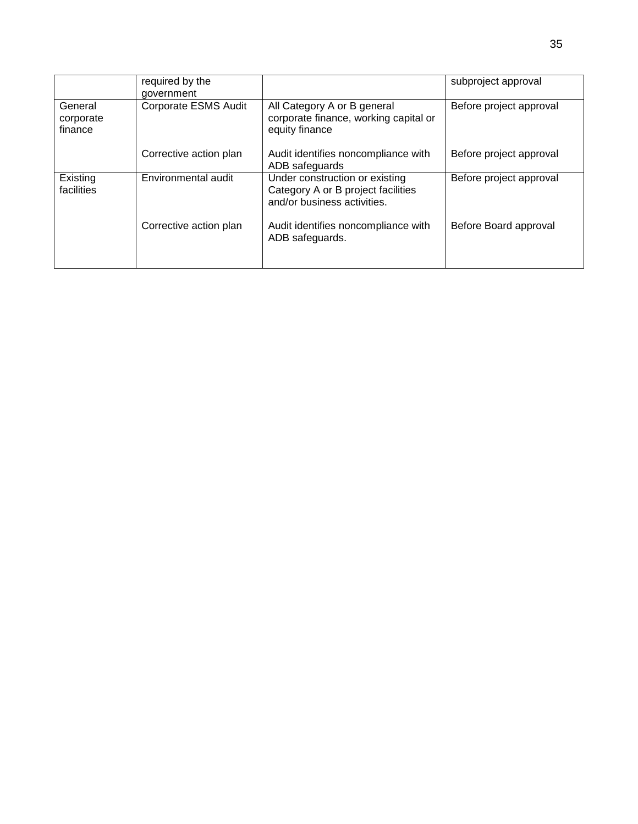|                                 | required by the<br>government |                                                                                                     | subproject approval     |
|---------------------------------|-------------------------------|-----------------------------------------------------------------------------------------------------|-------------------------|
| General<br>corporate<br>finance | Corporate ESMS Audit          | All Category A or B general<br>corporate finance, working capital or<br>equity finance              | Before project approval |
|                                 | Corrective action plan        | Audit identifies noncompliance with<br>ADB safeguards                                               | Before project approval |
| Existing<br>facilities          | Environmental audit           | Under construction or existing<br>Category A or B project facilities<br>and/or business activities. | Before project approval |
|                                 | Corrective action plan        | Audit identifies noncompliance with<br>ADB safeguards.                                              | Before Board approval   |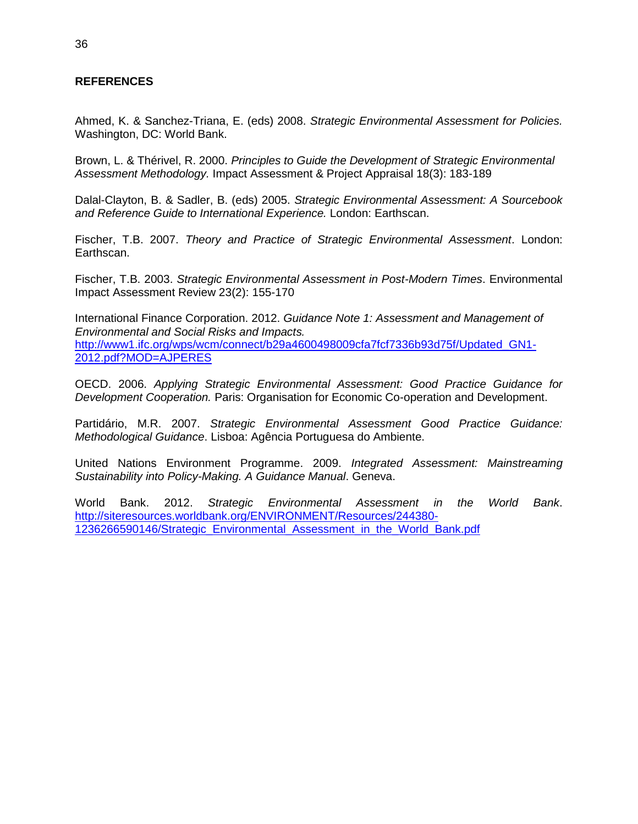#### **REFERENCES**

Ahmed, K. & Sanchez-Triana, E. (eds) 2008. *Strategic Environmental Assessment for Policies.* Washington, DC: World Bank.

Brown, L. & Thérivel, R. 2000. *Principles to Guide the Development of Strategic Environmental Assessment Methodology.* Impact Assessment & Project Appraisal 18(3): 183-189

Dalal-Clayton, B. & Sadler, B. (eds) 2005. *Strategic Environmental Assessment: A Sourcebook and Reference Guide to International Experience.* London: Earthscan.

Fischer, T.B. 2007. *Theory and Practice of Strategic Environmental Assessment*. London: Earthscan.

Fischer, T.B. 2003. *Strategic Environmental Assessment in Post-Modern Times*. Environmental Impact Assessment Review 23(2): 155-170

International Finance Corporation. 2012. *Guidance Note 1: Assessment and Management of Environmental and Social Risks and Impacts.*  [http://www1.ifc.org/wps/wcm/connect/b29a4600498009cfa7fcf7336b93d75f/Updated\\_GN1-](http://www1.ifc.org/wps/wcm/connect/b29a4600498009cfa7fcf7336b93d75f/Updated_GN1-2012.pdf?MOD=AJPERES) [2012.pdf?MOD=AJPERES](http://www1.ifc.org/wps/wcm/connect/b29a4600498009cfa7fcf7336b93d75f/Updated_GN1-2012.pdf?MOD=AJPERES)

OECD. 2006. *Applying Strategic Environmental Assessment: Good Practice Guidance for Development Cooperation.* Paris: Organisation for Economic Co-operation and Development.

Partidário, M.R. 2007. *Strategic Environmental Assessment Good Practice Guidance: Methodological Guidance*. Lisboa: Agência Portuguesa do Ambiente.

United Nations Environment Programme. 2009. *Integrated Assessment: Mainstreaming Sustainability into Policy-Making. A Guidance Manual*. Geneva.

World Bank. 2012. *Strategic Environmental Assessment in the World Bank*. [http://siteresources.worldbank.org/ENVIRONMENT/Resources/244380-](http://siteresources.worldbank.org/ENVIRONMENT/Resources/244380-1236266590146/Strategic_Environmental_Assessment_in_the_World_Bank.pdf) [1236266590146/Strategic\\_Environmental\\_Assessment\\_in\\_the\\_World\\_Bank.pdf](http://siteresources.worldbank.org/ENVIRONMENT/Resources/244380-1236266590146/Strategic_Environmental_Assessment_in_the_World_Bank.pdf)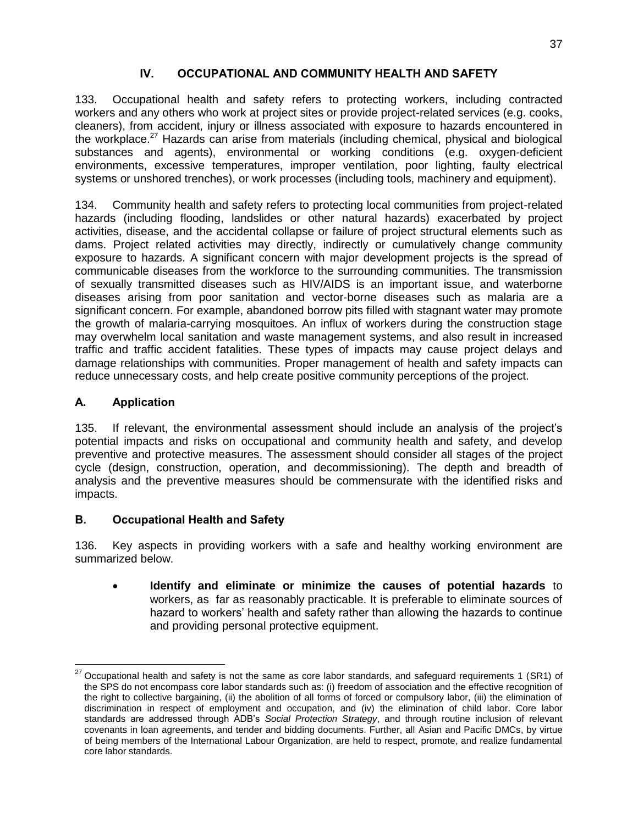## **IV. OCCUPATIONAL AND COMMUNITY HEALTH AND SAFETY**

133. Occupational health and safety refers to protecting workers, including contracted workers and any others who work at project sites or provide project-related services (e.g. cooks, cleaners), from accident, injury or illness associated with exposure to hazards encountered in the workplace.<sup>27</sup> Hazards can arise from materials (including chemical, physical and biological substances and agents), environmental or working conditions (e.g. oxygen-deficient environments, excessive temperatures, improper ventilation, poor lighting, faulty electrical systems or unshored trenches), or work processes (including tools, machinery and equipment).

134. Community health and safety refers to protecting local communities from project-related hazards (including flooding, landslides or other natural hazards) exacerbated by project activities, disease, and the accidental collapse or failure of project structural elements such as dams. Project related activities may directly, indirectly or cumulatively change community exposure to hazards. A significant concern with major development projects is the spread of communicable diseases from the workforce to the surrounding communities. The transmission of sexually transmitted diseases such as HIV/AIDS is an important issue, and waterborne diseases arising from poor sanitation and vector-borne diseases such as malaria are a significant concern. For example, abandoned borrow pits filled with stagnant water may promote the growth of malaria-carrying mosquitoes. An influx of workers during the construction stage may overwhelm local sanitation and waste management systems, and also result in increased traffic and traffic accident fatalities. These types of impacts may cause project delays and damage relationships with communities. Proper management of health and safety impacts can reduce unnecessary costs, and help create positive community perceptions of the project.

## **A. Application**

 $\overline{a}$ 

135. If relevant, the environmental assessment should include an analysis of the project's potential impacts and risks on occupational and community health and safety, and develop preventive and protective measures. The assessment should consider all stages of the project cycle (design, construction, operation, and decommissioning). The depth and breadth of analysis and the preventive measures should be commensurate with the identified risks and impacts.

## **B. Occupational Health and Safety**

136. Key aspects in providing workers with a safe and healthy working environment are summarized below.

 **Identify and eliminate or minimize the causes of potential hazards** to workers, as far as reasonably practicable. It is preferable to eliminate sources of hazard to workers' health and safety rather than allowing the hazards to continue and providing personal protective equipment.

<sup>27</sup> Occupational health and safety is not the same as core labor standards, and safeguard requirements 1 (SR1) of the SPS do not encompass core labor standards such as: (i) freedom of association and the effective recognition of the right to collective bargaining, (ii) the abolition of all forms of forced or compulsory labor, (iii) the elimination of discrimination in respect of employment and occupation, and (iv) the elimination of child labor. Core labor standards are addressed through ADB's *Social Protection Strategy*, and through routine inclusion of relevant covenants in loan agreements, and tender and bidding documents. Further, all Asian and Pacific DMCs, by virtue of being members of the International Labour Organization, are held to respect, promote, and realize fundamental core labor standards.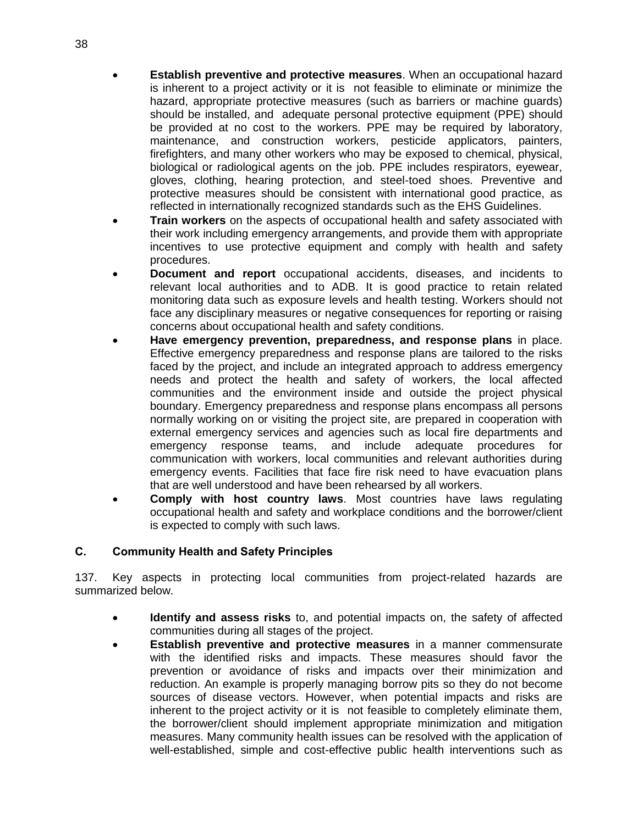- **Establish preventive and protective measures**. When an occupational hazard is inherent to a project activity or it is not feasible to eliminate or minimize the hazard, appropriate protective measures (such as barriers or machine guards) should be installed, and adequate personal protective equipment (PPE) should be provided at no cost to the workers. PPE may be required by laboratory, maintenance, and construction workers, pesticide applicators, painters, firefighters, and many other workers who may be exposed to chemical, physical, biological or radiological agents on the job. PPE includes respirators, eyewear, gloves, clothing, hearing protection, and steel-toed shoes. Preventive and protective measures should be consistent with international good practice, as reflected in internationally recognized standards such as the EHS Guidelines.
- **Train workers** on the aspects of occupational health and safety associated with their work including emergency arrangements, and provide them with appropriate incentives to use protective equipment and comply with health and safety procedures.
- **Document and report** occupational accidents, diseases, and incidents to relevant local authorities and to ADB. It is good practice to retain related monitoring data such as exposure levels and health testing. Workers should not face any disciplinary measures or negative consequences for reporting or raising concerns about occupational health and safety conditions.
- **Have emergency prevention, preparedness, and response plans** in place. Effective emergency preparedness and response plans are tailored to the risks faced by the project, and include an integrated approach to address emergency needs and protect the health and safety of workers, the local affected communities and the environment inside and outside the project physical boundary. Emergency preparedness and response plans encompass all persons normally working on or visiting the project site, are prepared in cooperation with external emergency services and agencies such as local fire departments and emergency response teams, and include adequate procedures for communication with workers, local communities and relevant authorities during emergency events. Facilities that face fire risk need to have evacuation plans that are well understood and have been rehearsed by all workers.
- **Comply with host country laws**. Most countries have laws regulating occupational health and safety and workplace conditions and the borrower/client is expected to comply with such laws.

#### **C. Community Health and Safety Principles**

137. Key aspects in protecting local communities from project-related hazards are summarized below.

- **Identify and assess risks** to, and potential impacts on, the safety of affected communities during all stages of the project.
- **Establish preventive and protective measures** in a manner commensurate with the identified risks and impacts. These measures should favor the prevention or avoidance of risks and impacts over their minimization and reduction. An example is properly managing borrow pits so they do not become sources of disease vectors. However, when potential impacts and risks are inherent to the project activity or it is not feasible to completely eliminate them, the borrower/client should implement appropriate minimization and mitigation measures. Many community health issues can be resolved with the application of well-established, simple and cost-effective public health interventions such as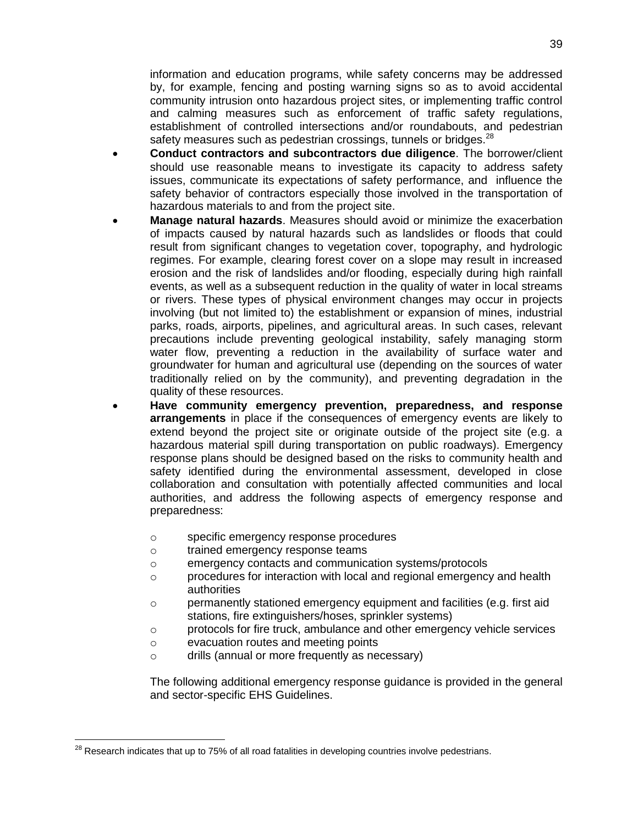information and education programs, while safety concerns may be addressed by, for example, fencing and posting warning signs so as to avoid accidental community intrusion onto hazardous project sites, or implementing traffic control and calming measures such as enforcement of traffic safety regulations, establishment of controlled intersections and/or roundabouts, and pedestrian safety measures such as pedestrian crossings, tunnels or bridges.<sup>28</sup>

- **Conduct contractors and subcontractors due diligence**. The borrower/client should use reasonable means to investigate its capacity to address safety issues, communicate its expectations of safety performance, and influence the safety behavior of contractors especially those involved in the transportation of hazardous materials to and from the project site.
- **Manage natural hazards**. Measures should avoid or minimize the exacerbation of impacts caused by natural hazards such as landslides or floods that could result from significant changes to vegetation cover, topography, and hydrologic regimes. For example, clearing forest cover on a slope may result in increased erosion and the risk of landslides and/or flooding, especially during high rainfall events, as well as a subsequent reduction in the quality of water in local streams or rivers. These types of physical environment changes may occur in projects involving (but not limited to) the establishment or expansion of mines, industrial parks, roads, airports, pipelines, and agricultural areas. In such cases, relevant precautions include preventing geological instability, safely managing storm water flow, preventing a reduction in the availability of surface water and groundwater for human and agricultural use (depending on the sources of water traditionally relied on by the community), and preventing degradation in the quality of these resources.
- **Have community emergency prevention, preparedness, and response arrangements** in place if the consequences of emergency events are likely to extend beyond the project site or originate outside of the project site (e.g. a hazardous material spill during transportation on public roadways). Emergency response plans should be designed based on the risks to community health and safety identified during the environmental assessment, developed in close collaboration and consultation with potentially affected communities and local authorities, and address the following aspects of emergency response and preparedness:
	- o specific emergency response procedures
	- o trained emergency response teams
	- o emergency contacts and communication systems/protocols
	- $\circ$  procedures for interaction with local and regional emergency and health authorities
	- $\circ$  permanently stationed emergency equipment and facilities (e.g. first aid stations, fire extinguishers/hoses, sprinkler systems)
	- $\circ$  protocols for fire truck, ambulance and other emergency vehicle services
	- o evacuation routes and meeting points

 $\overline{a}$ 

o drills (annual or more frequently as necessary)

The following additional emergency response guidance is provided in the general and sector-specific EHS Guidelines.

 $^{28}$  Research indicates that up to 75% of all road fatalities in developing countries involve pedestrians.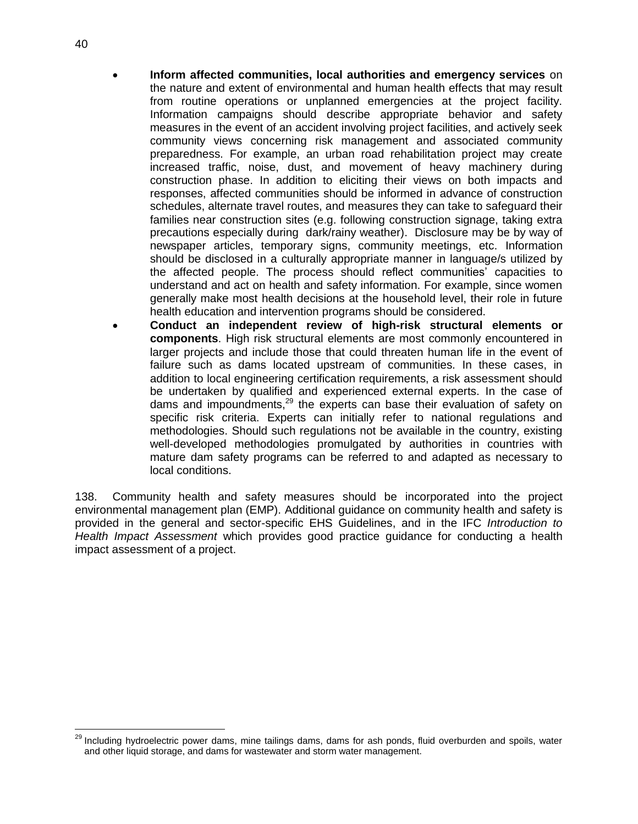- **Inform affected communities, local authorities and emergency services** on the nature and extent of environmental and human health effects that may result from routine operations or unplanned emergencies at the project facility. Information campaigns should describe appropriate behavior and safety measures in the event of an accident involving project facilities, and actively seek community views concerning risk management and associated community preparedness. For example, an urban road rehabilitation project may create increased traffic, noise, dust, and movement of heavy machinery during construction phase. In addition to eliciting their views on both impacts and responses, affected communities should be informed in advance of construction schedules, alternate travel routes, and measures they can take to safeguard their families near construction sites (e.g. following construction signage, taking extra precautions especially during dark/rainy weather). Disclosure may be by way of newspaper articles, temporary signs, community meetings, etc. Information should be disclosed in a culturally appropriate manner in language/s utilized by the affected people. The process should reflect communities' capacities to understand and act on health and safety information. For example, since women generally make most health decisions at the household level, their role in future health education and intervention programs should be considered.
- **Conduct an independent review of high-risk structural elements or components**. High risk structural elements are most commonly encountered in larger projects and include those that could threaten human life in the event of failure such as dams located upstream of communities. In these cases, in addition to local engineering certification requirements, a risk assessment should be undertaken by qualified and experienced external experts. In the case of dams and impoundments,<sup>29</sup> the experts can base their evaluation of safety on specific risk criteria. Experts can initially refer to national regulations and methodologies. Should such regulations not be available in the country, existing well-developed methodologies promulgated by authorities in countries with mature dam safety programs can be referred to and adapted as necessary to local conditions.

138. Community health and safety measures should be incorporated into the project environmental management plan (EMP). Additional guidance on community health and safety is provided in the general and sector-specific EHS Guidelines, and in the IFC *Introduction to Health Impact Assessment* which provides good practice guidance for conducting a health impact assessment of a project.

 $\overline{a}$ 

<sup>&</sup>lt;sup>29</sup> Including hydroelectric power dams, mine tailings dams, dams for ash ponds, fluid overburden and spoils, water and other liquid storage, and dams for wastewater and storm water management.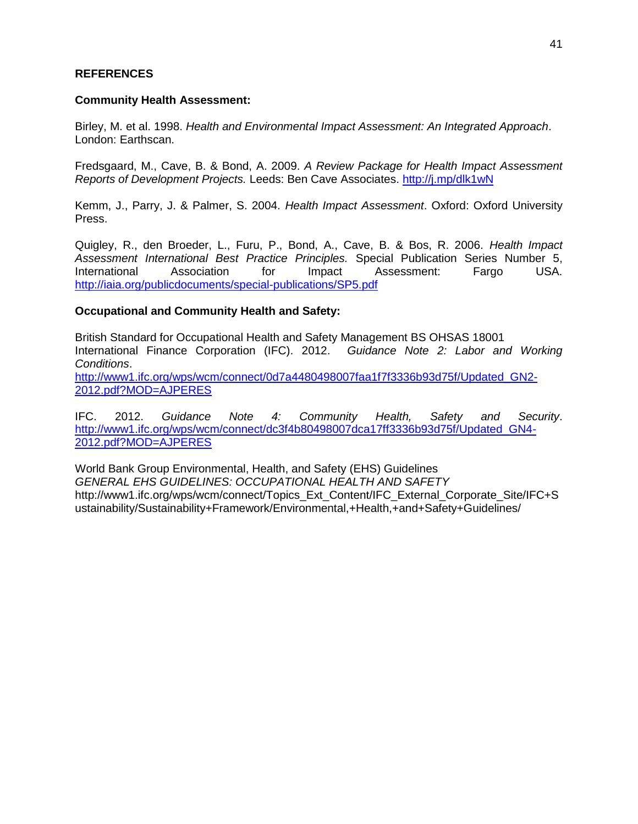#### **REFERENCES**

#### **Community Health Assessment:**

Birley, M. et al. 1998. *Health and Environmental Impact Assessment: An Integrated Approach*. London: Earthscan.

Fredsgaard, M., Cave, B. & Bond, A. 2009. *A Review Package for Health Impact Assessment Reports of Development Projects.* Leeds: Ben Cave Associates.<http://j.mp/dlk1wN>

Kemm, J., Parry, J. & Palmer, S. 2004. *Health Impact Assessment*. Oxford: Oxford University Press.

Quigley, R., den Broeder, L., Furu, P., Bond, A., Cave, B. & Bos, R. 2006. *Health Impact Assessment International Best Practice Principles.* Special Publication Series Number 5, International Association for Impact Assessment: Fargo USA. <http://iaia.org/publicdocuments/special-publications/SP5.pdf>

#### **Occupational and Community Health and Safety:**

British Standard for Occupational Health and Safety Management BS OHSAS 18001 International Finance Corporation (IFC). 2012. *Guidance Note 2: Labor and Working Conditions*. [http://www1.ifc.org/wps/wcm/connect/0d7a4480498007faa1f7f3336b93d75f/Updated\\_GN2-](http://www1.ifc.org/wps/wcm/connect/0d7a4480498007faa1f7f3336b93d75f/Updated_GN2-2012.pdf?MOD=AJPERES) [2012.pdf?MOD=AJPERES](http://www1.ifc.org/wps/wcm/connect/0d7a4480498007faa1f7f3336b93d75f/Updated_GN2-2012.pdf?MOD=AJPERES)

IFC. 2012. *Guidance Note 4: Community Health, Safety and Security*. [http://www1.ifc.org/wps/wcm/connect/dc3f4b80498007dca17ff3336b93d75f/Updated\\_GN4-](http://www1.ifc.org/wps/wcm/connect/dc3f4b80498007dca17ff3336b93d75f/Updated_GN4-2012.pdf?MOD=AJPERES) [2012.pdf?MOD=AJPERES](http://www1.ifc.org/wps/wcm/connect/dc3f4b80498007dca17ff3336b93d75f/Updated_GN4-2012.pdf?MOD=AJPERES)

World Bank Group Environmental, Health, and Safety (EHS) Guidelines *GENERAL EHS GUIDELINES: OCCUPATIONAL HEALTH AND SAFETY* http://www1.ifc.org/wps/wcm/connect/Topics\_Ext\_Content/IFC\_External\_Corporate\_Site/IFC+S ustainability/Sustainability+Framework/Environmental,+Health,+and+Safety+Guidelines/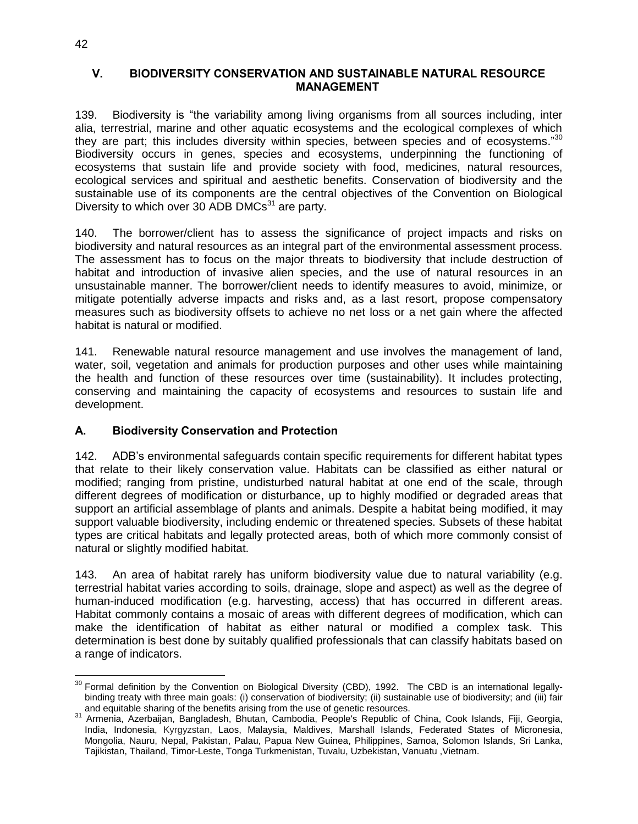#### **V. BIODIVERSITY CONSERVATION AND SUSTAINABLE NATURAL RESOURCE MANAGEMENT**

139. Biodiversity is "the variability among living organisms from all sources including, inter alia, terrestrial, marine and other aquatic ecosystems and the ecological complexes of which they are part; this includes diversity within species, between species and of ecosystems."<sup>30</sup> Biodiversity occurs in genes, species and ecosystems, underpinning the functioning of ecosystems that sustain life and provide society with food, medicines, natural resources, ecological services and spiritual and aesthetic benefits. Conservation of biodiversity and the sustainable use of its components are the central objectives of the Convention on Biological Diversity to which over 30 ADB DMCs $31$  are party.

140. The borrower/client has to assess the significance of project impacts and risks on biodiversity and natural resources as an integral part of the environmental assessment process. The assessment has to focus on the major threats to biodiversity that include destruction of habitat and introduction of invasive alien species, and the use of natural resources in an unsustainable manner. The borrower/client needs to identify measures to avoid, minimize, or mitigate potentially adverse impacts and risks and, as a last resort, propose compensatory measures such as biodiversity offsets to achieve no net loss or a net gain where the affected habitat is natural or modified.

141. Renewable natural resource management and use involves the management of land, water, soil, vegetation and animals for production purposes and other uses while maintaining the health and function of these resources over time (sustainability). It includes protecting, conserving and maintaining the capacity of ecosystems and resources to sustain life and development.

## **A. Biodiversity Conservation and Protection**

142. ADB's environmental safeguards contain specific requirements for different habitat types that relate to their likely conservation value. Habitats can be classified as either natural or modified; ranging from pristine, undisturbed natural habitat at one end of the scale, through different degrees of modification or disturbance, up to highly modified or degraded areas that support an artificial assemblage of plants and animals. Despite a habitat being modified, it may support valuable biodiversity, including endemic or threatened species. Subsets of these habitat types are critical habitats and legally protected areas, both of which more commonly consist of natural or slightly modified habitat.

143. An area of habitat rarely has uniform biodiversity value due to natural variability (e.g. terrestrial habitat varies according to soils, drainage, slope and aspect) as well as the degree of human-induced modification (e.g. harvesting, access) that has occurred in different areas. Habitat commonly contains a mosaic of areas with different degrees of modification, which can make the identification of habitat as either natural or modified a complex task. This determination is best done by suitably qualified professionals that can classify habitats based on a range of indicators.

 $\overline{a}$  $30$  Formal definition by the Convention on Biological Diversity (CBD), 1992. The CBD is an international legallybinding treaty with three main goals: (i) conservation of biodiversity; (ii) sustainable use of biodiversity; and (iii) fair and equitable sharing of the benefits arising from the use of genetic resources.

<sup>31</sup> [Armenia,](http://en.wikipedia.org/wiki/Armenia) [Azerbaijan,](http://en.wikipedia.org/wiki/Azerbaijan) [Bangladesh,](http://en.wikipedia.org/wiki/Bangladesh) [Bhutan,](http://en.wikipedia.org/wiki/Bhutan) [Cambodia,](http://en.wikipedia.org/wiki/Cambodia) [People's Republic of China,](http://en.wikipedia.org/wiki/People%27s_Republic_of_China) [Cook Islands,](http://en.wikipedia.org/wiki/Cook_Islands) [Fiji,](http://en.wikipedia.org/wiki/Fiji) [Georgia,](http://en.wikipedia.org/wiki/Georgia_(country)) [India,](http://en.wikipedia.org/wiki/India) [Indonesia,](http://en.wikipedia.org/wiki/Indonesia) [Kyrgyzstan,](http://en.wikipedia.org/wiki/Kyrgyzstan) [Laos,](http://en.wikipedia.org/wiki/Laos) [Malaysia,](http://en.wikipedia.org/wiki/Malaysia) [Maldives,](http://en.wikipedia.org/wiki/Maldives) [Marshall Islands,](http://en.wikipedia.org/wiki/Marshall_Islands) [Federated States of Micronesia,](http://en.wikipedia.org/wiki/Federated_States_of_Micronesia) [Mongolia,](http://en.wikipedia.org/wiki/Mongolia) [Nauru,](http://en.wikipedia.org/wiki/Nauru) [Nepal,](http://en.wikipedia.org/wiki/Nepal) [Pakistan,](http://en.wikipedia.org/wiki/Pakistan) [Palau,](http://en.wikipedia.org/wiki/Palau) [Papua New Guinea,](http://en.wikipedia.org/wiki/Papua_New_Guinea) [Philippines,](http://en.wikipedia.org/wiki/Philippines) [Samoa,](http://en.wikipedia.org/wiki/Samoa) [Solomon Islands,](http://en.wikipedia.org/wiki/Solomon_Islands) [Sri Lanka,](http://en.wikipedia.org/wiki/Sri_Lanka) [Tajikistan,](http://en.wikipedia.org/wiki/Tajikistan) [Thailand,](http://en.wikipedia.org/wiki/Thailand) [Timor-Leste,](http://en.wikipedia.org/wiki/Timor-Leste) [Tonga](http://en.wikipedia.org/wiki/Tonga) [Turkmenistan,](http://en.wikipedia.org/wiki/Turkmenistan) [Tuvalu,](http://en.wikipedia.org/wiki/Tuvalu) [Uzbekistan,](http://en.wikipedia.org/wiki/Uzbekistan) [Vanuatu](http://en.wikipedia.org/wiki/Vanuatu) [,Vietnam.](http://en.wikipedia.org/wiki/Vietnam)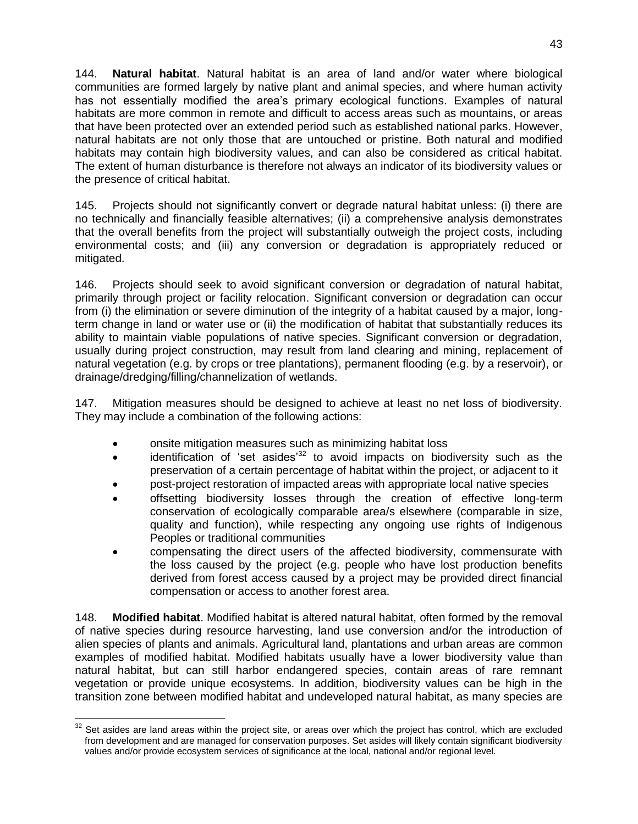144. **Natural habitat**. Natural habitat is an area of land and/or water where biological communities are formed largely by native plant and animal species, and where human activity has not essentially modified the area's primary ecological functions. Examples of natural habitats are more common in remote and difficult to access areas such as mountains, or areas that have been protected over an extended period such as established national parks. However, natural habitats are not only those that are untouched or pristine. Both natural and modified habitats may contain high biodiversity values, and can also be considered as critical habitat. The extent of human disturbance is therefore not always an indicator of its biodiversity values or the presence of critical habitat.

145. Projects should not significantly convert or degrade natural habitat unless: (i) there are no technically and financially feasible alternatives; (ii) a comprehensive analysis demonstrates that the overall benefits from the project will substantially outweigh the project costs, including environmental costs; and (iii) any conversion or degradation is appropriately reduced or mitigated.

146. Projects should seek to avoid significant conversion or degradation of natural habitat, primarily through project or facility relocation. Significant conversion or degradation can occur from (i) the elimination or severe diminution of the integrity of a habitat caused by a major, longterm change in land or water use or (ii) the modification of habitat that substantially reduces its ability to maintain viable populations of native species. Significant conversion or degradation, usually during project construction, may result from land clearing and mining, replacement of natural vegetation (e.g. by crops or tree plantations), permanent flooding (e.g. by a reservoir), or drainage/dredging/filling/channelization of wetlands.

147. Mitigation measures should be designed to achieve at least no net loss of biodiversity. They may include a combination of the following actions:

- onsite mitigation measures such as minimizing habitat loss
- $\bullet$  identification of 'set asides<sup>32</sup> to avoid impacts on biodiversity such as the preservation of a certain percentage of habitat within the project, or adjacent to it
- post-project restoration of impacted areas with appropriate local native species
- offsetting biodiversity losses through the creation of effective long-term conservation of ecologically comparable area/s elsewhere (comparable in size, quality and function), while respecting any ongoing use rights of Indigenous Peoples or traditional communities
- compensating the direct users of the affected biodiversity, commensurate with the loss caused by the project (e.g. people who have lost production benefits derived from forest access caused by a project may be provided direct financial compensation or access to another forest area.

148. **Modified habitat**. Modified habitat is altered natural habitat, often formed by the removal of native species during resource harvesting, land use conversion and/or the introduction of alien species of plants and animals. Agricultural land, plantations and urban areas are common examples of modified habitat. Modified habitats usually have a lower biodiversity value than natural habitat, but can still harbor endangered species, contain areas of rare remnant vegetation or provide unique ecosystems. In addition, biodiversity values can be high in the transition zone between modified habitat and undeveloped natural habitat, as many species are

 $\overline{a}$  $32$  Set asides are land areas within the project site, or areas over which the project has control, which are excluded from development and are managed for conservation purposes. Set asides will likely contain significant biodiversity values and/or provide ecosystem services of significance at the local, national and/or regional level.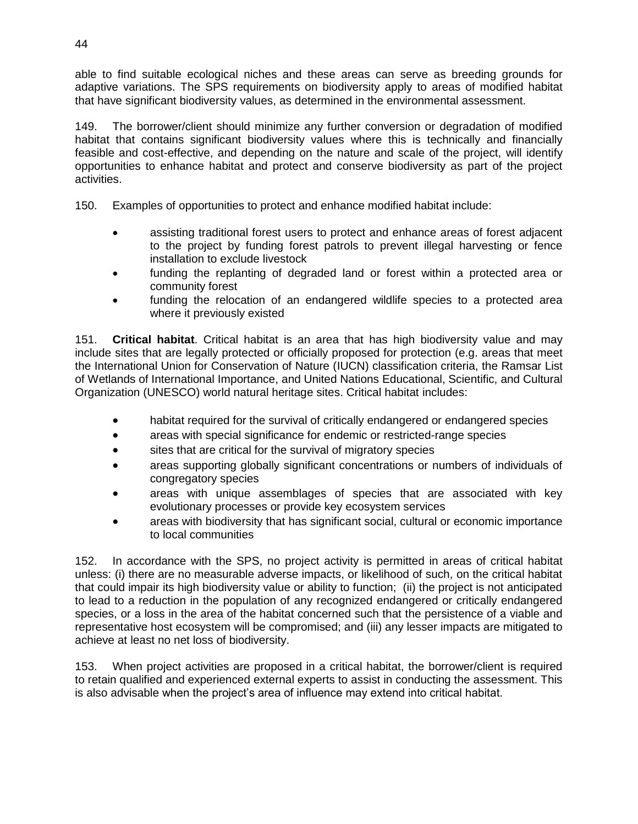able to find suitable ecological niches and these areas can serve as breeding grounds for adaptive variations. The SPS requirements on biodiversity apply to areas of modified habitat that have significant biodiversity values, as determined in the environmental assessment.

149. The borrower/client should minimize any further conversion or degradation of modified habitat that contains significant biodiversity values where this is technically and financially feasible and cost-effective, and depending on the nature and scale of the project, will identify opportunities to enhance habitat and protect and conserve biodiversity as part of the project activities.

150. Examples of opportunities to protect and enhance modified habitat include:

- assisting traditional forest users to protect and enhance areas of forest adjacent to the project by funding forest patrols to prevent illegal harvesting or fence installation to exclude livestock
- funding the replanting of degraded land or forest within a protected area or community forest
- funding the relocation of an endangered wildlife species to a protected area where it previously existed

151. **Critical habitat**. Critical habitat is an area that has high biodiversity value and may include sites that are legally protected or officially proposed for protection (e.g. areas that meet the International Union for Conservation of Nature (IUCN) classification criteria, the Ramsar List of Wetlands of International Importance, and United Nations Educational, Scientific, and Cultural Organization (UNESCO) world natural heritage sites. Critical habitat includes:

- habitat required for the survival of critically endangered or endangered species
- areas with special significance for endemic or restricted-range species
- sites that are critical for the survival of migratory species
- areas supporting globally significant concentrations or numbers of individuals of congregatory species
- areas with unique assemblages of species that are associated with key evolutionary processes or provide key ecosystem services
- areas with biodiversity that has significant social, cultural or economic importance to local communities

152. In accordance with the SPS, no project activity is permitted in areas of critical habitat unless: (i) there are no measurable adverse impacts, or likelihood of such, on the critical habitat that could impair its high biodiversity value or ability to function; (ii) the project is not anticipated to lead to a reduction in the population of any recognized endangered or critically endangered species, or a loss in the area of the habitat concerned such that the persistence of a viable and representative host ecosystem will be compromised; and (iii) any lesser impacts are mitigated to achieve at least no net loss of biodiversity.

153. When project activities are proposed in a critical habitat, the borrower/client is required to retain qualified and experienced external experts to assist in conducting the assessment. This is also advisable when the project's area of influence may extend into critical habitat.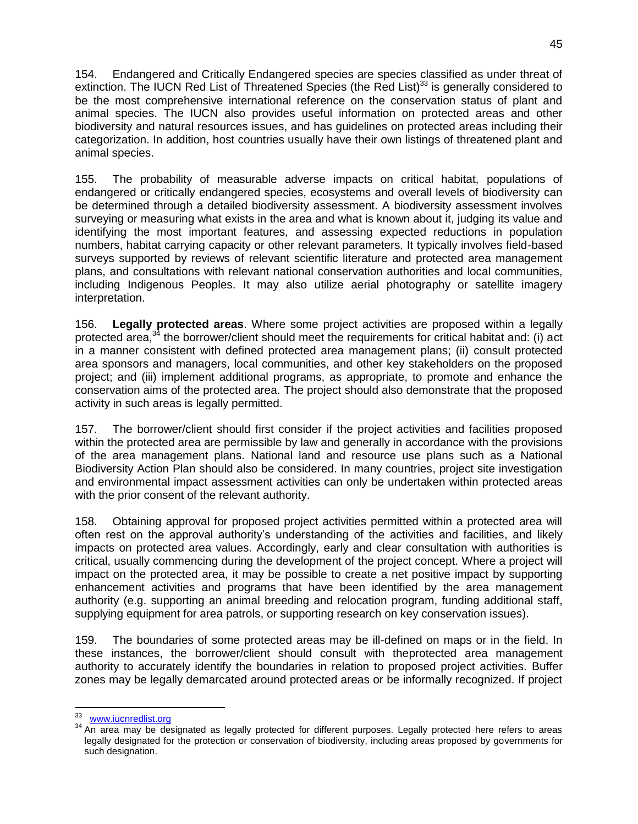154. Endangered and Critically Endangered species are species classified as under threat of extinction. The IUCN Red List of Threatened Species (the Red List)<sup>33</sup> is generally considered to be the most comprehensive international reference on the conservation status of plant and animal species. The IUCN also provides useful information on protected areas and other biodiversity and natural resources issues, and has guidelines on protected areas including their categorization. In addition, host countries usually have their own listings of threatened plant and animal species.

155. The probability of measurable adverse impacts on critical habitat, populations of endangered or critically endangered species, ecosystems and overall levels of biodiversity can be determined through a detailed biodiversity assessment. A biodiversity assessment involves surveying or measuring what exists in the area and what is known about it, judging its value and identifying the most important features, and assessing expected reductions in population numbers, habitat carrying capacity or other relevant parameters. It typically involves field-based surveys supported by reviews of relevant scientific literature and protected area management plans, and consultations with relevant national conservation authorities and local communities, including Indigenous Peoples. It may also utilize aerial photography or satellite imagery interpretation.

156. **Legally protected areas**. Where some project activities are proposed within a legally protected area,<sup>34</sup> the borrower/client should meet the requirements for critical habitat and: (i) act in a manner consistent with defined protected area management plans; (ii) consult protected area sponsors and managers, local communities, and other key stakeholders on the proposed project; and (iii) implement additional programs, as appropriate, to promote and enhance the conservation aims of the protected area. The project should also demonstrate that the proposed activity in such areas is legally permitted.

157. The borrower/client should first consider if the project activities and facilities proposed within the protected area are permissible by law and generally in accordance with the provisions of the area management plans. National land and resource use plans such as a National Biodiversity Action Plan should also be considered. In many countries, project site investigation and environmental impact assessment activities can only be undertaken within protected areas with the prior consent of the relevant authority.

158. Obtaining approval for proposed project activities permitted within a protected area will often rest on the approval authority's understanding of the activities and facilities, and likely impacts on protected area values. Accordingly, early and clear consultation with authorities is critical, usually commencing during the development of the project concept. Where a project will impact on the protected area, it may be possible to create a net positive impact by supporting enhancement activities and programs that have been identified by the area management authority (e.g. supporting an animal breeding and relocation program, funding additional staff, supplying equipment for area patrols, or supporting research on key conservation issues).

159. The boundaries of some protected areas may be ill-defined on maps or in the field. In these instances, the borrower/client should consult with theprotected area management authority to accurately identify the boundaries in relation to proposed project activities. Buffer zones may be legally demarcated around protected areas or be informally recognized. If project

<sup>--&</sup>lt;br>33 [www.iucnredlist.org](http://www.iucnredlist.org/)

<sup>&</sup>lt;sup>34</sup> An area may be designated as legally protected for different purposes. Legally protected here refers to areas legally designated for the protection or conservation of biodiversity, including areas proposed by governments for such designation.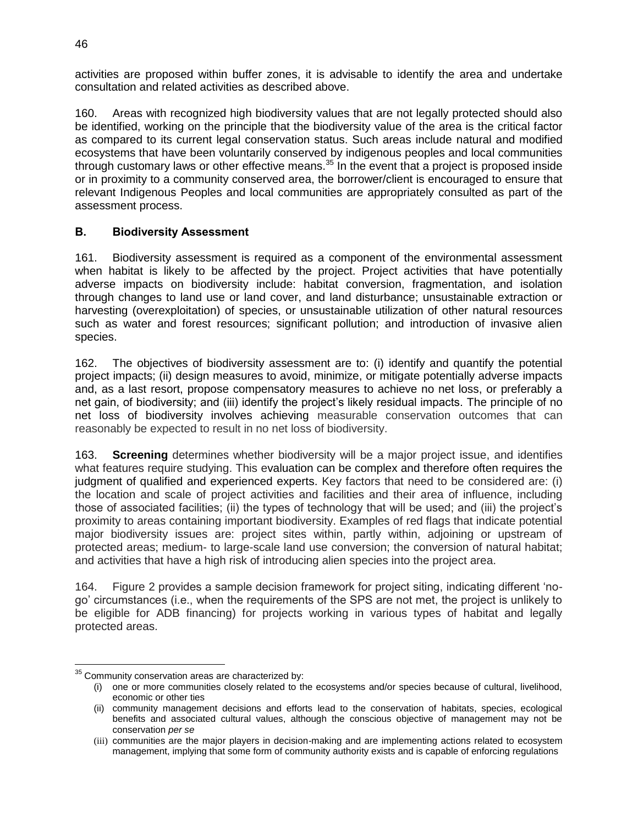activities are proposed within buffer zones, it is advisable to identify the area and undertake consultation and related activities as described above.

160. Areas with recognized high biodiversity values that are not legally protected should also be identified, working on the principle that the biodiversity value of the area is the critical factor as compared to its current legal conservation status. Such areas include natural and modified ecosystems that have been voluntarily conserved by indigenous peoples and local communities through customary laws or other effective means.<sup>35</sup> In the event that a project is proposed inside or in proximity to a community conserved area, the borrower/client is encouraged to ensure that relevant Indigenous Peoples and local communities are appropriately consulted as part of the assessment process.

#### **B. Biodiversity Assessment**

161. Biodiversity assessment is required as a component of the environmental assessment when habitat is likely to be affected by the project. Project activities that have potentially adverse impacts on biodiversity include: habitat conversion, fragmentation, and isolation through changes to land use or land cover, and land disturbance; unsustainable extraction or harvesting (overexploitation) of species, or unsustainable utilization of other natural resources such as water and forest resources; significant pollution; and introduction of invasive alien species.

162. The objectives of biodiversity assessment are to: (i) identify and quantify the potential project impacts; (ii) design measures to avoid, minimize, or mitigate potentially adverse impacts and, as a last resort, propose compensatory measures to achieve no net loss, or preferably a net gain, of biodiversity; and (iii) identify the project's likely residual impacts. The principle of no net loss of biodiversity involves achieving measurable conservation outcomes that can reasonably be expected to result in no net loss of biodiversity.

163. **Screening** determines whether biodiversity will be a major project issue, and identifies what features require studying. This evaluation can be complex and therefore often requires the judgment of qualified and experienced experts. Key factors that need to be considered are: (i) the location and scale of project activities and facilities and their area of influence, including those of associated facilities; (ii) the types of technology that will be used; and (iii) the project's proximity to areas containing important biodiversity. Examples of red flags that indicate potential major biodiversity issues are: project sites within, partly within, adjoining or upstream of protected areas; medium- to large-scale land use conversion; the conversion of natural habitat; and activities that have a high risk of introducing alien species into the project area.

164. Figure 2 provides a sample decision framework for project siting, indicating different 'nogo' circumstances (i.e., when the requirements of the SPS are not met, the project is unlikely to be eligible for ADB financing) for projects working in various types of habitat and legally protected areas.

 $\overline{a}$ 

 $35$  Community conservation areas are characterized by:

<sup>(</sup>i) one or more communities closely related to the ecosystems and/or species because of cultural, livelihood, economic or other ties

<sup>(</sup>ii) community management decisions and efforts lead to the conservation of habitats, species, ecological benefits and associated cultural values, although the conscious objective of management may not be conservation *per se*

<sup>(</sup>iii) communities are the major players in decision-making and are implementing actions related to ecosystem management, implying that some form of community authority exists and is capable of enforcing regulations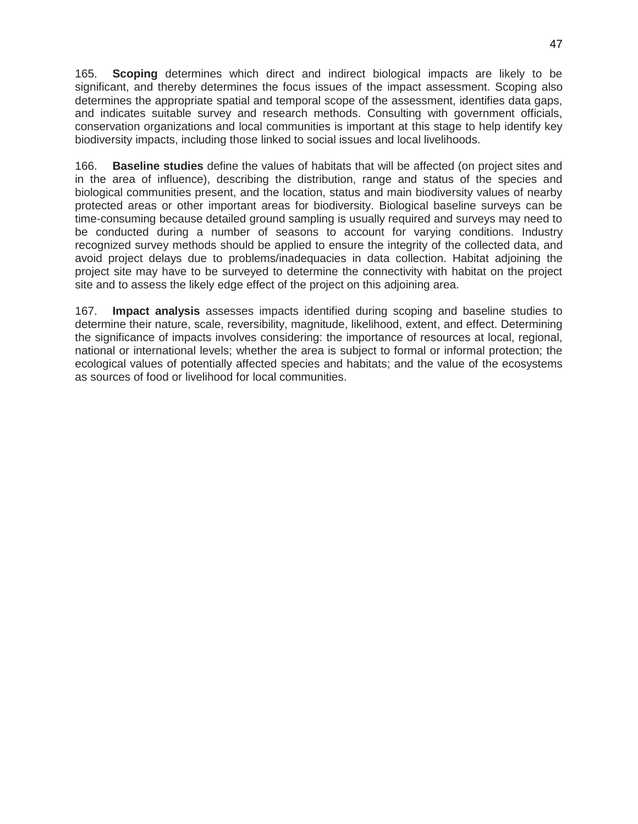165. **Scoping** determines which direct and indirect biological impacts are likely to be significant, and thereby determines the focus issues of the impact assessment. Scoping also determines the appropriate spatial and temporal scope of the assessment, identifies data gaps, and indicates suitable survey and research methods. Consulting with government officials, conservation organizations and local communities is important at this stage to help identify key biodiversity impacts, including those linked to social issues and local livelihoods.

166. **Baseline studies** define the values of habitats that will be affected (on project sites and in the area of influence), describing the distribution, range and status of the species and biological communities present, and the location, status and main biodiversity values of nearby protected areas or other important areas for biodiversity. Biological baseline surveys can be time-consuming because detailed ground sampling is usually required and surveys may need to be conducted during a number of seasons to account for varying conditions. Industry recognized survey methods should be applied to ensure the integrity of the collected data, and avoid project delays due to problems/inadequacies in data collection. Habitat adjoining the project site may have to be surveyed to determine the connectivity with habitat on the project site and to assess the likely edge effect of the project on this adjoining area.

167. **Impact analysis** assesses impacts identified during scoping and baseline studies to determine their nature, scale, reversibility, magnitude, likelihood, extent, and effect. Determining the significance of impacts involves considering: the importance of resources at local, regional, national or international levels; whether the area is subject to formal or informal protection; the ecological values of potentially affected species and habitats; and the value of the ecosystems as sources of food or livelihood for local communities.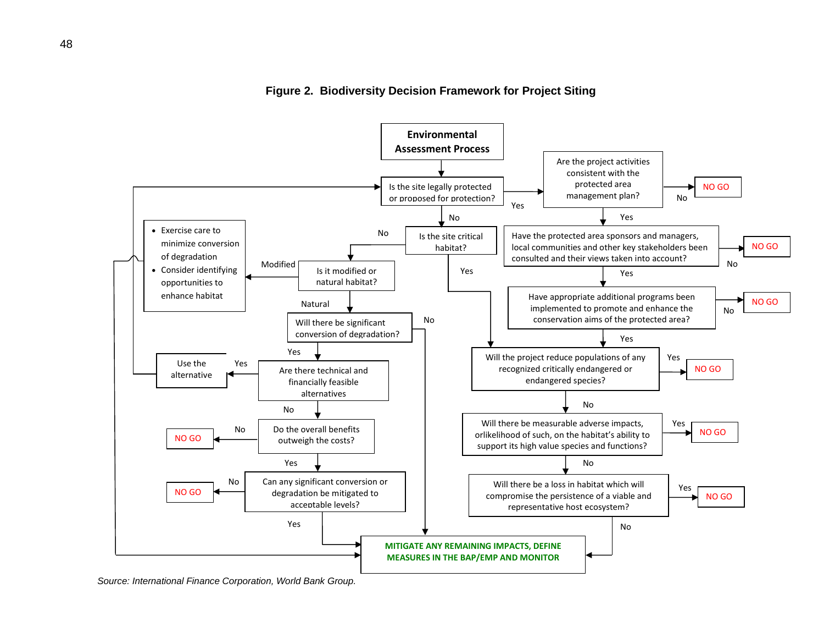



*Source: International Finance Corporation, World Bank Group.*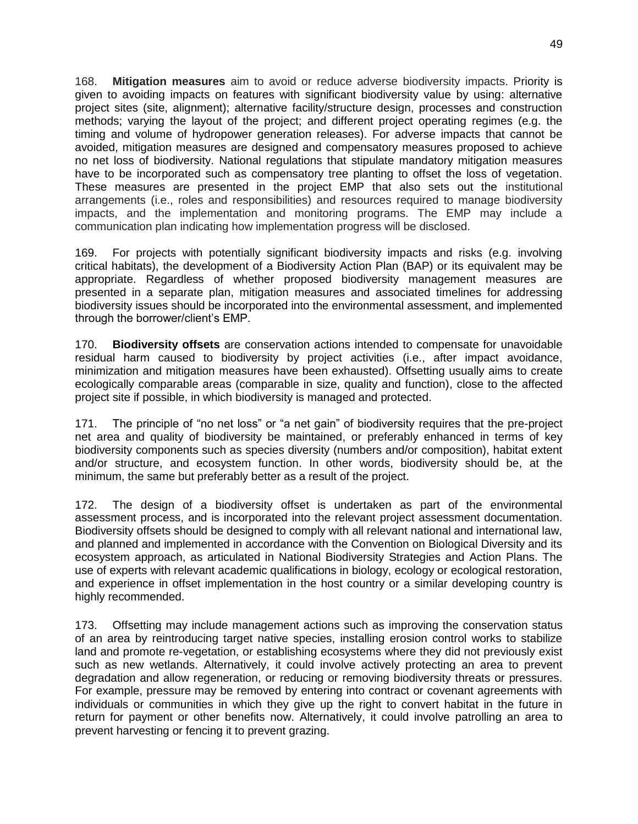168. **Mitigation measures** aim to avoid or reduce adverse biodiversity impacts. Priority is given to avoiding impacts on features with significant biodiversity value by using: alternative project sites (site, alignment); alternative facility/structure design, processes and construction methods; varying the layout of the project; and different project operating regimes (e.g. the timing and volume of hydropower generation releases). For adverse impacts that cannot be avoided, mitigation measures are designed and compensatory measures proposed to achieve no net loss of biodiversity. National regulations that stipulate mandatory mitigation measures have to be incorporated such as compensatory tree planting to offset the loss of vegetation. These measures are presented in the project EMP that also sets out the institutional arrangements (i.e., roles and responsibilities) and resources required to manage biodiversity impacts, and the implementation and monitoring programs. The EMP may include a communication plan indicating how implementation progress will be disclosed.

169. For projects with potentially significant biodiversity impacts and risks (e.g. involving critical habitats), the development of a Biodiversity Action Plan (BAP) or its equivalent may be appropriate. Regardless of whether proposed biodiversity management measures are presented in a separate plan, mitigation measures and associated timelines for addressing biodiversity issues should be incorporated into the environmental assessment, and implemented through the borrower/client's EMP.

170. **Biodiversity offsets** are conservation actions intended to compensate for unavoidable residual harm caused to biodiversity by project activities (i.e., after impact avoidance, minimization and mitigation measures have been exhausted). Offsetting usually aims to create ecologically comparable areas (comparable in size, quality and function), close to the affected project site if possible, in which biodiversity is managed and protected.

171. The principle of "no net loss" or "a net gain" of biodiversity requires that the pre-project net area and quality of biodiversity be maintained, or preferably enhanced in terms of key biodiversity components such as species diversity (numbers and/or composition), habitat extent and/or structure, and ecosystem function. In other words, biodiversity should be, at the minimum, the same but preferably better as a result of the project.

172. The design of a biodiversity offset is undertaken as part of the environmental assessment process, and is incorporated into the relevant project assessment documentation. Biodiversity offsets should be designed to comply with all relevant national and international law, and planned and implemented in accordance with the Convention on Biological Diversity and its ecosystem approach, as articulated in National Biodiversity Strategies and Action Plans. The use of experts with relevant academic qualifications in biology, ecology or ecological restoration, and experience in offset implementation in the host country or a similar developing country is highly recommended.

173. Offsetting may include management actions such as improving the conservation status of an area by reintroducing target native species, installing erosion control works to stabilize land and promote re-vegetation, or establishing ecosystems where they did not previously exist such as new wetlands. Alternatively, it could involve actively protecting an area to prevent degradation and allow regeneration, or reducing or removing biodiversity threats or pressures. For example, pressure may be removed by entering into contract or covenant agreements with individuals or communities in which they give up the right to convert habitat in the future in return for payment or other benefits now. Alternatively, it could involve patrolling an area to prevent harvesting or fencing it to prevent grazing.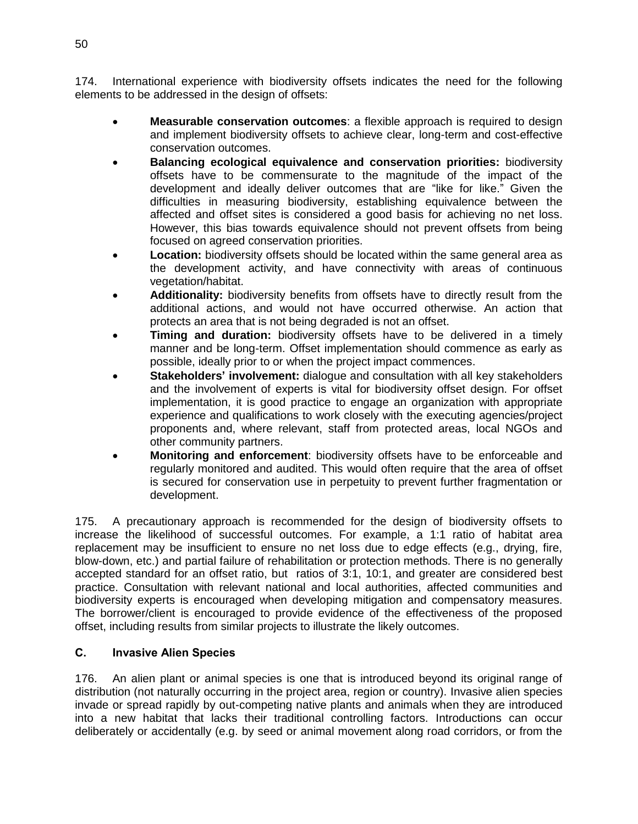174. International experience with biodiversity offsets indicates the need for the following elements to be addressed in the design of offsets:

- **Measurable conservation outcomes**: a flexible approach is required to design and implement biodiversity offsets to achieve clear, long-term and cost-effective conservation outcomes.
- **Balancing ecological equivalence and conservation priorities:** biodiversity offsets have to be commensurate to the magnitude of the impact of the development and ideally deliver outcomes that are "like for like." Given the difficulties in measuring biodiversity, establishing equivalence between the affected and offset sites is considered a good basis for achieving no net loss. However, this bias towards equivalence should not prevent offsets from being focused on agreed conservation priorities.
- **Location:** biodiversity offsets should be located within the same general area as the development activity, and have connectivity with areas of continuous vegetation/habitat.
- **Additionality:** biodiversity benefits from offsets have to directly result from the additional actions, and would not have occurred otherwise. An action that protects an area that is not being degraded is not an offset.
- **Timing and duration:** biodiversity offsets have to be delivered in a timely manner and be long-term. Offset implementation should commence as early as possible, ideally prior to or when the project impact commences.
- **Stakeholders' involvement:** dialogue and consultation with all key stakeholders and the involvement of experts is vital for biodiversity offset design. For offset implementation, it is good practice to engage an organization with appropriate experience and qualifications to work closely with the executing agencies/project proponents and, where relevant, staff from protected areas, local NGOs and other community partners.
- **Monitoring and enforcement**: biodiversity offsets have to be enforceable and regularly monitored and audited. This would often require that the area of offset is secured for conservation use in perpetuity to prevent further fragmentation or development.

175. A precautionary approach is recommended for the design of biodiversity offsets to increase the likelihood of successful outcomes. For example, a 1:1 ratio of habitat area replacement may be insufficient to ensure no net loss due to edge effects (e.g., drying, fire, blow-down, etc.) and partial failure of rehabilitation or protection methods. There is no generally accepted standard for an offset ratio, but ratios of 3:1, 10:1, and greater are considered best practice. Consultation with relevant national and local authorities, affected communities and biodiversity experts is encouraged when developing mitigation and compensatory measures. The borrower/client is encouraged to provide evidence of the effectiveness of the proposed offset, including results from similar projects to illustrate the likely outcomes.

#### **C. Invasive Alien Species**

176. An alien plant or animal species is one that is introduced beyond its original range of distribution (not naturally occurring in the project area, region or country). Invasive alien species invade or spread rapidly by out-competing native plants and animals when they are introduced into a new habitat that lacks their traditional controlling factors. Introductions can occur deliberately or accidentally (e.g. by seed or animal movement along road corridors, or from the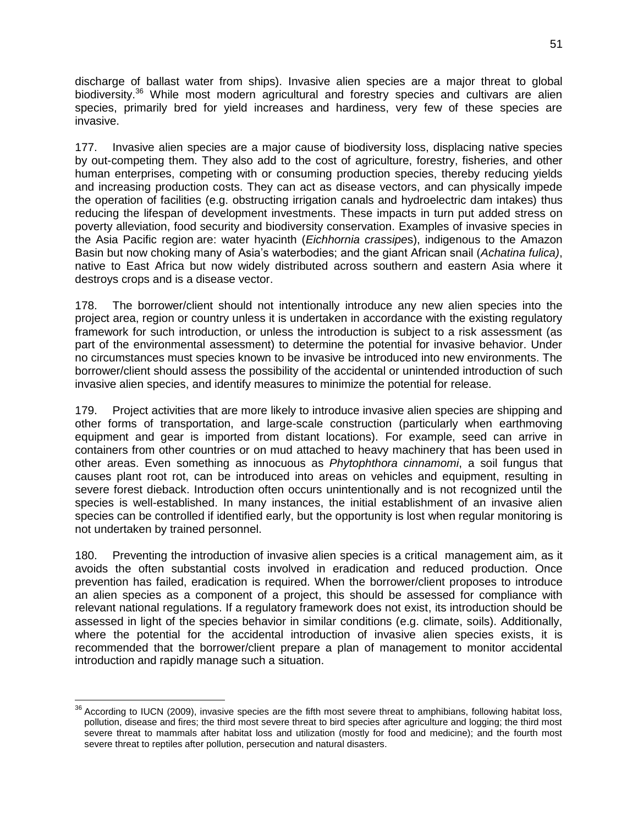discharge of ballast water from ships). Invasive alien species are a major threat to global biodiversity.<sup>36</sup> While most modern agricultural and forestry species and cultivars are alien species, primarily bred for yield increases and hardiness, very few of these species are invasive.

177. Invasive alien species are a major cause of biodiversity loss, displacing native species by out-competing them. They also add to the cost of agriculture, forestry, fisheries, and other human enterprises, competing with or consuming production species, thereby reducing yields and increasing production costs. They can act as disease vectors, and can physically impede the operation of facilities (e.g. obstructing irrigation canals and hydroelectric dam intakes) thus reducing the lifespan of development investments. These impacts in turn put added stress on poverty alleviation, food security and biodiversity conservation. Examples of invasive species in the Asia Pacific region are: water hyacinth (*Eichhornia crassipe*s), indigenous to the Amazon Basin but now choking many of Asia's waterbodies; and the giant African snail (*Achatina fulica)*, native to East Africa but now widely distributed across southern and eastern Asia where it destroys crops and is a disease vector.

178. The borrower/client should not intentionally introduce any new alien species into the project area, region or country unless it is undertaken in accordance with the existing regulatory framework for such introduction, or unless the introduction is subject to a risk assessment (as part of the environmental assessment) to determine the potential for invasive behavior. Under no circumstances must species known to be invasive be introduced into new environments. The borrower/client should assess the possibility of the accidental or unintended introduction of such invasive alien species, and identify measures to minimize the potential for release.

179. Project activities that are more likely to introduce invasive alien species are shipping and other forms of transportation, and large-scale construction (particularly when earthmoving equipment and gear is imported from distant locations). For example, seed can arrive in containers from other countries or on mud attached to heavy machinery that has been used in other areas. Even something as innocuous as *Phytophthora cinnamomi*, a soil fungus that causes plant root rot, can be introduced into areas on vehicles and equipment, resulting in severe forest dieback. Introduction often occurs unintentionally and is not recognized until the species is well-established. In many instances, the initial establishment of an invasive alien species can be controlled if identified early, but the opportunity is lost when regular monitoring is not undertaken by trained personnel.

180. Preventing the introduction of invasive alien species is a critical management aim, as it avoids the often substantial costs involved in eradication and reduced production. Once prevention has failed, eradication is required. When the borrower/client proposes to introduce an alien species as a component of a project, this should be assessed for compliance with relevant national regulations. If a regulatory framework does not exist, its introduction should be assessed in light of the species behavior in similar conditions (e.g. climate, soils). Additionally, where the potential for the accidental introduction of invasive alien species exists, it is recommended that the borrower/client prepare a plan of management to monitor accidental introduction and rapidly manage such a situation.

 $\overline{a}$  $36$  According to IUCN (2009), invasive species are the fifth most severe threat to amphibians, following habitat loss, pollution, disease and fires; the third most severe threat to bird species after agriculture and logging; the third most severe threat to mammals after habitat loss and utilization (mostly for food and medicine); and the fourth most severe threat to reptiles after pollution, persecution and natural disasters.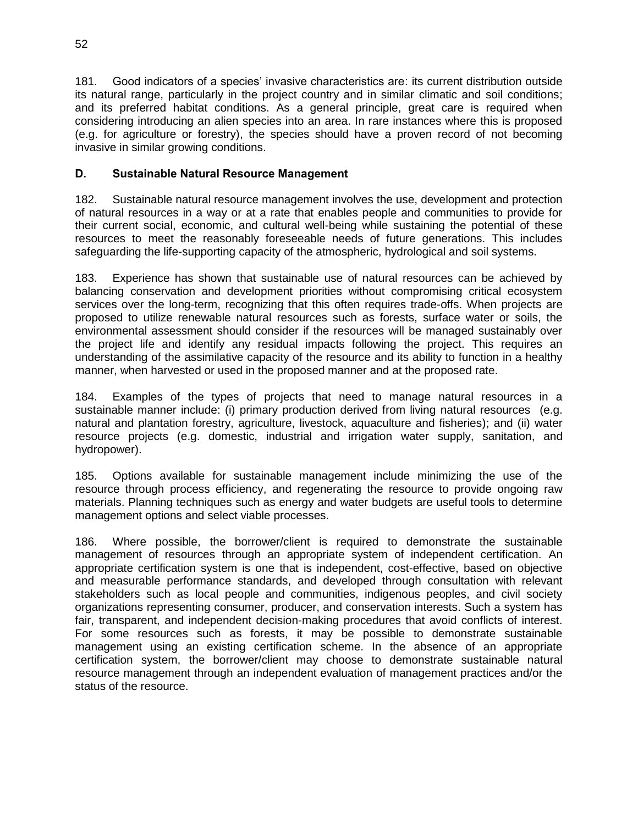181. Good indicators of a species' invasive characteristics are: its current distribution outside its natural range, particularly in the project country and in similar climatic and soil conditions; and its preferred habitat conditions. As a general principle, great care is required when considering introducing an alien species into an area. In rare instances where this is proposed (e.g. for agriculture or forestry), the species should have a proven record of not becoming invasive in similar growing conditions.

#### **D. Sustainable Natural Resource Management**

182. Sustainable natural resource management involves the use, development and protection of natural resources in a way or at a rate that enables people and communities to provide for their current social, economic, and cultural well-being while sustaining the potential of these resources to meet the reasonably foreseeable needs of future generations. This includes safeguarding the life-supporting capacity of the atmospheric, hydrological and soil systems.

183. Experience has shown that sustainable use of natural resources can be achieved by balancing conservation and development priorities without compromising critical ecosystem services over the long-term, recognizing that this often requires trade-offs. When projects are proposed to utilize renewable natural resources such as forests, surface water or soils, the environmental assessment should consider if the resources will be managed sustainably over the project life and identify any residual impacts following the project. This requires an understanding of the assimilative capacity of the resource and its ability to function in a healthy manner, when harvested or used in the proposed manner and at the proposed rate.

184. Examples of the types of projects that need to manage natural resources in a sustainable manner include: (i) primary production derived from living natural resources (e.g. natural and plantation forestry, agriculture, livestock, aquaculture and fisheries); and (ii) water resource projects (e.g. domestic, industrial and irrigation water supply, sanitation, and hydropower).

185. Options available for sustainable management include minimizing the use of the resource through process efficiency, and regenerating the resource to provide ongoing raw materials. Planning techniques such as energy and water budgets are useful tools to determine management options and select viable processes.

186. Where possible, the borrower/client is required to demonstrate the sustainable management of resources through an appropriate system of independent certification. An appropriate certification system is one that is independent, cost-effective, based on objective and measurable performance standards, and developed through consultation with relevant stakeholders such as local people and communities, indigenous peoples, and civil society organizations representing consumer, producer, and conservation interests. Such a system has fair, transparent, and independent decision-making procedures that avoid conflicts of interest. For some resources such as forests, it may be possible to demonstrate sustainable management using an existing certification scheme. In the absence of an appropriate certification system, the borrower/client may choose to demonstrate sustainable natural resource management through an independent evaluation of management practices and/or the status of the resource.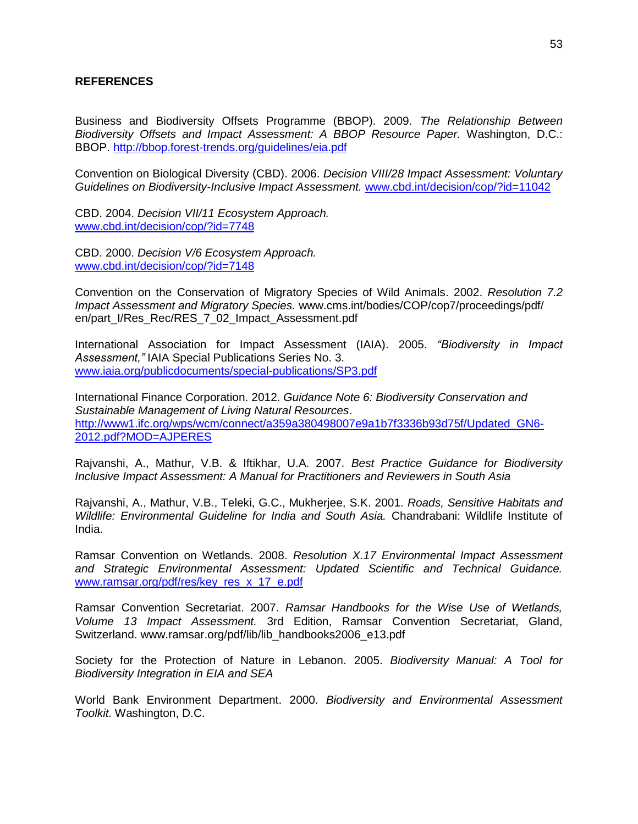#### **REFERENCES**

Business and Biodiversity Offsets Programme (BBOP). 2009. *The Relationship Between Biodiversity Offsets and Impact Assessment: A BBOP Resource Paper.* Washington, D.C.: BBOP.<http://bbop.forest-trends.org/guidelines/eia.pdf>

Convention on Biological Diversity (CBD). 2006. *Decision VIII/28 Impact Assessment: Voluntary Guidelines on Biodiversity-Inclusive Impact Assessment.* [www.cbd.int/decision/cop/?id=11042](http://www.cbd.int/decision/cop/?id=11042)

CBD. 2004. *Decision VII/11 Ecosystem Approach.*  [www.cbd.int/decision/cop/?id=7748](http://www.cbd.int/decision/cop/?id=7748)

CBD. 2000. *Decision V/6 Ecosystem Approach.* [www.cbd.int/decision/cop/?id=7148](http://www.cbd.int/decision/cop/?id=7148)

Convention on the Conservation of Migratory Species of Wild Animals. 2002. *Resolution 7.2 Impact Assessment and Migratory Species.* www.cms.int/bodies/COP/cop7/proceedings/pdf/ en/part\_I/Res\_Rec/RES\_7\_02\_Impact\_Assessment.pdf

International Association for Impact Assessment (IAIA). 2005. *"Biodiversity in Impact Assessment,"* IAIA Special Publications Series No. 3. [www.iaia.org/publicdocuments/special-publications/SP3.pdf](http://www.iaia.org/publicdocuments/special-publications/SP3.pdf)

International Finance Corporation. 2012. *Guidance Note 6: Biodiversity Conservation and Sustainable Management of Living Natural Resources*. [http://www1.ifc.org/wps/wcm/connect/a359a380498007e9a1b7f3336b93d75f/Updated\\_GN6-](http://www1.ifc.org/wps/wcm/connect/a359a380498007e9a1b7f3336b93d75f/Updated_GN6-2012.pdf?MOD=AJPERES) [2012.pdf?MOD=AJPERES](http://www1.ifc.org/wps/wcm/connect/a359a380498007e9a1b7f3336b93d75f/Updated_GN6-2012.pdf?MOD=AJPERES)

Rajvanshi, A., Mathur, V.B. & Iftikhar, U.A. 2007. *Best Practice Guidance for Biodiversity Inclusive Impact Assessment: A Manual for Practitioners and Reviewers in South Asia*

Rajvanshi, A., Mathur, V.B., Teleki, G.C., Mukherjee, S.K. 2001. *Roads, Sensitive Habitats and Wildlife: Environmental Guideline for India and South Asia.* Chandrabani: Wildlife Institute of India.

Ramsar Convention on Wetlands. 2008. *Resolution X.17 Environmental Impact Assessment and Strategic Environmental Assessment: Updated Scientific and Technical Guidance.*  [www.ramsar.org/pdf/res/key\\_res\\_x\\_17\\_e.pdf](http://www.ramsar.org/pdf/res/key_res_x_17_e.pdf)

Ramsar Convention Secretariat. 2007. *Ramsar Handbooks for the Wise Use of Wetlands, Volume 13 Impact Assessment.* 3rd Edition, Ramsar Convention Secretariat, Gland, Switzerland. www.ramsar.org/pdf/lib/lib\_handbooks2006\_e13.pdf

Society for the Protection of Nature in Lebanon. 2005. *Biodiversity Manual: A Tool for Biodiversity Integration in EIA and SEA*

World Bank Environment Department. 2000. *Biodiversity and Environmental Assessment Toolkit.* Washington, D.C.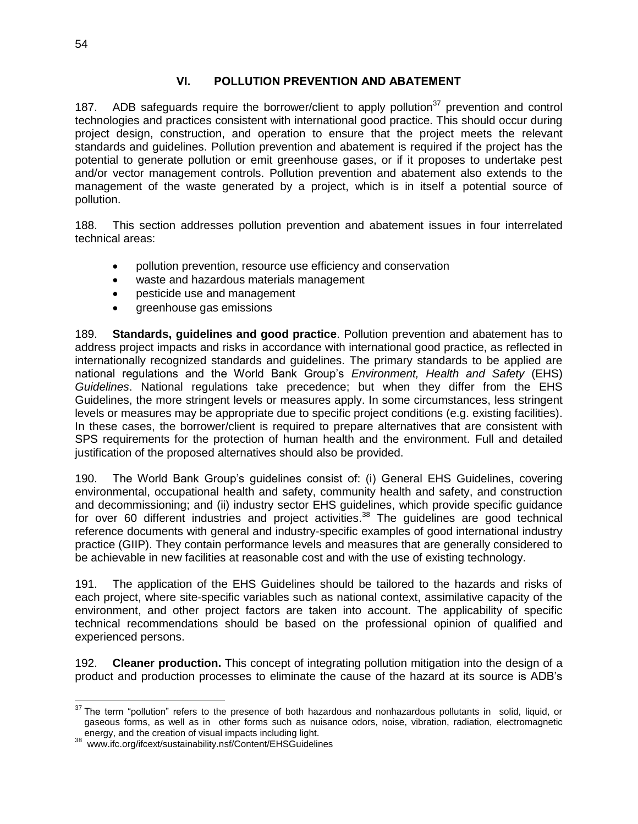#### **VI. POLLUTION PREVENTION AND ABATEMENT**

187. ADB safeguards require the borrower/client to apply pollution<sup>37</sup> prevention and control technologies and practices consistent with international good practice. This should occur during project design, construction, and operation to ensure that the project meets the relevant standards and guidelines. Pollution prevention and abatement is required if the project has the potential to generate pollution or emit greenhouse gases, or if it proposes to undertake pest and/or vector management controls. Pollution prevention and abatement also extends to the management of the waste generated by a project, which is in itself a potential source of pollution.

188. This section addresses pollution prevention and abatement issues in four interrelated technical areas:

- pollution prevention, resource use efficiency and conservation
- waste and hazardous materials management
- pesticide use and management
- greenhouse gas emissions

189. **Standards, guidelines and good practice**. Pollution prevention and abatement has to address project impacts and risks in accordance with international good practice, as reflected in internationally recognized standards and guidelines. The primary standards to be applied are national regulations and the World Bank Group's *Environment, Health and Safety* (EHS) *Guidelines*. National regulations take precedence; but when they differ from the EHS Guidelines, the more stringent levels or measures apply. In some circumstances, less stringent levels or measures may be appropriate due to specific project conditions (e.g. existing facilities). In these cases, the borrower/client is required to prepare alternatives that are consistent with SPS requirements for the protection of human health and the environment. Full and detailed justification of the proposed alternatives should also be provided.

190. The World Bank Group's guidelines consist of: (i) General EHS Guidelines, covering environmental, occupational health and safety, community health and safety, and construction and decommissioning; and (ii) industry sector EHS guidelines, which provide specific guidance for over 60 different industries and project activities.<sup>38</sup> The guidelines are good technical reference documents with general and industry-specific examples of good international industry practice (GIIP). They contain performance levels and measures that are generally considered to be achievable in new facilities at reasonable cost and with the use of existing technology.

191. The application of the EHS Guidelines should be tailored to the hazards and risks of each project, where site-specific variables such as national context, assimilative capacity of the environment, and other project factors are taken into account. The applicability of specific technical recommendations should be based on the professional opinion of qualified and experienced persons.

192. **Cleaner production.** This concept of integrating pollution mitigation into the design of a product and production processes to eliminate the cause of the hazard at its source is ADB's

 $\overline{a}$ 

 $37$  The term "pollution" refers to the presence of both hazardous and nonhazardous pollutants in solid, liquid, or gaseous forms, as well as in other forms such as nuisance odors, noise, vibration, radiation, electromagnetic

energy, and the creation of visual impacts including light.<br><sup>38</sup> www.ifc.org/ifcext/sustainability.nsf/Content/EHSGuidelines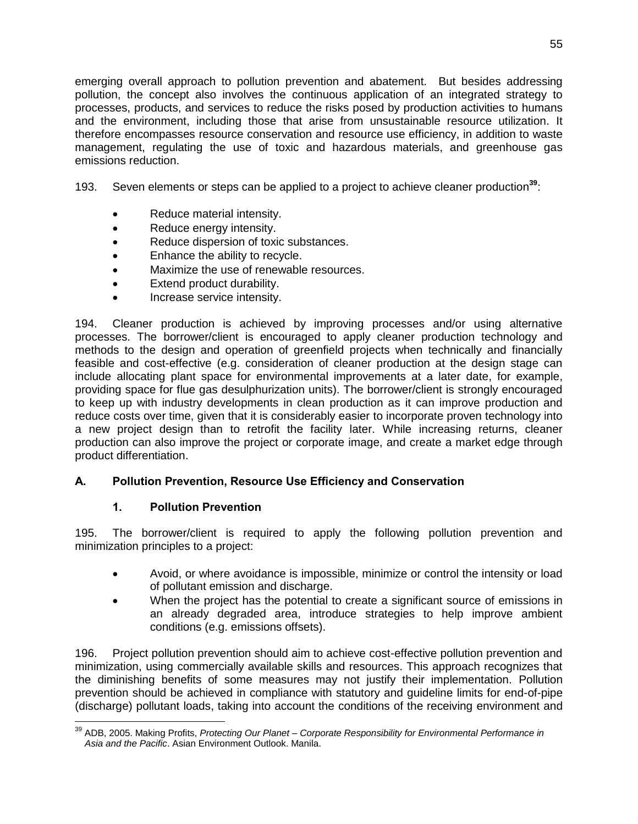emerging overall approach to pollution prevention and abatement. But besides addressing pollution, the concept also involves the continuous application of an integrated strategy to processes, products, and services to reduce the risks posed by production activities to humans and the environment, including those that arise from unsustainable resource utilization. It therefore encompasses resource conservation and resource use efficiency, in addition to waste management, regulating the use of toxic and hazardous materials, and greenhouse gas emissions reduction.

193. Seven elements or steps can be applied to a project to achieve cleaner production**<sup>39</sup>**:

- Reduce material intensity.
- Reduce energy intensity.
- Reduce dispersion of toxic substances.
- Enhance the ability to recycle.
- Maximize the use of renewable resources.
- Extend product durability.
- Increase service intensity.

194. Cleaner production is achieved by improving processes and/or using alternative processes. The borrower/client is encouraged to apply cleaner production technology and methods to the design and operation of greenfield projects when technically and financially feasible and cost-effective (e.g. consideration of cleaner production at the design stage can include allocating plant space for environmental improvements at a later date, for example, providing space for flue gas desulphurization units). The borrower/client is strongly encouraged to keep up with industry developments in clean production as it can improve production and reduce costs over time, given that it is considerably easier to incorporate proven technology into a new project design than to retrofit the facility later. While increasing returns, cleaner production can also improve the project or corporate image, and create a market edge through product differentiation.

#### **A. Pollution Prevention, Resource Use Efficiency and Conservation**

#### **1. Pollution Prevention**

 $\overline{a}$ 

195. The borrower/client is required to apply the following pollution prevention and minimization principles to a project:

- Avoid, or where avoidance is impossible, minimize or control the intensity or load of pollutant emission and discharge.
- When the project has the potential to create a significant source of emissions in an already degraded area, introduce strategies to help improve ambient conditions (e.g. emissions offsets).

196. Project pollution prevention should aim to achieve cost-effective pollution prevention and minimization, using commercially available skills and resources. This approach recognizes that the diminishing benefits of some measures may not justify their implementation. Pollution prevention should be achieved in compliance with statutory and guideline limits for end-of-pipe (discharge) pollutant loads, taking into account the conditions of the receiving environment and

<sup>39</sup> ADB, 2005. Making Profits, *Protecting Our Planet – Corporate Responsibility for Environmental Performance in Asia and the Pacific*. Asian Environment Outlook. Manila.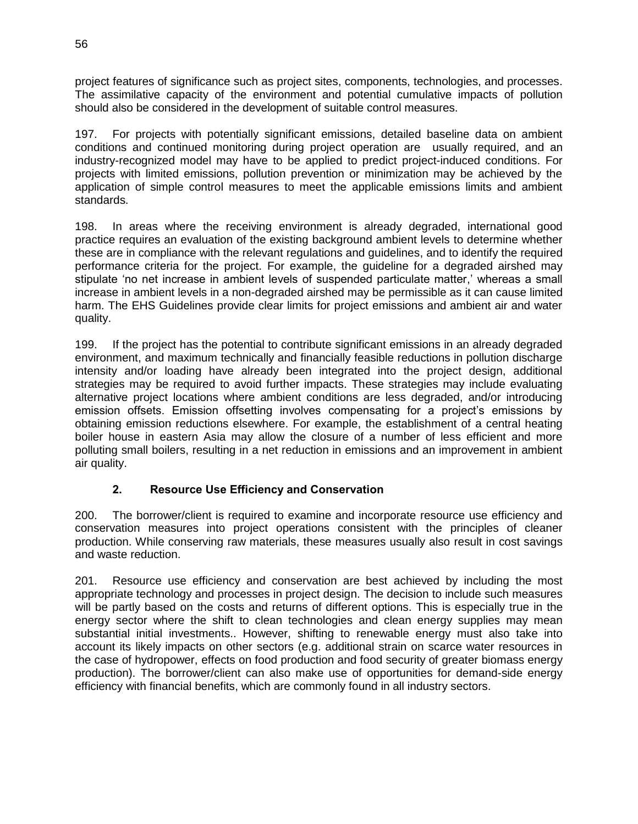project features of significance such as project sites, components, technologies, and processes. The assimilative capacity of the environment and potential cumulative impacts of pollution should also be considered in the development of suitable control measures.

197. For projects with potentially significant emissions, detailed baseline data on ambient conditions and continued monitoring during project operation are usually required, and an industry-recognized model may have to be applied to predict project-induced conditions. For projects with limited emissions, pollution prevention or minimization may be achieved by the application of simple control measures to meet the applicable emissions limits and ambient standards.

198. In areas where the receiving environment is already degraded, international good practice requires an evaluation of the existing background ambient levels to determine whether these are in compliance with the relevant regulations and guidelines, and to identify the required performance criteria for the project. For example, the guideline for a degraded airshed may stipulate 'no net increase in ambient levels of suspended particulate matter,' whereas a small increase in ambient levels in a non-degraded airshed may be permissible as it can cause limited harm. The EHS Guidelines provide clear limits for project emissions and ambient air and water quality.

199. If the project has the potential to contribute significant emissions in an already degraded environment, and maximum technically and financially feasible reductions in pollution discharge intensity and/or loading have already been integrated into the project design, additional strategies may be required to avoid further impacts. These strategies may include evaluating alternative project locations where ambient conditions are less degraded, and/or introducing emission offsets. Emission offsetting involves compensating for a project's emissions by obtaining emission reductions elsewhere. For example, the establishment of a central heating boiler house in eastern Asia may allow the closure of a number of less efficient and more polluting small boilers, resulting in a net reduction in emissions and an improvement in ambient air quality.

## **2. Resource Use Efficiency and Conservation**

200. The borrower/client is required to examine and incorporate resource use efficiency and conservation measures into project operations consistent with the principles of cleaner production. While conserving raw materials, these measures usually also result in cost savings and waste reduction.

201. Resource use efficiency and conservation are best achieved by including the most appropriate technology and processes in project design. The decision to include such measures will be partly based on the costs and returns of different options. This is especially true in the energy sector where the shift to clean technologies and clean energy supplies may mean substantial initial investments.. However, shifting to renewable energy must also take into account its likely impacts on other sectors (e.g. additional strain on scarce water resources in the case of hydropower, effects on food production and food security of greater biomass energy production). The borrower/client can also make use of opportunities for demand-side energy efficiency with financial benefits, which are commonly found in all industry sectors.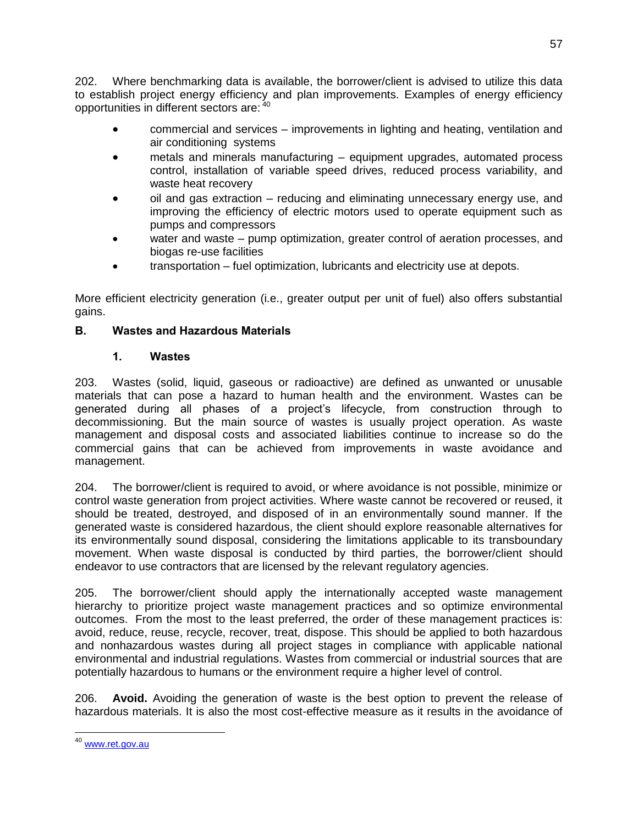202. Where benchmarking data is available, the borrower/client is advised to utilize this data to establish project energy efficiency and plan improvements. Examples of energy efficiency opportunities in different sectors are: <sup>40</sup>

- commercial and services improvements in lighting and heating, ventilation and air conditioning systems
- metals and minerals manufacturing equipment upgrades, automated process control, installation of variable speed drives, reduced process variability, and waste heat recovery
- oil and gas extraction reducing and eliminating unnecessary energy use, and improving the efficiency of electric motors used to operate equipment such as pumps and compressors
- water and waste pump optimization, greater control of aeration processes, and biogas re-use facilities
- transportation fuel optimization, lubricants and electricity use at depots.

More efficient electricity generation (i.e., greater output per unit of fuel) also offers substantial gains.

## **B. Wastes and Hazardous Materials**

## **1. Wastes**

203. Wastes (solid, liquid, gaseous or radioactive) are defined as unwanted or unusable materials that can pose a hazard to human health and the environment. Wastes can be generated during all phases of a project's lifecycle, from construction through to decommissioning. But the main source of wastes is usually project operation. As waste management and disposal costs and associated liabilities continue to increase so do the commercial gains that can be achieved from improvements in waste avoidance and management.

204. The borrower/client is required to avoid, or where avoidance is not possible, minimize or control waste generation from project activities. Where waste cannot be recovered or reused, it should be treated, destroyed, and disposed of in an environmentally sound manner. If the generated waste is considered hazardous, the client should explore reasonable alternatives for its environmentally sound disposal, considering the limitations applicable to its transboundary movement. When waste disposal is conducted by third parties, the borrower/client should endeavor to use contractors that are licensed by the relevant regulatory agencies.

205. The borrower/client should apply the internationally accepted waste management hierarchy to prioritize project waste management practices and so optimize environmental outcomes. From the most to the least preferred, the order of these management practices is: avoid, reduce, reuse, recycle, recover, treat, dispose. This should be applied to both hazardous and nonhazardous wastes during all project stages in compliance with applicable national environmental and industrial regulations. Wastes from commercial or industrial sources that are potentially hazardous to humans or the environment require a higher level of control.

206. **Avoid.** Avoiding the generation of waste is the best option to prevent the release of hazardous materials. It is also the most cost-effective measure as it results in the avoidance of

 $\overline{a}$ 

<sup>&</sup>lt;sup>40</sup> [www.ret.gov.au](http://www.ret.gov.au/)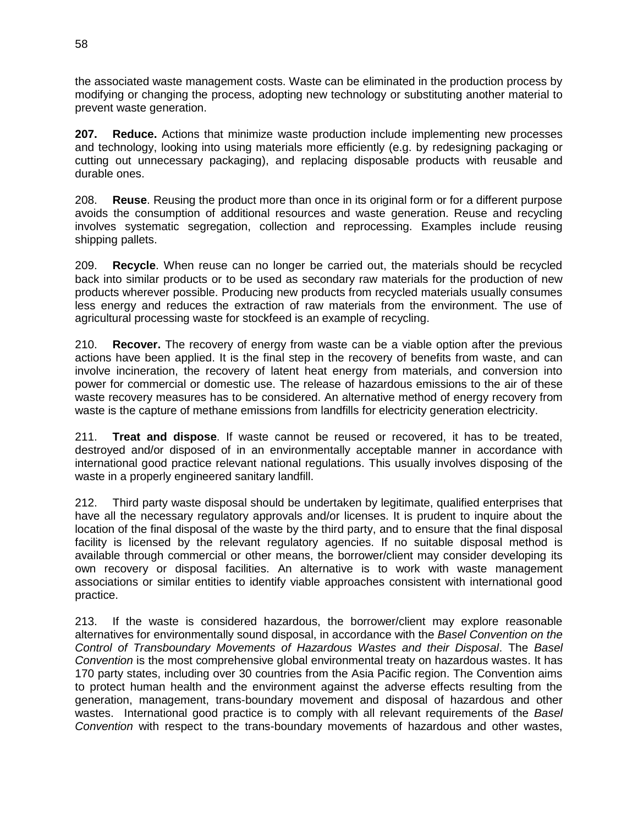the associated waste management costs. Waste can be eliminated in the production process by modifying or changing the process, adopting new technology or substituting another material to prevent waste generation.

**207. Reduce.** Actions that minimize waste production include implementing new processes and technology, looking into using materials more efficiently (e.g. by redesigning packaging or cutting out unnecessary packaging), and replacing disposable products with reusable and durable ones.

208. **Reuse**. Reusing the product more than once in its original form or for a different purpose avoids the consumption of additional resources and waste generation. Reuse and recycling involves systematic segregation, collection and reprocessing. Examples include reusing shipping pallets.

209. **Recycle**. When reuse can no longer be carried out, the materials should be recycled back into similar products or to be used as secondary raw materials for the production of new products wherever possible. Producing new products from recycled materials usually consumes less energy and reduces the extraction of raw materials from the environment. The use of agricultural processing waste for stockfeed is an example of recycling.

210. **Recover.** The recovery of energy from waste can be a viable option after the previous actions have been applied. It is the final step in the recovery of benefits from waste, and can involve incineration, the recovery of latent heat energy from materials, and conversion into power for commercial or domestic use. The release of hazardous emissions to the air of these waste recovery measures has to be considered. An alternative method of energy recovery from waste is the capture of methane emissions from landfills for electricity generation electricity.

211. **Treat and dispose**. If waste cannot be reused or recovered, it has to be treated, destroyed and/or disposed of in an environmentally acceptable manner in accordance with international good practice relevant national regulations. This usually involves disposing of the waste in a properly engineered sanitary landfill.

212. Third party waste disposal should be undertaken by legitimate, qualified enterprises that have all the necessary regulatory approvals and/or licenses. It is prudent to inquire about the location of the final disposal of the waste by the third party, and to ensure that the final disposal facility is licensed by the relevant regulatory agencies. If no suitable disposal method is available through commercial or other means, the borrower/client may consider developing its own recovery or disposal facilities. An alternative is to work with waste management associations or similar entities to identify viable approaches consistent with international good practice.

213. If the waste is considered hazardous, the borrower/client may explore reasonable alternatives for environmentally sound disposal, in accordance with the *Basel Convention on the Control of Transboundary Movements of Hazardous Wastes and their Disposal*. The *Basel Convention* is the most comprehensive global environmental treaty on hazardous wastes. It has 170 party states, including over 30 countries from the Asia Pacific region. The Convention aims to protect human health and the environment against the adverse effects resulting from the generation, management, trans-boundary movement and disposal of hazardous and other wastes. International good practice is to comply with all relevant requirements of the *Basel Convention* with respect to the trans-boundary movements of hazardous and other wastes,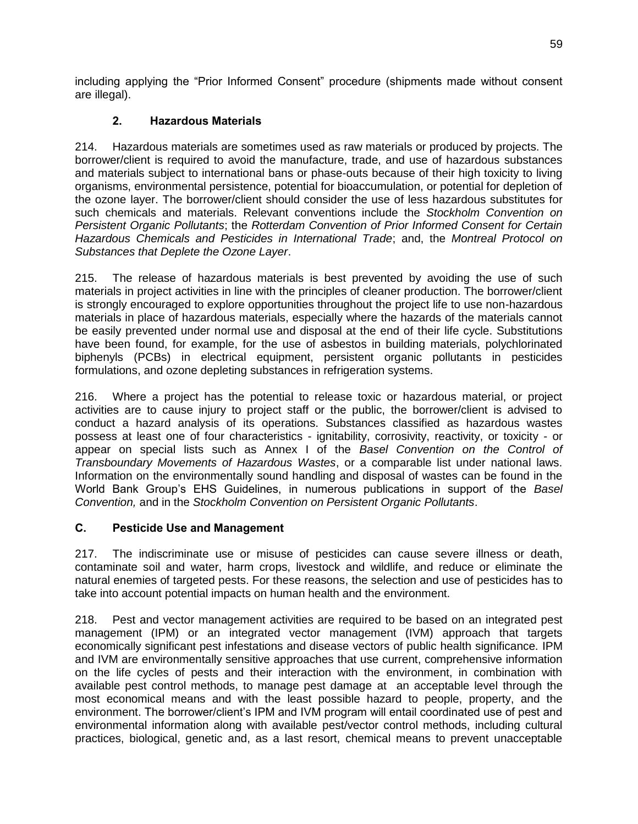including applying the "Prior Informed Consent" procedure (shipments made without consent are illegal).

## **2. Hazardous Materials**

214. Hazardous materials are sometimes used as raw materials or produced by projects. The borrower/client is required to avoid the manufacture, trade, and use of hazardous substances and materials subject to international bans or phase-outs because of their high toxicity to living organisms, environmental persistence, potential for bioaccumulation, or potential for depletion of the ozone layer. The borrower/client should consider the use of less hazardous substitutes for such chemicals and materials. Relevant conventions include the *Stockholm Convention on Persistent Organic Pollutants*; the *Rotterdam Convention of Prior Informed Consent for Certain Hazardous Chemicals and Pesticides in International Trade*; and, the *Montreal Protocol on Substances that Deplete the Ozone Layer*.

215. The release of hazardous materials is best prevented by avoiding the use of such materials in project activities in line with the principles of cleaner production. The borrower/client is strongly encouraged to explore opportunities throughout the project life to use non-hazardous materials in place of hazardous materials, especially where the hazards of the materials cannot be easily prevented under normal use and disposal at the end of their life cycle. Substitutions have been found, for example, for the use of asbestos in building materials, polychlorinated biphenyls (PCBs) in electrical equipment, persistent organic pollutants in pesticides formulations, and ozone depleting substances in refrigeration systems.

216. Where a project has the potential to release toxic or hazardous material, or project activities are to cause injury to project staff or the public, the borrower/client is advised to conduct a hazard analysis of its operations. Substances classified as hazardous wastes possess at least one of four characteristics - ignitability, corrosivity, reactivity, or toxicity - or appear on special lists such as Annex I of the *Basel Convention on the Control of Transboundary Movements of Hazardous Wastes*, or a comparable list under national laws. Information on the environmentally sound handling and disposal of wastes can be found in the World Bank Group's EHS Guidelines, in numerous publications in support of the *Basel Convention,* and in the *Stockholm Convention on Persistent Organic Pollutants*.

## **C. Pesticide Use and Management**

217. The indiscriminate use or misuse of pesticides can cause severe illness or death, contaminate soil and water, harm crops, livestock and wildlife, and reduce or eliminate the natural enemies of targeted pests. For these reasons, the selection and use of pesticides has to take into account potential impacts on human health and the environment.

218. Pest and vector management activities are required to be based on an integrated pest management (IPM) or an integrated vector management (IVM) approach that targets economically significant pest infestations and disease vectors of public health significance. IPM and IVM are environmentally sensitive approaches that use current, comprehensive information on the life cycles of pests and their interaction with the environment, in combination with available pest control methods, to manage pest damage at an acceptable level through the most economical means and with the least possible hazard to people, property, and the environment. The borrower/client's IPM and IVM program will entail coordinated use of pest and environmental information along with available pest/vector control methods, including cultural practices, biological, genetic and, as a last resort, chemical means to prevent unacceptable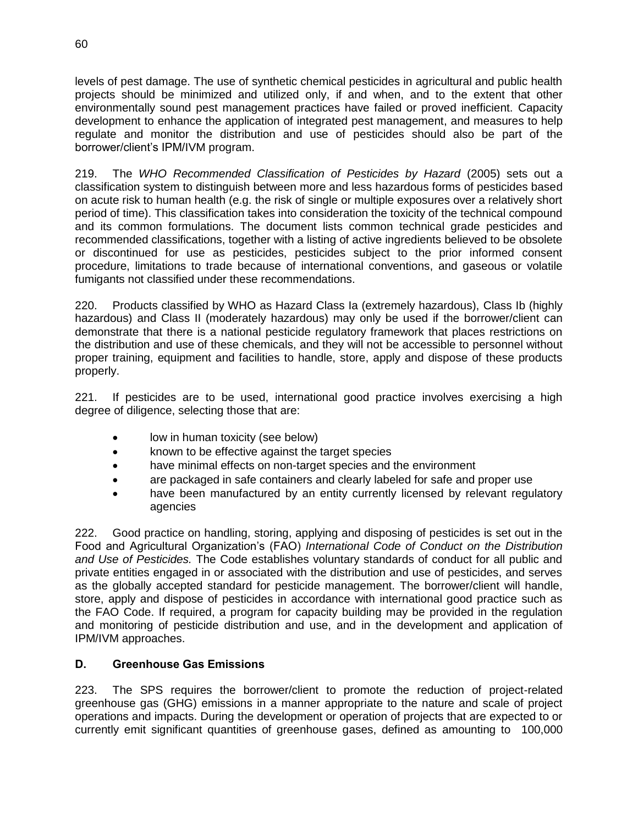levels of pest damage. The use of synthetic chemical pesticides in agricultural and public health projects should be minimized and utilized only, if and when, and to the extent that other environmentally sound pest management practices have failed or proved inefficient. Capacity development to enhance the application of integrated pest management, and measures to help regulate and monitor the distribution and use of pesticides should also be part of the borrower/client's IPM/IVM program.

219. The *WHO Recommended Classification of Pesticides by Hazard* (2005) sets out a classification system to distinguish between more and less hazardous forms of pesticides based on acute risk to human health (e.g. the risk of single or multiple exposures over a relatively short period of time). This classification takes into consideration the toxicity of the technical compound and its common formulations. The document lists common technical grade pesticides and recommended classifications, together with a listing of active ingredients believed to be obsolete or discontinued for use as pesticides, pesticides subject to the prior informed consent procedure, limitations to trade because of international conventions, and gaseous or volatile fumigants not classified under these recommendations.

220. Products classified by WHO as Hazard Class Ia (extremely hazardous), Class Ib (highly hazardous) and Class II (moderately hazardous) may only be used if the borrower/client can demonstrate that there is a national pesticide regulatory framework that places restrictions on the distribution and use of these chemicals, and they will not be accessible to personnel without proper training, equipment and facilities to handle, store, apply and dispose of these products properly.

221. If pesticides are to be used, international good practice involves exercising a high degree of diligence, selecting those that are:

- low in human toxicity (see below)
- known to be effective against the target species
- have minimal effects on non-target species and the environment
- are packaged in safe containers and clearly labeled for safe and proper use
- have been manufactured by an entity currently licensed by relevant regulatory agencies

222. Good practice on handling, storing, applying and disposing of pesticides is set out in the Food and Agricultural Organization's (FAO) *International Code of Conduct on the Distribution and Use of Pesticides.* The Code establishes voluntary standards of conduct for all public and private entities engaged in or associated with the distribution and use of pesticides, and serves as the globally accepted standard for pesticide management. The borrower/client will handle, store, apply and dispose of pesticides in accordance with international good practice such as the FAO Code. If required, a program for capacity building may be provided in the regulation and monitoring of pesticide distribution and use, and in the development and application of IPM/IVM approaches.

## **D. Greenhouse Gas Emissions**

223. The SPS requires the borrower/client to promote the reduction of project-related greenhouse gas (GHG) emissions in a manner appropriate to the nature and scale of project operations and impacts. During the development or operation of projects that are expected to or currently emit significant quantities of greenhouse gases, defined as amounting to 100,000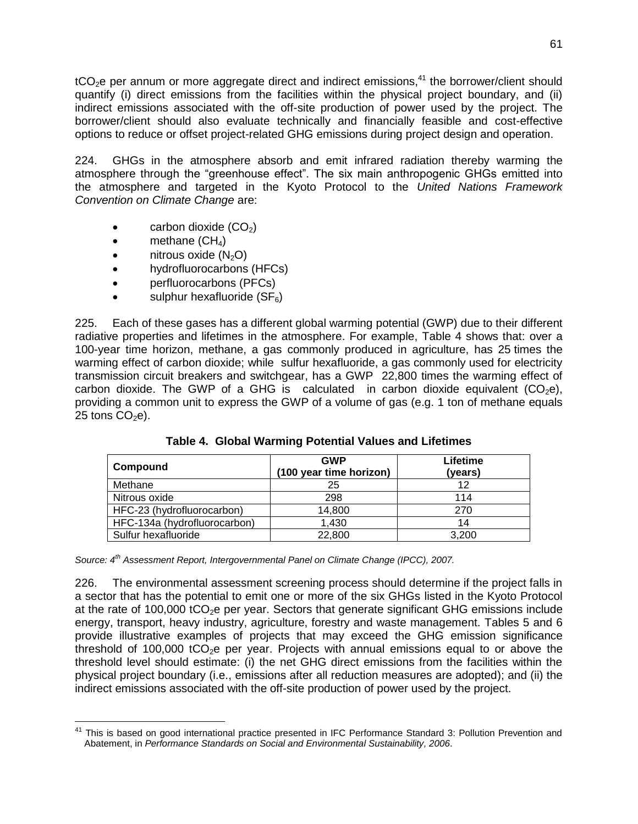tCO<sub>2</sub>e per annum or more aggregate direct and indirect emissions,<sup>41</sup> the borrower/client should quantify (i) direct emissions from the facilities within the physical project boundary, and (ii) indirect emissions associated with the off-site production of power used by the project. The borrower/client should also evaluate technically and financially feasible and cost-effective options to reduce or offset project-related GHG emissions during project design and operation.

224. GHGs in the atmosphere absorb and emit infrared radiation thereby warming the atmosphere through the "greenhouse effect". The six main anthropogenic GHGs emitted into the atmosphere and targeted in the Kyoto Protocol to the *United Nations Framework Convention on Climate Change* are:

- $\bullet$  carbon dioxide  $(CO<sub>2</sub>)$
- $\bullet$  methane (CH<sub>4</sub>)

 $\overline{a}$ 

- $\bullet$  nitrous oxide  $(N_2O)$
- hydrofluorocarbons (HFCs)
- perfluorocarbons (PFCs)
- sulphur hexafluoride  $(SF_6)$

225. Each of these gases has a different global warming potential (GWP) due to their different radiative properties and lifetimes in the atmosphere. For example, Table 4 shows that: over a 100-year time horizon, methane, a gas commonly produced in agriculture, has 25 times the warming effect of carbon dioxide; while sulfur hexafluoride, a gas commonly used for electricity transmission circuit breakers and switchgear, has a GWP 22,800 times the warming effect of carbon dioxide. The GWP of a GHG is calculated in carbon dioxide equivalent  $(CO<sub>2</sub>e)$ , providing a common unit to express the GWP of a volume of gas (e.g. 1 ton of methane equals 25 tons  $CO<sub>2</sub>e$ ).

| Compound                     | <b>GWP</b><br>(100 year time horizon) | Lifetime<br>(years) |
|------------------------------|---------------------------------------|---------------------|
| Methane                      | 25                                    | 12                  |
| Nitrous oxide                | 298                                   | 114                 |
| HFC-23 (hydrofluorocarbon)   | 14,800                                | 270                 |
| HFC-134a (hydrofluorocarbon) | 1,430                                 | 14                  |
| Sulfur hexafluoride          | 22,800                                | 3,200               |

**Table 4. Global Warming Potential Values and Lifetimes**

*Source: 4th Assessment Report, Intergovernmental Panel on Climate Change (IPCC), 2007.*

226. The environmental assessment screening process should determine if the project falls in a sector that has the potential to emit one or more of the six GHGs listed in the Kyoto Protocol at the rate of  $100,000$  tCO<sub>2</sub>e per year. Sectors that generate significant GHG emissions include energy, transport, heavy industry, agriculture, forestry and waste management. Tables 5 and 6 provide illustrative examples of projects that may exceed the GHG emission significance threshold of 100,000 tCO<sub>2</sub>e per year. Projects with annual emissions equal to or above the threshold level should estimate: (i) the net GHG direct emissions from the facilities within the physical project boundary (i.e., emissions after all reduction measures are adopted); and (ii) the indirect emissions associated with the off-site production of power used by the project.

<sup>&</sup>lt;sup>41</sup> This is based on good international practice presented in IFC Performance Standard 3: Pollution Prevention and Abatement, in *Performance Standards on Social and Environmental Sustainability, 2006*.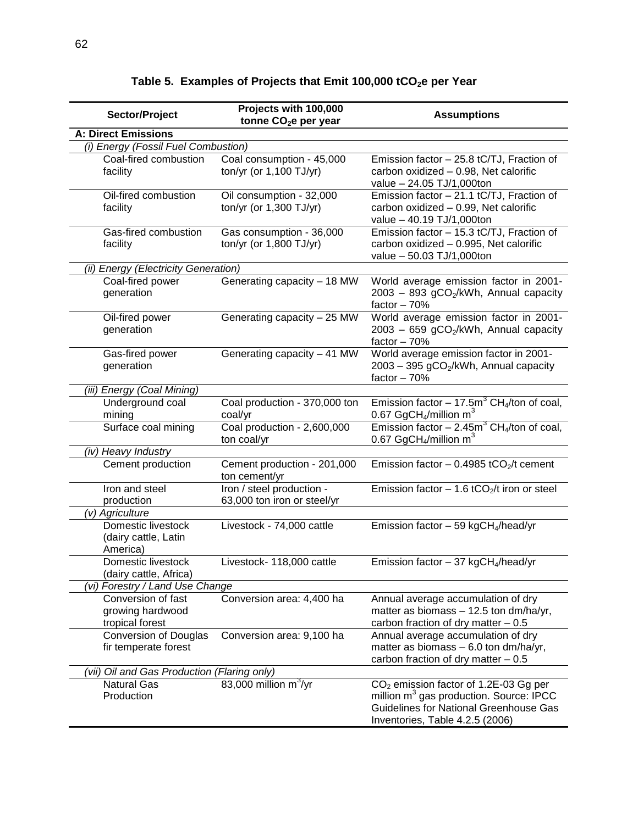| Sector/Project                                            | Projects with 100,000<br>tonne CO <sub>2</sub> e per year | <b>Assumptions</b>                                                                                                                                                                    |  |
|-----------------------------------------------------------|-----------------------------------------------------------|---------------------------------------------------------------------------------------------------------------------------------------------------------------------------------------|--|
| <b>A: Direct Emissions</b>                                |                                                           |                                                                                                                                                                                       |  |
| (i) Energy (Fossil Fuel Combustion)                       |                                                           |                                                                                                                                                                                       |  |
| Coal-fired combustion<br>facility                         | Coal consumption - 45,000<br>ton/yr (or 1,100 TJ/yr)      | Emission factor - 25.8 tC/TJ, Fraction of<br>carbon oxidized - 0.98, Net calorific<br>value - 24.05 TJ/1,000ton                                                                       |  |
| Oil-fired combustion<br>facility                          | Oil consumption - 32,000<br>ton/yr (or 1,300 TJ/yr)       | Emission factor - 21.1 tC/TJ, Fraction of<br>carbon oxidized - 0.99, Net calorific<br>value - 40.19 TJ/1,000ton                                                                       |  |
| Gas-fired combustion<br>facility                          | Gas consumption - 36,000<br>ton/yr (or 1,800 TJ/yr)       | Emission factor - 15.3 tC/TJ, Fraction of<br>carbon oxidized - 0.995, Net calorific<br>value - 50.03 TJ/1,000ton                                                                      |  |
| (ii) Energy (Electricity Generation)                      |                                                           |                                                                                                                                                                                       |  |
| Coal-fired power<br>generation                            | Generating capacity - 18 MW                               | World average emission factor in 2001-<br>2003 - 893 gCO <sub>2</sub> /kWh, Annual capacity<br>factor $-70%$                                                                          |  |
| Oil-fired power<br>generation                             | Generating capacity - 25 MW                               | World average emission factor in 2001-<br>2003 - 659 gCO <sub>2</sub> /kWh, Annual capacity<br>factor $-70%$                                                                          |  |
| Gas-fired power<br>generation                             | Generating capacity - 41 MW                               | World average emission factor in 2001-<br>2003 - 395 gCO <sub>2</sub> /kWh, Annual capacity<br>factor $-70%$                                                                          |  |
| (iii) Energy (Coal Mining)                                |                                                           |                                                                                                                                                                                       |  |
| Underground coal<br>mining                                | Coal production - 370,000 ton<br>coal/yr                  | Emission factor – 17.5m <sup>3</sup> CH <sub>4</sub> /ton of coal,<br>0.67 GgCH <sub>4</sub> /million m <sup>3</sup>                                                                  |  |
| Surface coal mining                                       | Coal production - 2,600,000<br>ton coal/yr                | Emission factor – 2.45m <sup>3</sup> CH <sub>4</sub> /ton of coal,<br>0.67 GgCH <sub>4</sub> /million m <sup>3</sup>                                                                  |  |
| (iv) Heavy Industry                                       |                                                           |                                                                                                                                                                                       |  |
| Cement production                                         | Cement production - 201,000<br>ton cement/yr              | Emission factor - 0.4985 tCO <sub>2</sub> /t cement                                                                                                                                   |  |
| Iron and steel<br>production                              | Iron / steel production -<br>63,000 ton iron or steel/yr  | Emission factor $-1.6$ tCO <sub>2</sub> /t iron or steel                                                                                                                              |  |
| (v) Agriculture                                           |                                                           |                                                                                                                                                                                       |  |
| Domestic livestock<br>(dairy cattle, Latin<br>America)    | Livestock - 74,000 cattle                                 | Emission factor $-59$ kgCH <sub>4</sub> /head/yr                                                                                                                                      |  |
| Domestic livestock<br>(dairy cattle, Africa)              | Livestock- 118,000 cattle                                 | Emission factor $-37$ kgCH <sub>4</sub> /head/yr                                                                                                                                      |  |
| (vi) Forestry / Land Use Change                           |                                                           |                                                                                                                                                                                       |  |
| Conversion of fast<br>growing hardwood<br>tropical forest | Conversion area: 4,400 ha                                 | Annual average accumulation of dry<br>matter as biomass - 12.5 ton dm/ha/yr,<br>carbon fraction of dry matter $-0.5$                                                                  |  |
| <b>Conversion of Douglas</b><br>fir temperate forest      | Conversion area: 9,100 ha                                 | Annual average accumulation of dry<br>matter as biomass $-6.0$ ton dm/ha/yr,<br>carbon fraction of dry matter $-0.5$                                                                  |  |
|                                                           | (vii) Oil and Gas Production (Flaring only)               |                                                                                                                                                                                       |  |
| <b>Natural Gas</b><br>Production                          | 83,000 million $m^3/yr$                                   | CO <sub>2</sub> emission factor of 1.2E-03 Gg per<br>million m <sup>3</sup> gas production. Source: IPCC<br>Guidelines for National Greenhouse Gas<br>Inventories, Table 4.2.5 (2006) |  |

# **Table 5. Examples of Projects that Emit 100,000 tCO2e per Year**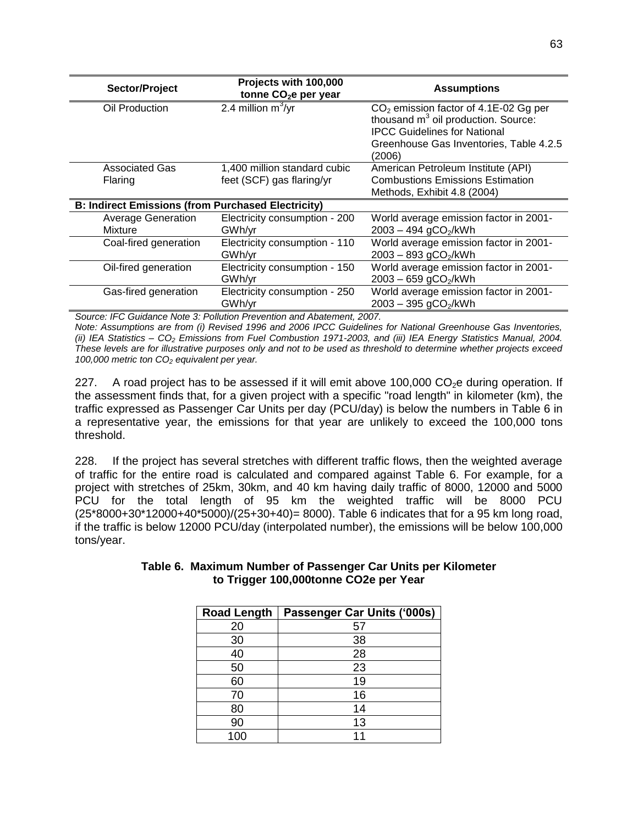| Sector/Project                                            | Projects with 100,000<br>tonne CO <sub>2</sub> e per year | <b>Assumptions</b>                                                               |
|-----------------------------------------------------------|-----------------------------------------------------------|----------------------------------------------------------------------------------|
| Oil Production                                            | 2.4 million $m^3$ /yr                                     | $CO2$ emission factor of 4.1E-02 Gg per<br>thousand $m3$ oil production. Source: |
|                                                           |                                                           | <b>IPCC Guidelines for National</b>                                              |
|                                                           |                                                           | Greenhouse Gas Inventories, Table 4.2.5<br>(2006)                                |
| <b>Associated Gas</b>                                     | 1,400 million standard cubic                              | American Petroleum Institute (API)                                               |
| Flaring                                                   | feet (SCF) gas flaring/yr                                 | <b>Combustions Emissions Estimation</b>                                          |
|                                                           |                                                           | Methods, Exhibit 4.8 (2004)                                                      |
| <b>B: Indirect Emissions (from Purchased Electricity)</b> |                                                           |                                                                                  |
| <b>Average Generation</b>                                 | Electricity consumption - 200                             | World average emission factor in 2001-                                           |
| Mixture                                                   | GWh/yr                                                    | $2003 - 494$ gCO <sub>2</sub> /kWh                                               |
| Coal-fired generation                                     | Electricity consumption - 110                             | World average emission factor in 2001-                                           |
|                                                           | GWh/yr                                                    | $2003 - 893$ gCO <sub>2</sub> /kWh                                               |
| Oil-fired generation                                      | Electricity consumption - 150                             | World average emission factor in 2001-                                           |
|                                                           | GWh/yr                                                    | 2003 - 659 gCO <sub>2</sub> /kWh                                                 |
| Gas-fired generation                                      | Electricity consumption - 250                             | World average emission factor in 2001-                                           |
|                                                           | GWh/yr                                                    | $2003 - 395$ gCO <sub>2</sub> /kWh                                               |

*Source: IFC Guidance Note 3: Pollution Prevention and Abatement, 2007. Note: Assumptions are from (i) Revised 1996 and 2006 IPCC Guidelines for National Greenhouse Gas Inventories, (ii) IEA Statistics – CO<sup>2</sup> Emissions from Fuel Combustion 1971-2003, and (iii) IEA Energy Statistics Manual, 2004. These levels are for illustrative purposes only and not to be used as threshold to determine whether projects exceed 100,000 metric ton CO<sup>2</sup> equivalent per year.*

227. A road project has to be assessed if it will emit above 100,000 CO<sub>2</sub>e during operation. If the assessment finds that, for a given project with a specific "road length" in kilometer (km), the traffic expressed as Passenger Car Units per day (PCU/day) is below the numbers in Table 6 in a representative year, the emissions for that year are unlikely to exceed the 100,000 tons threshold.

228. If the project has several stretches with different traffic flows, then the weighted average of traffic for the entire road is calculated and compared against Table 6. For example, for a project with stretches of 25km, 30km, and 40 km having daily traffic of 8000, 12000 and 5000 PCU for the total length of 95 km the weighted traffic will be 8000 PCU (25\*8000+30\*12000+40\*5000)/(25+30+40)= 8000). Table 6 indicates that for a 95 km long road, if the traffic is below 12000 PCU/day (interpolated number), the emissions will be below 100,000 tons/year.

| <b>Road Length</b> | Passenger Car Units ('000s) |
|--------------------|-----------------------------|
| 20                 | 57                          |
| 30                 | 38                          |
| 40                 | 28                          |
| 50                 | 23                          |
| 60                 | 19                          |
| 70                 | 16                          |
| 80                 | 14                          |
| 90                 | 13                          |
| 100                |                             |

#### **Table 6. Maximum Number of Passenger Car Units per Kilometer to Trigger 100,000tonne CO2e per Year**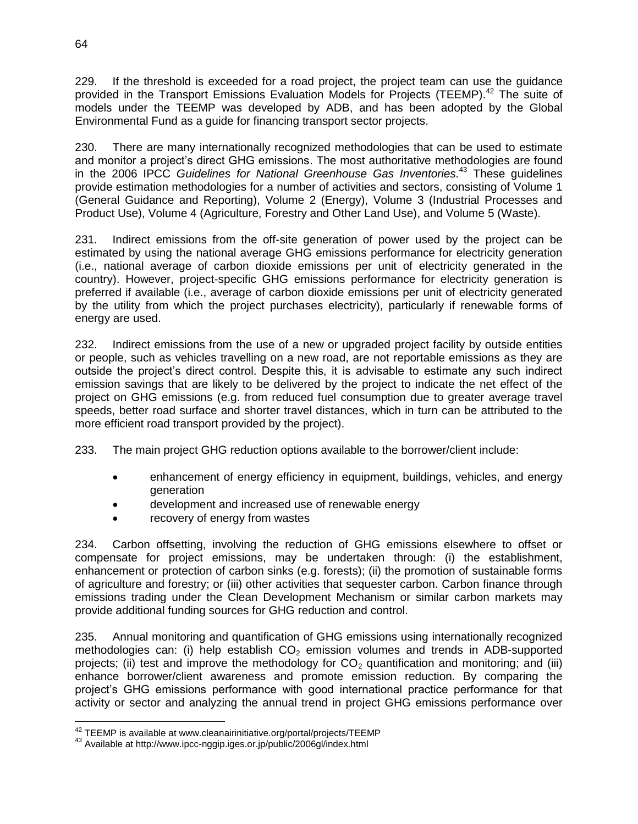229. If the threshold is exceeded for a road project, the project team can use the guidance provided in the Transport Emissions Evaluation Models for Projects (TEEMP).<sup>42</sup> The suite of models under the TEEMP was developed by ADB, and has been adopted by the Global Environmental Fund as a guide for financing transport sector projects.

230. There are many internationally recognized methodologies that can be used to estimate and monitor a project's direct GHG emissions. The most authoritative methodologies are found in the 2006 IPCC *Guidelines for National Greenhouse Gas Inventories.* <sup>43</sup> These guidelines provide estimation methodologies for a number of activities and sectors, consisting of Volume 1 (General Guidance and Reporting), Volume 2 (Energy), Volume 3 (Industrial Processes and Product Use), Volume 4 (Agriculture, Forestry and Other Land Use), and Volume 5 (Waste).

231. Indirect emissions from the off-site generation of power used by the project can be estimated by using the national average GHG emissions performance for electricity generation (i.e., national average of carbon dioxide emissions per unit of electricity generated in the country). However, project-specific GHG emissions performance for electricity generation is preferred if available (i.e., average of carbon dioxide emissions per unit of electricity generated by the utility from which the project purchases electricity), particularly if renewable forms of energy are used.

232. Indirect emissions from the use of a new or upgraded project facility by outside entities or people, such as vehicles travelling on a new road, are not reportable emissions as they are outside the project's direct control. Despite this, it is advisable to estimate any such indirect emission savings that are likely to be delivered by the project to indicate the net effect of the project on GHG emissions (e.g. from reduced fuel consumption due to greater average travel speeds, better road surface and shorter travel distances, which in turn can be attributed to the more efficient road transport provided by the project).

233. The main project GHG reduction options available to the borrower/client include:

- enhancement of energy efficiency in equipment, buildings, vehicles, and energy generation
- development and increased use of renewable energy
- recovery of energy from wastes

234. Carbon offsetting, involving the reduction of GHG emissions elsewhere to offset or compensate for project emissions, may be undertaken through: (i) the establishment, enhancement or protection of carbon sinks (e.g. forests); (ii) the promotion of sustainable forms of agriculture and forestry; or (iii) other activities that sequester carbon. Carbon finance through emissions trading under the Clean Development Mechanism or similar carbon markets may provide additional funding sources for GHG reduction and control.

235. Annual monitoring and quantification of GHG emissions using internationally recognized methodologies can: (i) help establish  $CO<sub>2</sub>$  emission volumes and trends in ADB-supported projects; (ii) test and improve the methodology for  $CO<sub>2</sub>$  quantification and monitoring; and (iii) enhance borrower/client awareness and promote emission reduction. By comparing the project's GHG emissions performance with good international practice performance for that activity or sector and analyzing the annual trend in project GHG emissions performance over

 $\overline{a}$ 

 $^{42}$  TEEMP is available at www.cleanairinitiative.org/portal/projects/TEEMP

<sup>43</sup> Available at http://www.ipcc-nggip.iges.or.jp/public/2006gl/index.html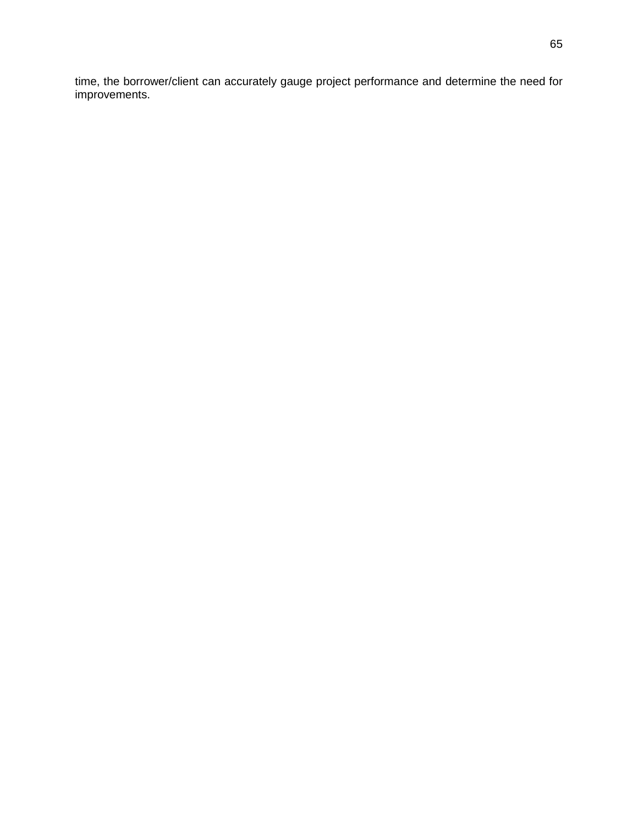time, the borrower/client can accurately gauge project performance and determine the need for improvements.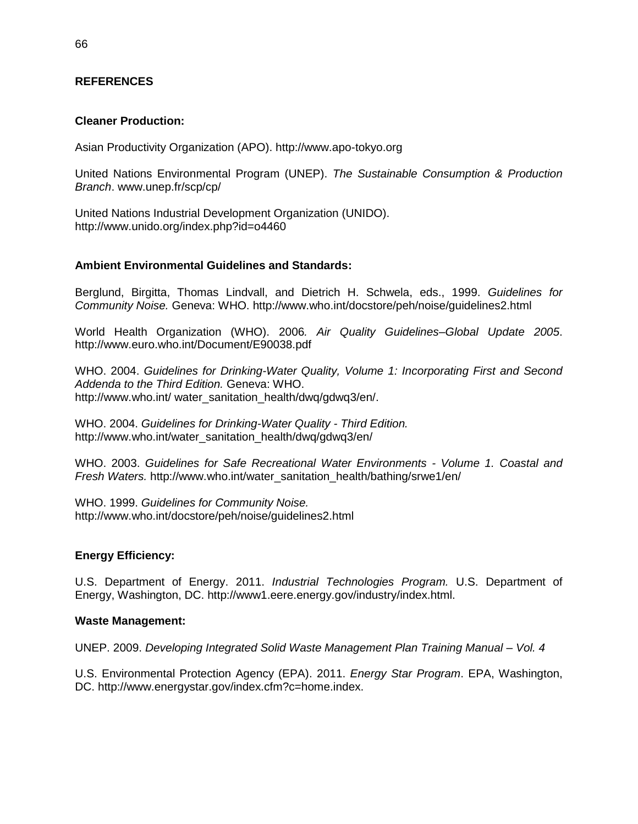### **REFERENCES**

#### **Cleaner Production:**

Asian Productivity Organization (APO). http://www.apo-tokyo.org

United Nations Environmental Program (UNEP). *The Sustainable Consumption & Production Branch*. www.unep.fr/scp/cp/

United Nations Industrial Development Organization (UNIDO). http://www.unido.org/index.php?id=o4460

#### **Ambient Environmental Guidelines and Standards:**

Berglund, Birgitta, Thomas Lindvall, and Dietrich H. Schwela, eds., 1999. *Guidelines for Community Noise.* Geneva: WHO. http://www.who.int/docstore/peh/noise/guidelines2.html

World Health Organization (WHO). 2006*. Air Quality Guidelines–Global Update 2005*. http://www.euro.who.int/Document/E90038.pdf

WHO. 2004. *Guidelines for Drinking-Water Quality, Volume 1: Incorporating First and Second Addenda to the Third Edition.* Geneva: WHO. http://www.who.int/ water\_sanitation\_health/dwq/gdwq3/en/.

WHO. 2004. *Guidelines for Drinking-Water Quality - Third Edition.* http://www.who.int/water\_sanitation\_health/dwq/gdwq3/en/

WHO. 2003. *Guidelines for Safe Recreational Water Environments - Volume 1. Coastal and Fresh Waters.* http://www.who.int/water\_sanitation\_health/bathing/srwe1/en/

WHO. 1999. *Guidelines for Community Noise.* http://www.who.int/docstore/peh/noise/guidelines2.html

#### **Energy Efficiency:**

U.S. Department of Energy. 2011. *Industrial Technologies Program.* U.S. Department of Energy, Washington, DC. http://www1.eere.energy.gov/industry/index.html.

#### **Waste Management:**

UNEP. 2009. *Developing Integrated Solid Waste Management Plan Training Manual – Vol. 4* 

U.S. Environmental Protection Agency (EPA). 2011. *Energy Star Program*. EPA, Washington, DC. http://www.energystar.gov/index.cfm?c=home.index.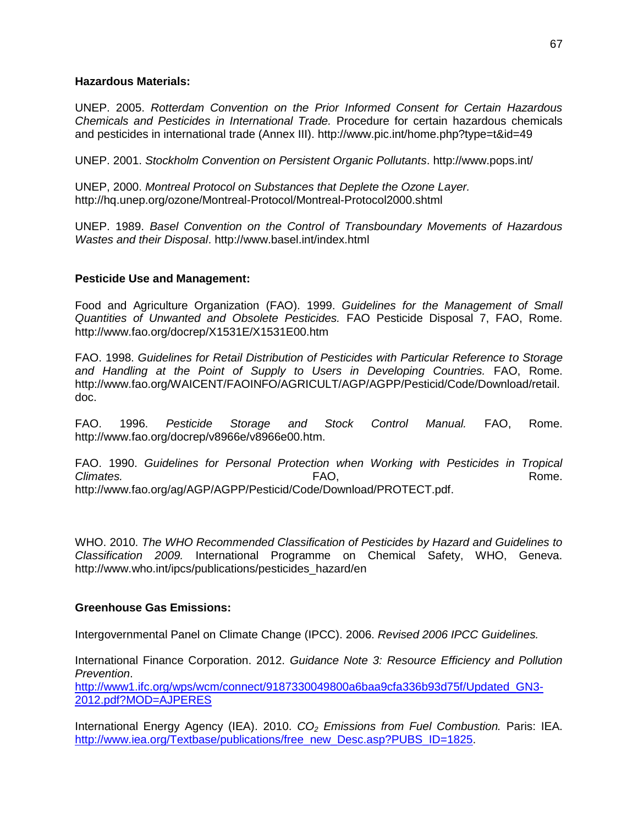#### **Hazardous Materials:**

UNEP. 2005. *Rotterdam Convention on the Prior Informed Consent for Certain Hazardous Chemicals and Pesticides in International Trade.* Procedure for certain hazardous chemicals and pesticides in international trade (Annex III). http://www.pic.int/home.php?type=t&id=49

UNEP. 2001. *Stockholm Convention on Persistent Organic Pollutants*. http://www.pops.int/

UNEP, 2000. *Montreal Protocol on Substances that Deplete the Ozone Layer.* http://hq.unep.org/ozone/Montreal-Protocol/Montreal-Protocol2000.shtml

UNEP. 1989. *Basel Convention on the Control of Transboundary Movements of Hazardous Wastes and their Disposal*. http://www.basel.int/index.html

# **Pesticide Use and Management:**

Food and Agriculture Organization (FAO). 1999. *Guidelines for the Management of Small Quantities of Unwanted and Obsolete Pesticides.* FAO Pesticide Disposal 7, FAO, Rome. http://www.fao.org/docrep/X1531E/X1531E00.htm

FAO. 1998. *Guidelines for Retail Distribution of Pesticides with Particular Reference to Storage and Handling at the Point of Supply to Users in Developing Countries.* FAO, Rome. http://www.fao.org/WAICENT/FAOINFO/AGRICULT/AGP/AGPP/Pesticid/Code/Download/retail. doc.

FAO. 1996. *Pesticide Storage and Stock Control Manual.* FAO, Rome. http://www.fao.org/docrep/v8966e/v8966e00.htm.

FAO. 1990. *Guidelines for Personal Protection when Working with Pesticides in Tropical Climates.* Rome. **FAO,** Rome. Rome. http://www.fao.org/ag/AGP/AGPP/Pesticid/Code/Download/PROTECT.pdf.

WHO. 2010. *The WHO Recommended Classification of Pesticides by Hazard and Guidelines to Classification 2009.* International Programme on Chemical Safety, WHO, Geneva. http://www.who.int/ipcs/publications/pesticides\_hazard/en

# **Greenhouse Gas Emissions:**

Intergovernmental Panel on Climate Change (IPCC). 2006. *Revised 2006 IPCC Guidelines.*

International Finance Corporation. 2012. *Guidance Note 3: Resource Efficiency and Pollution Prevention*.

[http://www1.ifc.org/wps/wcm/connect/9187330049800a6baa9cfa336b93d75f/Updated\\_GN3-](http://www1.ifc.org/wps/wcm/connect/9187330049800a6baa9cfa336b93d75f/Updated_GN3-2012.pdf?MOD=AJPERES) [2012.pdf?MOD=AJPERES](http://www1.ifc.org/wps/wcm/connect/9187330049800a6baa9cfa336b93d75f/Updated_GN3-2012.pdf?MOD=AJPERES)

International Energy Agency (IEA). 2010. *CO<sup>2</sup> Emissions from Fuel Combustion.* Paris: IEA. [http://www.iea.org/Textbase/publications/free\\_new\\_Desc.asp?PUBS\\_ID=1825.](http://www.iea.org/Textbase/publications/free_new_Desc.asp?PUBS_ID=1825)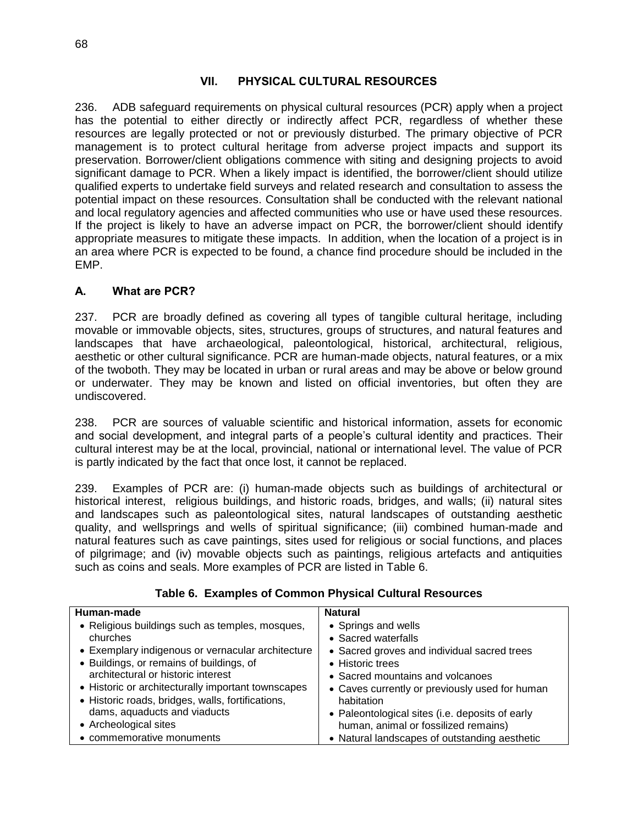## **VII. PHYSICAL CULTURAL RESOURCES**

236. ADB safeguard requirements on physical cultural resources (PCR) apply when a project has the potential to either directly or indirectly affect PCR, regardless of whether these resources are legally protected or not or previously disturbed. The primary objective of PCR management is to protect cultural heritage from adverse project impacts and support its preservation. Borrower/client obligations commence with siting and designing projects to avoid significant damage to PCR. When a likely impact is identified, the borrower/client should utilize qualified experts to undertake field surveys and related research and consultation to assess the potential impact on these resources. Consultation shall be conducted with the relevant national and local regulatory agencies and affected communities who use or have used these resources. If the project is likely to have an adverse impact on PCR, the borrower/client should identify appropriate measures to mitigate these impacts. In addition, when the location of a project is in an area where PCR is expected to be found, a chance find procedure should be included in the EMP.

### **A. What are PCR?**

237. PCR are broadly defined as covering all types of tangible cultural heritage, including movable or immovable objects, sites, structures, groups of structures, and natural features and landscapes that have archaeological, paleontological, historical, architectural, religious, aesthetic or other cultural significance. PCR are human-made objects, natural features, or a mix of the twoboth. They may be located in urban or rural areas and may be above or below ground or underwater. They may be known and listed on official inventories, but often they are undiscovered.

238. PCR are sources of valuable scientific and historical information, assets for economic and social development, and integral parts of a people's cultural identity and practices. Their cultural interest may be at the local, provincial, national or international level. The value of PCR is partly indicated by the fact that once lost, it cannot be replaced.

239. Examples of PCR are: (i) human-made objects such as buildings of architectural or historical interest, religious buildings, and historic roads, bridges, and walls; (ii) natural sites and landscapes such as paleontological sites, natural landscapes of outstanding aesthetic quality, and wellsprings and wells of spiritual significance; (iii) combined human-made and natural features such as cave paintings, sites used for religious or social functions, and places of pilgrimage; and (iv) movable objects such as paintings, religious artefacts and antiquities such as coins and seals. More examples of PCR are listed in Table 6.

| Human-made                                         | <b>Natural</b>                                  |
|----------------------------------------------------|-------------------------------------------------|
|                                                    |                                                 |
| • Religious buildings such as temples, mosques,    | • Springs and wells                             |
| churches                                           | • Sacred waterfalls                             |
| • Exemplary indigenous or vernacular architecture  | • Sacred groves and individual sacred trees     |
| • Buildings, or remains of buildings, of           | • Historic trees                                |
| architectural or historic interest                 | • Sacred mountains and volcanoes                |
| • Historic or architecturally important townscapes | • Caves currently or previously used for human  |
| • Historic roads, bridges, walls, fortifications,  | habitation                                      |
| dams, aquaducts and viaducts                       | • Paleontological sites (i.e. deposits of early |
| • Archeological sites                              | human, animal or fossilized remains)            |
| • commemorative monuments                          | • Natural landscapes of outstanding aesthetic   |

**Table 6. Examples of Common Physical Cultural Resources**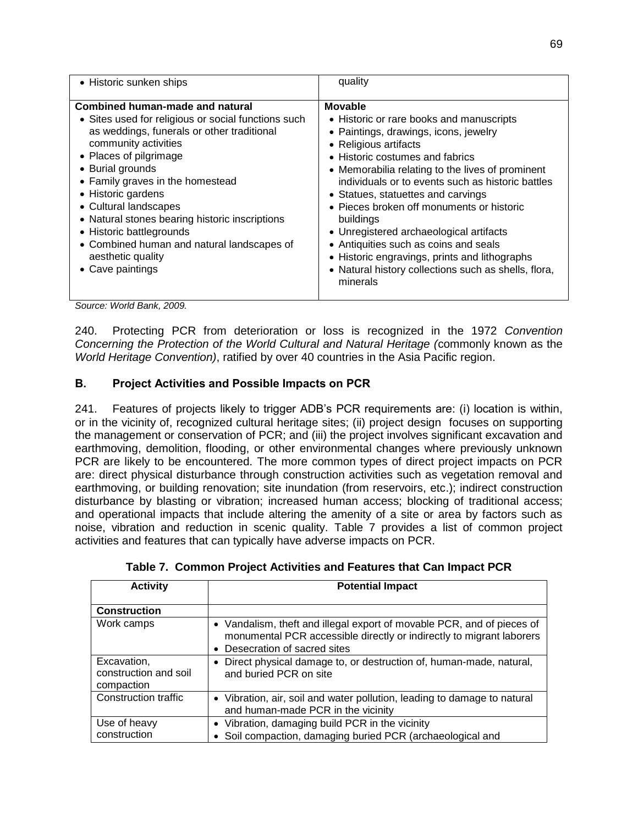| • Historic sunken ships                                                                                                                                                                                                                                                                                                                                                                                                                                                                                                                                                                                                                                                                                                                                                                                                                                                                                            | quality                                                                                                                                                                                                                                                                                                                                                                                                                                                                                                                                                                           |
|--------------------------------------------------------------------------------------------------------------------------------------------------------------------------------------------------------------------------------------------------------------------------------------------------------------------------------------------------------------------------------------------------------------------------------------------------------------------------------------------------------------------------------------------------------------------------------------------------------------------------------------------------------------------------------------------------------------------------------------------------------------------------------------------------------------------------------------------------------------------------------------------------------------------|-----------------------------------------------------------------------------------------------------------------------------------------------------------------------------------------------------------------------------------------------------------------------------------------------------------------------------------------------------------------------------------------------------------------------------------------------------------------------------------------------------------------------------------------------------------------------------------|
| Combined human-made and natural<br>• Sites used for religious or social functions such<br>as weddings, funerals or other traditional<br>community activities<br>• Places of pilgrimage<br>• Burial grounds<br>• Family graves in the homestead<br>• Historic gardens<br>• Cultural landscapes<br>• Natural stones bearing historic inscriptions<br>• Historic battlegrounds<br>• Combined human and natural landscapes of<br>aesthetic quality<br>• Cave paintings<br>$\left  \right $ $\left  \right $ $\left  \right $ $\left  \right $ $\left  \right $ $\left  \right $ $\left  \right $ $\left  \right $ $\left  \right $ $\left  \right $ $\left  \right $ $\left  \right $ $\left  \right $ $\left  \right $ $\left  \right $ $\left  \right $ $\left  \right $ $\left  \right $ $\left  \right $ $\left  \right $ $\left  \right $ $\left  \right $ $\left  \right $ $\left  \right $ $\left  \$<br>$\sim$ | <b>Movable</b><br>• Historic or rare books and manuscripts<br>• Paintings, drawings, icons, jewelry<br>• Religious artifacts<br>• Historic costumes and fabrics<br>• Memorabilia relating to the lives of prominent<br>individuals or to events such as historic battles<br>• Statues, statuettes and carvings<br>• Pieces broken off monuments or historic<br>buildings<br>• Unregistered archaeological artifacts<br>• Antiquities such as coins and seals<br>• Historic engravings, prints and lithographs<br>• Natural history collections such as shells, flora,<br>minerals |

*Source: World Bank, 2009.*

240. Protecting PCR from deterioration or loss is recognized in the 1972 *Convention Concerning the Protection of the World Cultural and Natural Heritage (*commonly known as the *World Heritage Convention)*, ratified by over 40 countries in the Asia Pacific region.

### **B. Project Activities and Possible Impacts on PCR**

241. Features of projects likely to trigger ADB's PCR requirements are: (i) location is within, or in the vicinity of, recognized cultural heritage sites; (ii) project design focuses on supporting the management or conservation of PCR; and (iii) the project involves significant excavation and earthmoving, demolition, flooding, or other environmental changes where previously unknown PCR are likely to be encountered. The more common types of direct project impacts on PCR are: direct physical disturbance through construction activities such as vegetation removal and earthmoving, or building renovation; site inundation (from reservoirs, etc.); indirect construction disturbance by blasting or vibration; increased human access; blocking of traditional access; and operational impacts that include altering the amenity of a site or area by factors such as noise, vibration and reduction in scenic quality. Table 7 provides a list of common project activities and features that can typically have adverse impacts on PCR.

| <b>Activity</b>                                    | <b>Potential Impact</b>                                                                                                                                                         |
|----------------------------------------------------|---------------------------------------------------------------------------------------------------------------------------------------------------------------------------------|
| <b>Construction</b>                                |                                                                                                                                                                                 |
| Work camps                                         | • Vandalism, theft and illegal export of movable PCR, and of pieces of<br>monumental PCR accessible directly or indirectly to migrant laborers<br>• Desecration of sacred sites |
| Excavation,<br>construction and soil<br>compaction | • Direct physical damage to, or destruction of, human-made, natural,<br>and buried PCR on site                                                                                  |
| <b>Construction traffic</b>                        | • Vibration, air, soil and water pollution, leading to damage to natural<br>and human-made PCR in the vicinity                                                                  |
| Use of heavy<br>construction                       | • Vibration, damaging build PCR in the vicinity<br>• Soil compaction, damaging buried PCR (archaeological and                                                                   |

|  |  | Table 7. Common Project Activities and Features that Can Impact PCR |
|--|--|---------------------------------------------------------------------|
|  |  |                                                                     |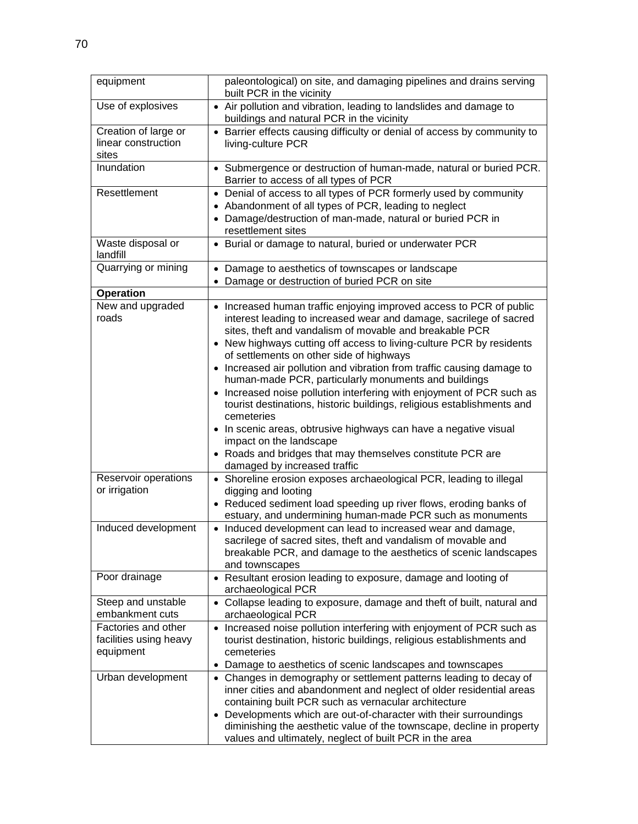| equipment                                            | paleontological) on site, and damaging pipelines and drains serving<br>built PCR in the vicinity                                                                                                                    |
|------------------------------------------------------|---------------------------------------------------------------------------------------------------------------------------------------------------------------------------------------------------------------------|
| Use of explosives                                    | • Air pollution and vibration, leading to landslides and damage to<br>buildings and natural PCR in the vicinity                                                                                                     |
| Creation of large or<br>linear construction<br>sites | • Barrier effects causing difficulty or denial of access by community to<br>living-culture PCR                                                                                                                      |
| Inundation                                           | • Submergence or destruction of human-made, natural or buried PCR.<br>Barrier to access of all types of PCR                                                                                                         |
| Resettlement                                         | • Denial of access to all types of PCR formerly used by community<br>• Abandonment of all types of PCR, leading to neglect<br>• Damage/destruction of man-made, natural or buried PCR in<br>resettlement sites      |
| Waste disposal or<br>landfill                        | • Burial or damage to natural, buried or underwater PCR                                                                                                                                                             |
| Quarrying or mining                                  | • Damage to aesthetics of townscapes or landscape<br>• Damage or destruction of buried PCR on site                                                                                                                  |
| <b>Operation</b>                                     |                                                                                                                                                                                                                     |
| New and upgraded<br>roads                            | • Increased human traffic enjoying improved access to PCR of public<br>interest leading to increased wear and damage, sacrilege of sacred<br>sites, theft and vandalism of movable and breakable PCR                |
|                                                      | • New highways cutting off access to living-culture PCR by residents<br>of settlements on other side of highways                                                                                                    |
|                                                      | • Increased air pollution and vibration from traffic causing damage to<br>human-made PCR, particularly monuments and buildings                                                                                      |
|                                                      | • Increased noise pollution interfering with enjoyment of PCR such as<br>tourist destinations, historic buildings, religious establishments and<br>cemeteries                                                       |
|                                                      | • In scenic areas, obtrusive highways can have a negative visual<br>impact on the landscape                                                                                                                         |
|                                                      | • Roads and bridges that may themselves constitute PCR are<br>damaged by increased traffic                                                                                                                          |
| Reservoir operations<br>or irrigation                | • Shoreline erosion exposes archaeological PCR, leading to illegal<br>digging and looting                                                                                                                           |
|                                                      | • Reduced sediment load speeding up river flows, eroding banks of<br>estuary, and undermining human-made PCR such as monuments                                                                                      |
| Induced development                                  | • Induced development can lead to increased wear and damage,<br>sacrilege of sacred sites, theft and vandalism of movable and<br>breakable PCR, and damage to the aesthetics of scenic landscapes<br>and townscapes |
| Poor drainage                                        | • Resultant erosion leading to exposure, damage and looting of<br>archaeological PCR                                                                                                                                |
| Steep and unstable<br>embankment cuts                | • Collapse leading to exposure, damage and theft of built, natural and<br>archaeological PCR                                                                                                                        |
| Factories and other                                  | • Increased noise pollution interfering with enjoyment of PCR such as                                                                                                                                               |
| facilities using heavy<br>equipment                  | tourist destination, historic buildings, religious establishments and<br>cemeteries                                                                                                                                 |
|                                                      | Damage to aesthetics of scenic landscapes and townscapes<br>$\bullet$                                                                                                                                               |
| Urban development                                    | • Changes in demography or settlement patterns leading to decay of<br>inner cities and abandonment and neglect of older residential areas<br>containing built PCR such as vernacular architecture                   |
|                                                      | • Developments which are out-of-character with their surroundings<br>diminishing the aesthetic value of the townscape, decline in property<br>values and ultimately, neglect of built PCR in the area               |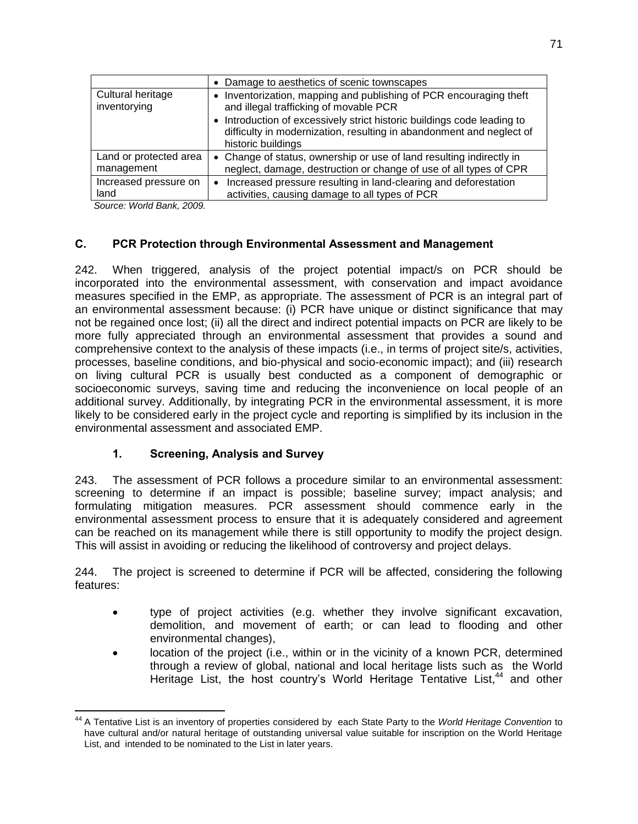|                                      | • Damage to aesthetics of scenic townscapes                                                                                                                           |
|--------------------------------------|-----------------------------------------------------------------------------------------------------------------------------------------------------------------------|
| Cultural heritage<br>inventorying    | • Inventorization, mapping and publishing of PCR encouraging theft<br>and illegal trafficking of movable PCR                                                          |
|                                      | • Introduction of excessively strict historic buildings code leading to<br>difficulty in modernization, resulting in abandonment and neglect of<br>historic buildings |
| Land or protected area<br>management | • Change of status, ownership or use of land resulting indirectly in<br>neglect, damage, destruction or change of use of all types of CPR                             |
| Increased pressure on<br>land        | Increased pressure resulting in land-clearing and deforestation<br>$\bullet$<br>activities, causing damage to all types of PCR                                        |

*Source: World Bank, 2009.*

# **C. PCR Protection through Environmental Assessment and Management**

242. When triggered, analysis of the project potential impact/s on PCR should be incorporated into the environmental assessment, with conservation and impact avoidance measures specified in the EMP, as appropriate. The assessment of PCR is an integral part of an environmental assessment because: (i) PCR have unique or distinct significance that may not be regained once lost; (ii) all the direct and indirect potential impacts on PCR are likely to be more fully appreciated through an environmental assessment that provides a sound and comprehensive context to the analysis of these impacts (i.e., in terms of project site/s, activities, processes, baseline conditions, and bio-physical and socio-economic impact); and (iii) research on living cultural PCR is usually best conducted as a component of demographic or socioeconomic surveys, saving time and reducing the inconvenience on local people of an additional survey. Additionally, by integrating PCR in the environmental assessment, it is more likely to be considered early in the project cycle and reporting is simplified by its inclusion in the environmental assessment and associated EMP.

# **1. Screening, Analysis and Survey**

243. The assessment of PCR follows a procedure similar to an environmental assessment: screening to determine if an impact is possible; baseline survey; impact analysis; and formulating mitigation measures. PCR assessment should commence early in the environmental assessment process to ensure that it is adequately considered and agreement can be reached on its management while there is still opportunity to modify the project design. This will assist in avoiding or reducing the likelihood of controversy and project delays.

244. The project is screened to determine if PCR will be affected, considering the following features:

- type of project activities (e.g. whether they involve significant excavation, demolition, and movement of earth; or can lead to flooding and other environmental changes),
- location of the project (i.e., within or in the vicinity of a known PCR, determined through a review of global, national and local heritage lists such as the World Heritage List, the host country's World Heritage Tentative List,<sup>44</sup> and other

 $\overline{a}$ <sup>44</sup> A Tentative List is an inventory of properties considered by each State Party to the *World Heritage Convention* to have cultural and/or natural heritage of outstanding universal value suitable for inscription on the World Heritage List, and intended to be nominated to the List in later years.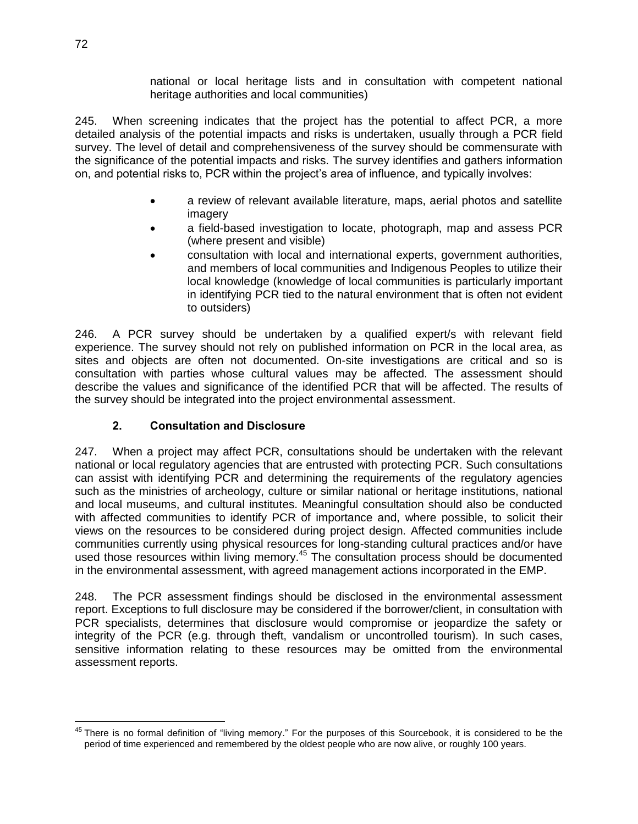national or local heritage lists and in consultation with competent national heritage authorities and local communities)

245. When screening indicates that the project has the potential to affect PCR, a more detailed analysis of the potential impacts and risks is undertaken, usually through a PCR field survey. The level of detail and comprehensiveness of the survey should be commensurate with the significance of the potential impacts and risks. The survey identifies and gathers information on, and potential risks to, PCR within the project's area of influence, and typically involves:

- a review of relevant available literature, maps, aerial photos and satellite imagery
- a field-based investigation to locate, photograph, map and assess PCR (where present and visible)
- consultation with local and international experts, government authorities, and members of local communities and Indigenous Peoples to utilize their local knowledge (knowledge of local communities is particularly important in identifying PCR tied to the natural environment that is often not evident to outsiders)

246. A PCR survey should be undertaken by a qualified expert/s with relevant field experience. The survey should not rely on published information on PCR in the local area, as sites and objects are often not documented. On-site investigations are critical and so is consultation with parties whose cultural values may be affected. The assessment should describe the values and significance of the identified PCR that will be affected. The results of the survey should be integrated into the project environmental assessment.

# **2. Consultation and Disclosure**

247. When a project may affect PCR, consultations should be undertaken with the relevant national or local regulatory agencies that are entrusted with protecting PCR. Such consultations can assist with identifying PCR and determining the requirements of the regulatory agencies such as the ministries of archeology, culture or similar national or heritage institutions, national and local museums, and cultural institutes. Meaningful consultation should also be conducted with affected communities to identify PCR of importance and, where possible, to solicit their views on the resources to be considered during project design. Affected communities include communities currently using physical resources for long-standing cultural practices and/or have used those resources within living memory.<sup>45</sup> The consultation process should be documented in the environmental assessment, with agreed management actions incorporated in the EMP.

248. The PCR assessment findings should be disclosed in the environmental assessment report. Exceptions to full disclosure may be considered if the borrower/client, in consultation with PCR specialists, determines that disclosure would compromise or jeopardize the safety or integrity of the PCR (e.g. through theft, vandalism or uncontrolled tourism). In such cases, sensitive information relating to these resources may be omitted from the environmental assessment reports.

 $\overline{a}$ <sup>45</sup> There is no formal definition of "living memory." For the purposes of this Sourcebook, it is considered to be the period of time experienced and remembered by the oldest people who are now alive, or roughly 100 years.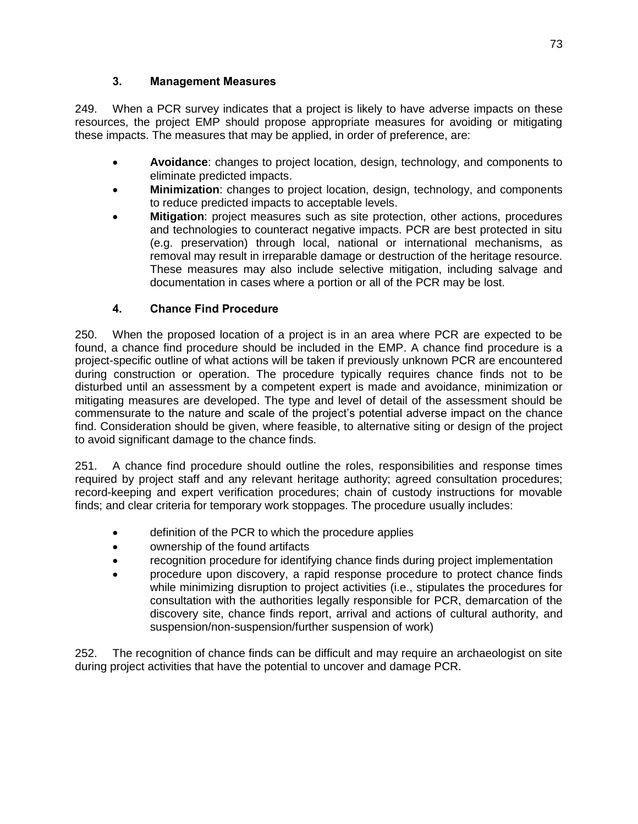# **3. Management Measures**

249. When a PCR survey indicates that a project is likely to have adverse impacts on these resources, the project EMP should propose appropriate measures for avoiding or mitigating these impacts. The measures that may be applied, in order of preference, are:

- **Avoidance**: changes to project location, design, technology, and components to eliminate predicted impacts.
- **Minimization**: changes to project location, design, technology, and components to reduce predicted impacts to acceptable levels.
- **Mitigation**: project measures such as site protection, other actions, procedures and technologies to counteract negative impacts. PCR are best protected in situ (e.g. preservation) through local, national or international mechanisms, as removal may result in irreparable damage or destruction of the heritage resource. These measures may also include selective mitigation, including salvage and documentation in cases where a portion or all of the PCR may be lost.

# **4. Chance Find Procedure**

250. When the proposed location of a project is in an area where PCR are expected to be found, a chance find procedure should be included in the EMP. A chance find procedure is a project-specific outline of what actions will be taken if previously unknown PCR are encountered during construction or operation. The procedure typically requires chance finds not to be disturbed until an assessment by a competent expert is made and avoidance, minimization or mitigating measures are developed. The type and level of detail of the assessment should be commensurate to the nature and scale of the project's potential adverse impact on the chance find. Consideration should be given, where feasible, to alternative siting or design of the project to avoid significant damage to the chance finds.

251. A chance find procedure should outline the roles, responsibilities and response times required by project staff and any relevant heritage authority; agreed consultation procedures; record-keeping and expert verification procedures; chain of custody instructions for movable finds; and clear criteria for temporary work stoppages. The procedure usually includes:

- definition of the PCR to which the procedure applies
- ownership of the found artifacts
- recognition procedure for identifying chance finds during project implementation
- procedure upon discovery, a rapid response procedure to protect chance finds while minimizing disruption to project activities (i.e., stipulates the procedures for consultation with the authorities legally responsible for PCR, demarcation of the discovery site, chance finds report, arrival and actions of cultural authority, and suspension/non-suspension/further suspension of work)

252. The recognition of chance finds can be difficult and may require an archaeologist on site during project activities that have the potential to uncover and damage PCR.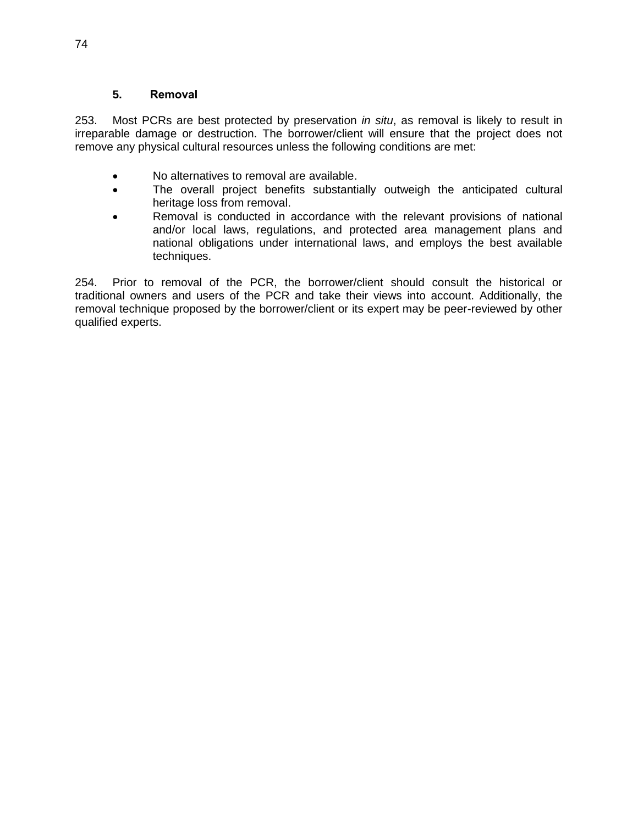# **5. Removal**

253. Most PCRs are best protected by preservation *in situ*, as removal is likely to result in irreparable damage or destruction. The borrower/client will ensure that the project does not remove any physical cultural resources unless the following conditions are met:

- No alternatives to removal are available.
- The overall project benefits substantially outweigh the anticipated cultural heritage loss from removal.
- Removal is conducted in accordance with the relevant provisions of national and/or local laws, regulations, and protected area management plans and national obligations under international laws, and employs the best available techniques.

254. Prior to removal of the PCR, the borrower/client should consult the historical or traditional owners and users of the PCR and take their views into account. Additionally, the removal technique proposed by the borrower/client or its expert may be peer-reviewed by other qualified experts.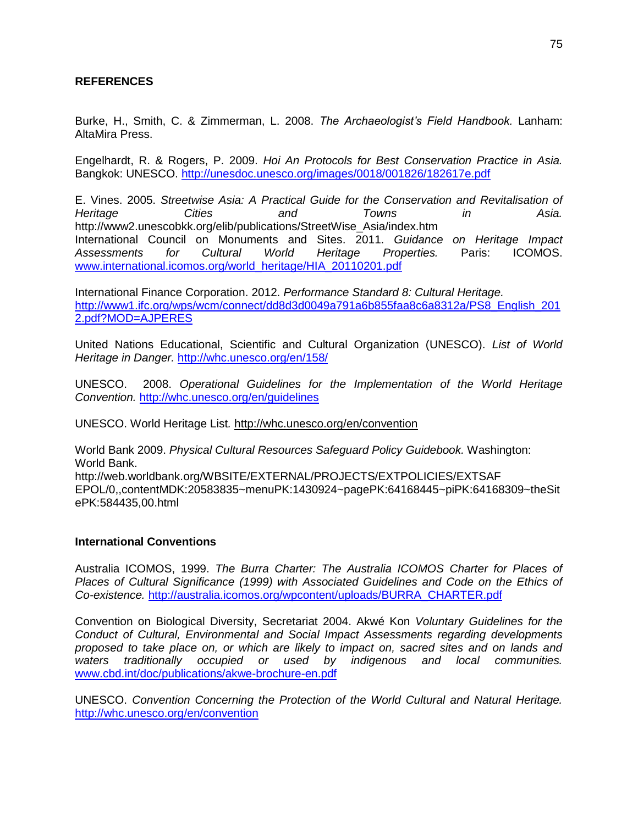# **REFERENCES**

Burke, H., Smith, C. & Zimmerman, L. 2008. *The Archaeologist's Field Handbook.* Lanham: AltaMira Press.

Engelhardt, R. & Rogers, P. 2009. *Hoi An Protocols for Best Conservation Practice in Asia.* Bangkok: UNESCO.<http://unesdoc.unesco.org/images/0018/001826/182617e.pdf>

E. Vines. 2005. *Streetwise Asia: A Practical Guide for the Conservation and Revitalisation of Heritage Cities and Towns in Asia.*  http://www2.unescobkk.org/elib/publications/StreetWise\_Asia/index.htm International Council on Monuments and Sites. 2011. *Guidance on Heritage Impact Assessments for Cultural World Heritage Properties.* Paris: ICOMOS. [www.international.icomos.org/world\\_heritage/HIA\\_20110201.pdf](http://www.international.icomos.org/world_heritage/HIA_20110201.pdf)

International Finance Corporation. 2012. *Performance Standard 8: Cultural Heritage.* [http://www1.ifc.org/wps/wcm/connect/dd8d3d0049a791a6b855faa8c6a8312a/PS8\\_English\\_201](http://www1.ifc.org/wps/wcm/connect/dd8d3d0049a791a6b855faa8c6a8312a/PS8_English_2012.pdf?MOD=AJPERES) [2.pdf?MOD=AJPERES](http://www1.ifc.org/wps/wcm/connect/dd8d3d0049a791a6b855faa8c6a8312a/PS8_English_2012.pdf?MOD=AJPERES)

United Nations Educational, Scientific and Cultural Organization (UNESCO). *List of World Heritage in Danger.* <http://whc.unesco.org/en/158/>

UNESCO. 2008. *Operational Guidelines for the Implementation of the World Heritage Convention.* <http://whc.unesco.org/en/guidelines>

UNESCO. World Heritage List*.* <http://whc.unesco.org/en/convention>

World Bank 2009. *Physical Cultural Resources Safeguard Policy Guidebook.* Washington: World Bank.

http://web.worldbank.org/WBSITE/EXTERNAL/PROJECTS/EXTPOLICIES/EXTSAF EPOL/0,,contentMDK:20583835~menuPK:1430924~pagePK:64168445~piPK:64168309~theSit ePK:584435,00.html

#### **International Conventions**

Australia ICOMOS, 1999. *The Burra Charter: The Australia ICOMOS Charter for Places of Places of Cultural Significance (1999) with Associated Guidelines and Code on the Ethics of Co-existence.* [http://australia.icomos.org/wpcontent/uploads/BURRA\\_CHARTER.pdf](http://australia.icomos.org/wpcontent/uploads/BURRA_CHARTER.pdf)

Convention on Biological Diversity, Secretariat 2004. Akwé Kon *Voluntary Guidelines for the Conduct of Cultural, Environmental and Social Impact Assessments regarding developments*  proposed to take place on, or which are likely to impact on, sacred sites and on lands and *waters traditionally occupied or used by indigenous and local communities.* [www.cbd.int/doc/publications/akwe-brochure-en.pdf](http://www.cbd.int/doc/publications/akwe-brochure-en.pdf)

UNESCO. *Convention Concerning the Protection of the World Cultural and Natural Heritage.*  <http://whc.unesco.org/en/convention>